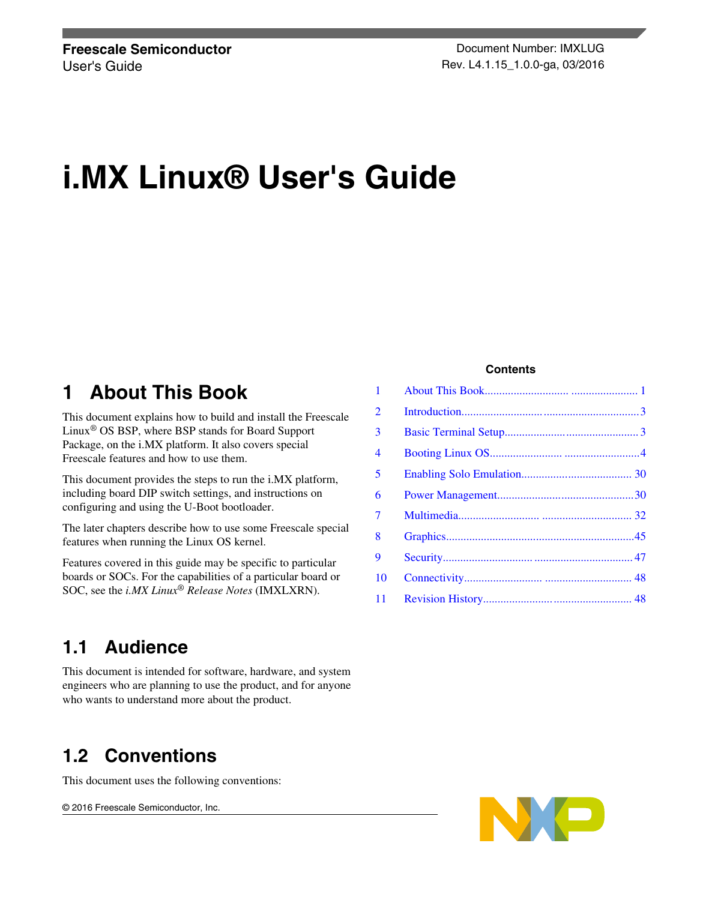# **i.MX Linux® User's Guide**

## **1 About This Book**

This document explains how to build and install the Freescale Linux® OS BSP, where BSP stands for Board Support Package, on the i.MX platform. It also covers special Freescale features and how to use them.

This document provides the steps to run the i.MX platform, including board DIP switch settings, and instructions on configuring and using the U-Boot bootloader.

The later chapters describe how to use some Freescale special features when running the Linux OS kernel.

Features covered in this guide may be specific to particular boards or SOCs. For the capabilities of a particular board or SOC, see the *i.MX Linux® Release Notes* (IMXLXRN).

#### **Contents**

| 1              |  |
|----------------|--|
| 2              |  |
| 3              |  |
| 4              |  |
| 5              |  |
| 6              |  |
| $\overline{7}$ |  |
| 8              |  |
| 9              |  |
| 10             |  |
| 11             |  |

### **1.1 Audience**

This document is intended for software, hardware, and system engineers who are planning to use the product, and for anyone who wants to understand more about the product.

## **1.2 Conventions**

This document uses the following conventions:

© 2016 Freescale Semiconductor, Inc.

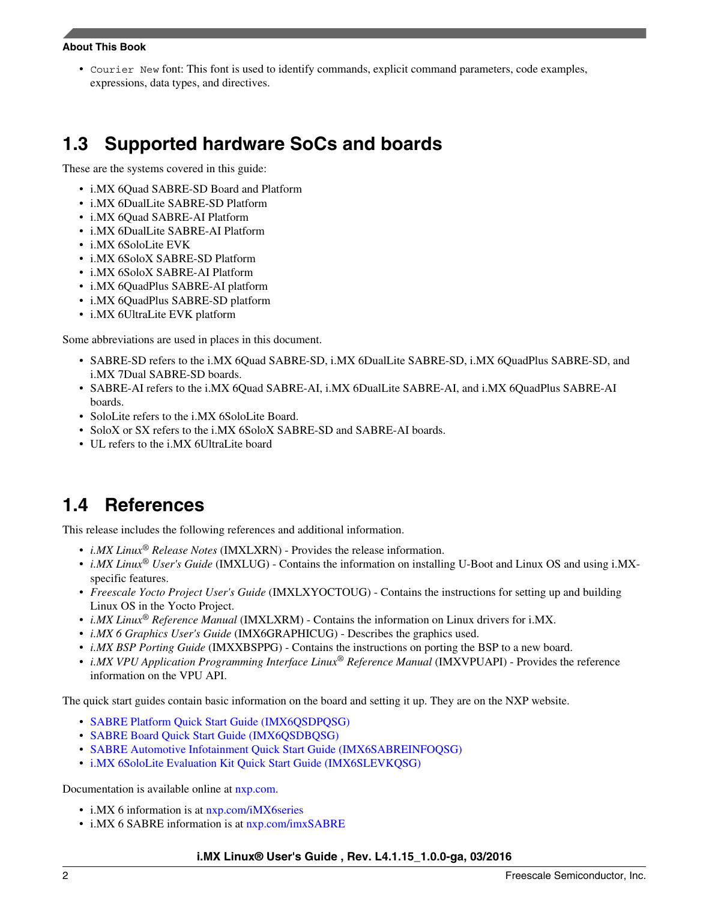#### **About This Book**

• Courier New font: This font is used to identify commands, explicit command parameters, code examples, expressions, data types, and directives.

## **1.3 Supported hardware SoCs and boards**

These are the systems covered in this guide:

- i.MX 6Quad SABRE-SD Board and Platform
- i.MX 6DualLite SABRE-SD Platform
- i.MX 6Quad SABRE-AI Platform
- i.MX 6DualLite SABRE-AI Platform
- i.MX 6SoloLite EVK
- i.MX 6SoloX SABRE-SD Platform
- i.MX 6SoloX SABRE-AI Platform
- i.MX 6QuadPlus SABRE-AI platform
- i.MX 6QuadPlus SABRE-SD platform
- i.MX 6UltraLite EVK platform

Some abbreviations are used in places in this document.

- SABRE-SD refers to the i.MX 6Quad SABRE-SD, i.MX 6DualLite SABRE-SD, i.MX 6QuadPlus SABRE-SD, and i.MX 7Dual SABRE-SD boards.
- SABRE-AI refers to the i.MX 6Quad SABRE-AI, i.MX 6DualLite SABRE-AI, and i.MX 6QuadPlus SABRE-AI boards.
- SoloLite refers to the i.MX 6SoloLite Board.
- SoloX or SX refers to the i.MX 6SoloX SABRE-SD and SABRE-AI boards.
- UL refers to the i.MX 6UltraLite board

## **1.4 References**

This release includes the following references and additional information.

- *i.MX Linux® Release Notes* (IMXLXRN) Provides the release information.
- *i.MX Linux® User's Guide* (IMXLUG) Contains the information on installing U-Boot and Linux OS and using i.MXspecific features.
- *Freescale Yocto Project User's Guide* (IMXLXYOCTOUG) Contains the instructions for setting up and building Linux OS in the Yocto Project.
- *i.MX Linux® Reference Manual* (IMXLXRM) Contains the information on Linux drivers for i.MX.
- *i.MX 6 Graphics User's Guide* (IMX6GRAPHICUG) Describes the graphics used.
- *i.MX BSP Porting Guide* (IMXXBSPPG) Contains the instructions on porting the BSP to a new board.
- *i.MX VPU Application Programming Interface Linux® Reference Manual* (IMXVPUAPI) Provides the reference information on the VPU API.

The quick start guides contain basic information on the board and setting it up. They are on the NXP website.

- [SABRE Platform Quick Start Guide \(IMX6QSDPQSG\)](http://www.nxp.com/files/32bit/doc/quick_start_guide/SABRESDP_IMX6_QSG.pdf?fpsp=1)
- [SABRE Board Quick Start Guide \(IMX6QSDBQSG\)](http://www.nxp.com/files/32bit/doc/quick_start_guide/SABRESDB_IMX6_QSG.pdf?fpsp=1)
- [SABRE Automotive Infotainment Quick Start Guide \(IMX6SABREINFOQSG\)](http://www.nxp.com/files/32bit/doc/user_guide/IMX6SABREINFOQSG.pdf?fpsp=1)
- [i.MX 6SoloLite Evaluation Kit Quick Start Guide \(IMX6SLEVKQSG\)](http://www.nxp.com/files/32bit/doc/quick_start_guide/IMX6SL_EVK_QSG.pdf?fpsp=1)

Documentation is available online at [nxp.com.](http://www.nxp.com)

- i.MX 6 information is at  $nxy.com/iMX6$  series
- i.MX 6 SABRE information is at  $nxy.com/imxSABRE$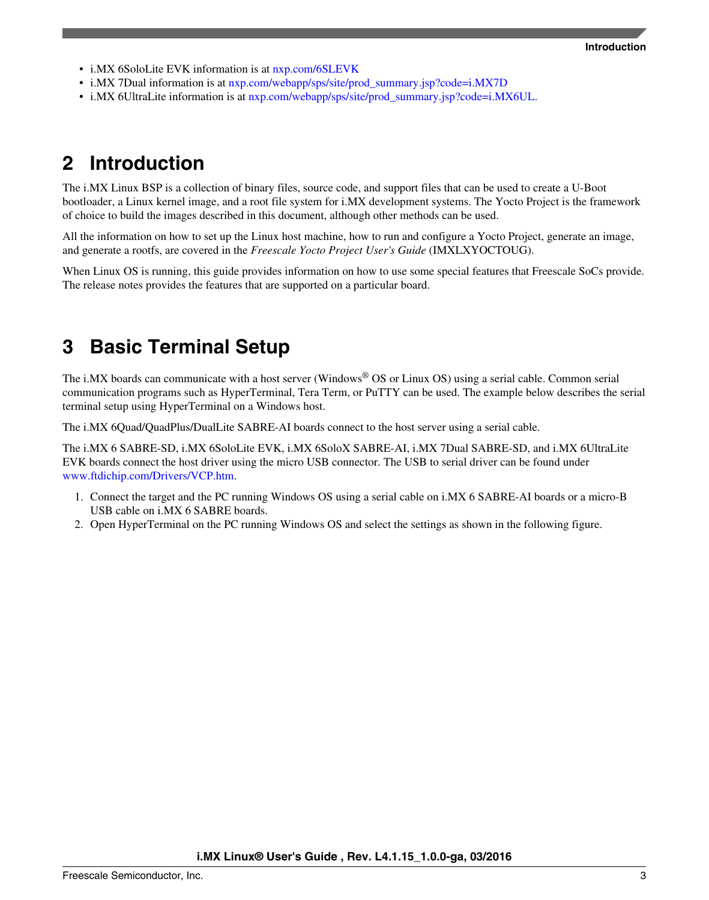- <span id="page-2-0"></span>• i.MX 6SoloLite EVK information is at  $nxy.com/6SLEVK$
- i.MX 7Dual information is at [nxp.com/webapp/sps/site/prod\\_summary.jsp?code=i.MX7D](http://www.nxp.com/webapp/sps/site/prod_summary.jsp?code=i.MX7D)
- i.MX 6UltraLite information is at [nxp.com/webapp/sps/site/prod\\_summary.jsp?code=i.MX6UL.](http://www.nxp.com/webapp/sps/site/prod_summary.jsp?code=i.MX6UL)

## **2 Introduction**

The i.MX Linux BSP is a collection of binary files, source code, and support files that can be used to create a U-Boot bootloader, a Linux kernel image, and a root file system for i.MX development systems. The Yocto Project is the framework of choice to build the images described in this document, although other methods can be used.

All the information on how to set up the Linux host machine, how to run and configure a Yocto Project, generate an image, and generate a rootfs, are covered in the *Freescale Yocto Project User's Guide* (IMXLXYOCTOUG).

When Linux OS is running, this guide provides information on how to use some special features that Freescale SoCs provide. The release notes provides the features that are supported on a particular board.

## **3 Basic Terminal Setup**

The i.MX boards can communicate with a host server (Windows® OS or Linux OS) using a serial cable. Common serial communication programs such as HyperTerminal, Tera Term, or PuTTY can be used. The example below describes the serial terminal setup using HyperTerminal on a Windows host.

The i.MX 6Quad/QuadPlus/DualLite SABRE-AI boards connect to the host server using a serial cable.

The i.MX 6 SABRE-SD, i.MX 6SoloLite EVK, i.MX 6SoloX SABRE-AI, i.MX 7Dual SABRE-SD, and i.MX 6UltraLite EVK boards connect the host driver using the micro USB connector. The USB to serial driver can be found under [www.ftdichip.com/Drivers/VCP.htm](http://www.ftdichip.com/Drivers/VCP.htm).

- 1. Connect the target and the PC running Windows OS using a serial cable on i.MX 6 SABRE-AI boards or a micro-B USB cable on i.MX 6 SABRE boards.
- 2. Open HyperTerminal on the PC running Windows OS and select the settings as shown in the following figure.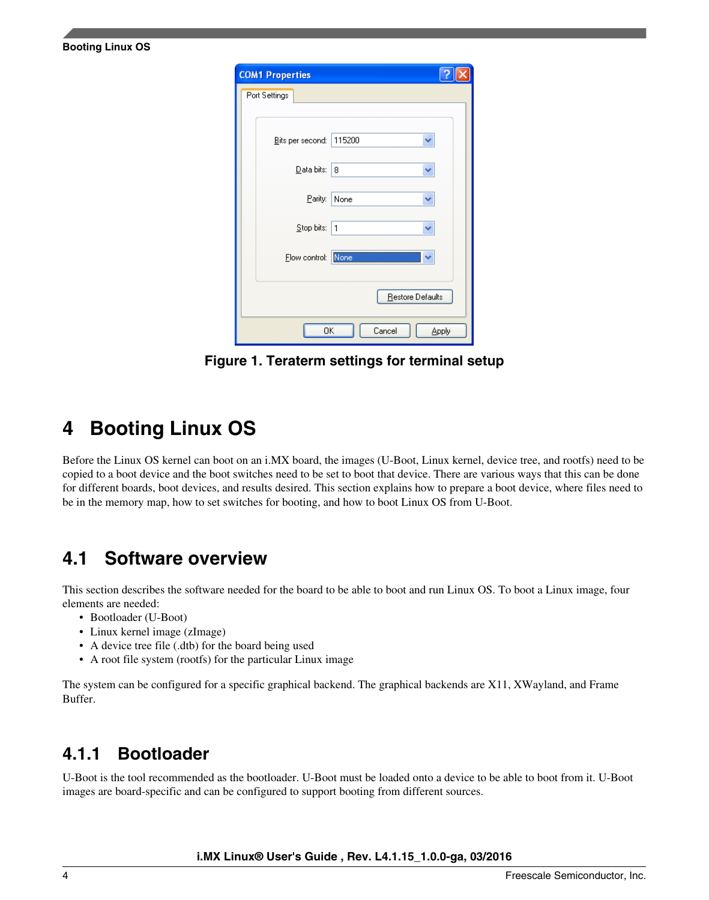| <b>COM1 Properties</b> |                  |
|------------------------|------------------|
| Port Settings          |                  |
|                        |                  |
| Bits per second:       | 115200           |
| Data bits:             | 8<br>▽           |
| Parity:                | None             |
| Stop bits:             | $\mathbf{1}$     |
| Flow control:          | None             |
|                        | Restore Defaults |
| 0K                     | Cancel<br>Apply  |

**Figure 1. Teraterm settings for terminal setup**

## **4 Booting Linux OS**

<span id="page-3-0"></span>**Booting Linux OS**

Before the Linux OS kernel can boot on an i.MX board, the images (U-Boot, Linux kernel, device tree, and rootfs) need to be copied to a boot device and the boot switches need to be set to boot that device. There are various ways that this can be done for different boards, boot devices, and results desired. This section explains how to prepare a boot device, where files need to be in the memory map, how to set switches for booting, and how to boot Linux OS from U-Boot.

## **4.1 Software overview**

This section describes the software needed for the board to be able to boot and run Linux OS. To boot a Linux image, four elements are needed:

- Bootloader (U-Boot)
- Linux kernel image (zImage)
- A device tree file (.dtb) for the board being used
- A root file system (rootfs) for the particular Linux image

The system can be configured for a specific graphical backend. The graphical backends are X11, XWayland, and Frame Buffer.

### **4.1.1 Bootloader**

U-Boot is the tool recommended as the bootloader. U-Boot must be loaded onto a device to be able to boot from it. U-Boot images are board-specific and can be configured to support booting from different sources.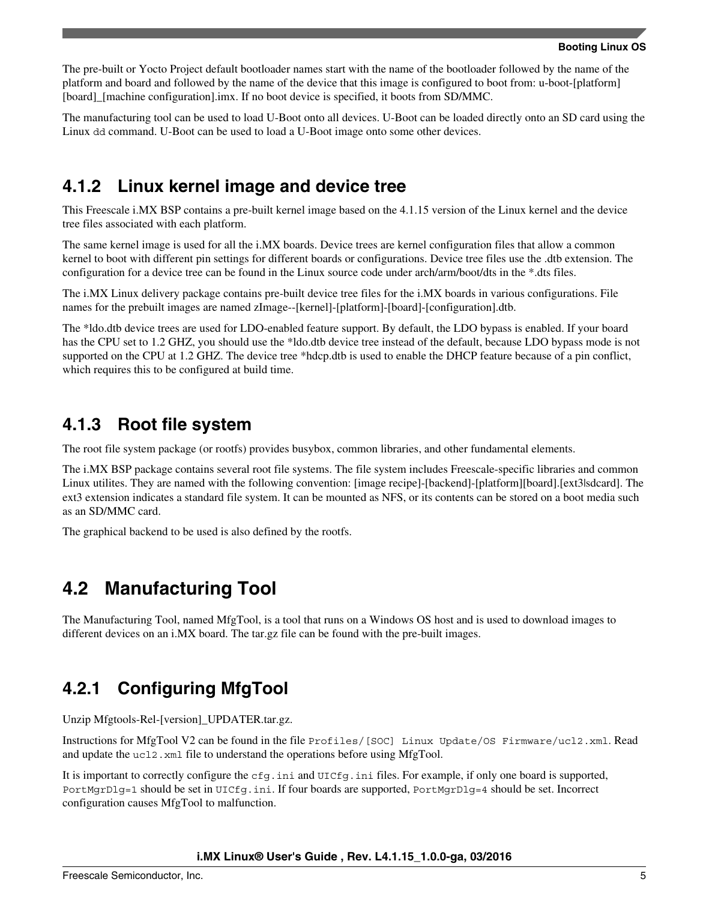The pre-built or Yocto Project default bootloader names start with the name of the bootloader followed by the name of the platform and board and followed by the name of the device that this image is configured to boot from: u-boot-[platform] [board]\_[machine configuration].imx. If no boot device is specified, it boots from SD/MMC.

The manufacturing tool can be used to load U-Boot onto all devices. U-Boot can be loaded directly onto an SD card using the Linux dd command. U-Boot can be used to load a U-Boot image onto some other devices.

### **4.1.2 Linux kernel image and device tree**

This Freescale i.MX BSP contains a pre-built kernel image based on the 4.1.15 version of the Linux kernel and the device tree files associated with each platform.

The same kernel image is used for all the i.MX boards. Device trees are kernel configuration files that allow a common kernel to boot with different pin settings for different boards or configurations. Device tree files use the .dtb extension. The configuration for a device tree can be found in the Linux source code under arch/arm/boot/dts in the \*.dts files.

The i.MX Linux delivery package contains pre-built device tree files for the i.MX boards in various configurations. File names for the prebuilt images are named zImage--[kernel]-[platform]-[board]-[configuration].dtb.

The \*ldo.dtb device trees are used for LDO-enabled feature support. By default, the LDO bypass is enabled. If your board has the CPU set to 1.2 GHZ, you should use the \*ldo.dtb device tree instead of the default, because LDO bypass mode is not supported on the CPU at 1.2 GHZ. The device tree \*hdcp.dtb is used to enable the DHCP feature because of a pin conflict, which requires this to be configured at build time.

### **4.1.3 Root file system**

The root file system package (or rootfs) provides busybox, common libraries, and other fundamental elements.

The i.MX BSP package contains several root file systems. The file system includes Freescale-specific libraries and common Linux utilites. They are named with the following convention: [image recipe]-[backend]-[platform][board].[ext3|sdcard]. The ext3 extension indicates a standard file system. It can be mounted as NFS, or its contents can be stored on a boot media such as an SD/MMC card.

The graphical backend to be used is also defined by the rootfs.

## **4.2 Manufacturing Tool**

The Manufacturing Tool, named MfgTool, is a tool that runs on a Windows OS host and is used to download images to different devices on an i.MX board. The tar.gz file can be found with the pre-built images.

## **4.2.1 Configuring MfgTool**

Unzip Mfgtools-Rel-[version]\_UPDATER.tar.gz.

Instructions for MfgTool V2 can be found in the file Profiles/[SOC] Linux Update/OS Firmware/ucl2.xml. Read and update the ucl2.xml file to understand the operations before using MfgTool.

It is important to correctly configure the cfg.ini and UICfg.ini files. For example, if only one board is supported, PortMgrDlg=1 should be set in UICfg.ini. If four boards are supported, PortMgrDlg=4 should be set. Incorrect configuration causes MfgTool to malfunction.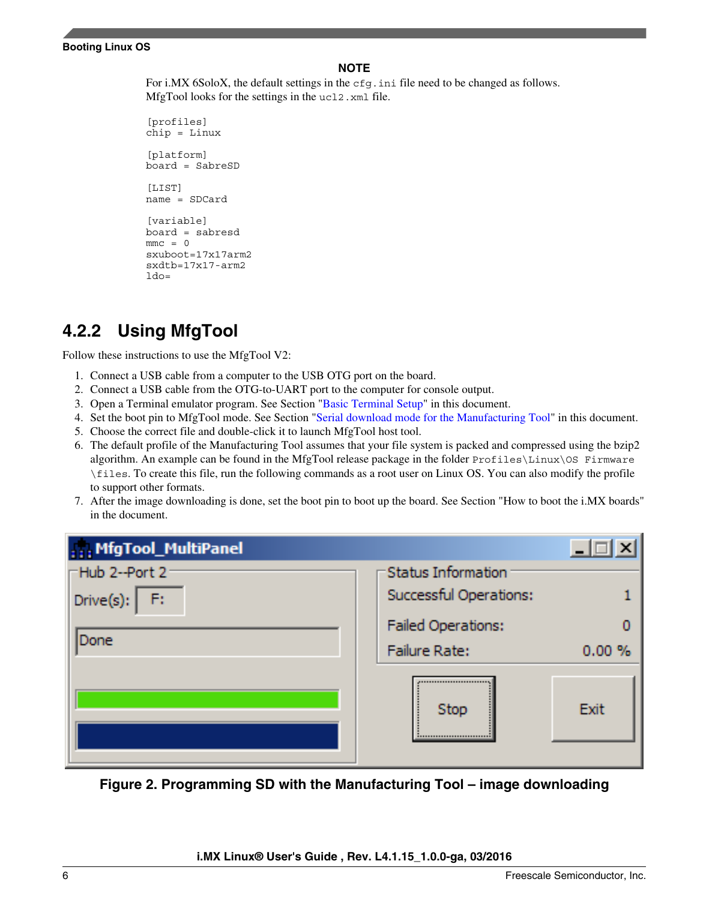#### **NOTE**

For i.MX 6SoloX, the default settings in the  $cfq$ , ini file need to be changed as follows. MfgTool looks for the settings in the ucl2.xml file.

[profiles] chip = Linux [platform] board = SabreSD  $[I.TST]$ name = SDCard [variable] board = sabresd  $mmc = 0$ sxuboot=17x17arm2 sxdtb=17x17-arm2  $1d0=$ 

### **4.2.2 Using MfgTool**

Follow these instructions to use the MfgTool V2:

- 1. Connect a USB cable from a computer to the USB OTG port on the board.
- 2. Connect a USB cable from the OTG-to-UART port to the computer for console output.
- 3. Open a Terminal emulator program. See Section "[Basic Terminal Setup](#page-2-0)" in this document.
- 4. Set the boot pin to MfgTool mode. See Section ["Serial download mode for the Manufacturing Tool](#page-21-0)" in this document.
- 5. Choose the correct file and double-click it to launch MfgTool host tool.
- 6. The default profile of the Manufacturing Tool assumes that your file system is packed and compressed using the bzip2 algorithm. An example can be found in the MfgTool release package in the folder Profiles\Linux\OS Firmware \files. To create this file, run the following commands as a root user on Linux OS. You can also modify the profile to support other formats.
- 7. After the image downloading is done, set the boot pin to boot up the board. See Section "How to boot the i.MX boards" in the document.

| MfgTool_MultiPanel     |                           |           |
|------------------------|---------------------------|-----------|
| <b>⊢Hub 2--Port 2-</b> | Status Information        |           |
| Drive(s): $ F:$        | Successful Operations:    |           |
|                        | <b>Failed Operations:</b> |           |
| Done                   | <b>Failure Rate:</b>      | $0.00 \%$ |
|                        | Stop                      | Exit      |

**Figure 2. Programming SD with the Manufacturing Tool – image downloading**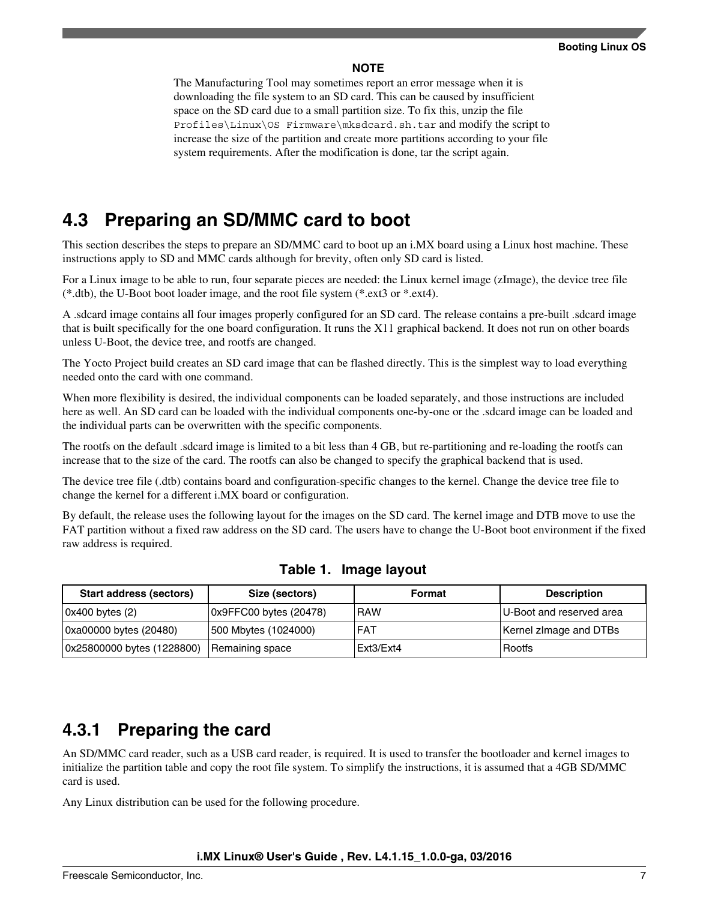#### **NOTE**

<span id="page-6-0"></span>The Manufacturing Tool may sometimes report an error message when it is downloading the file system to an SD card. This can be caused by insufficient space on the SD card due to a small partition size. To fix this, unzip the file Profiles\Linux\OS Firmware\mksdcard.sh.tar and modify the script to increase the size of the partition and create more partitions according to your file system requirements. After the modification is done, tar the script again.

### **4.3 Preparing an SD/MMC card to boot**

This section describes the steps to prepare an SD/MMC card to boot up an i.MX board using a Linux host machine. These instructions apply to SD and MMC cards although for brevity, often only SD card is listed.

For a Linux image to be able to run, four separate pieces are needed: the Linux kernel image (zImage), the device tree file (\*.dtb), the U-Boot boot loader image, and the root file system (\*.ext3 or \*.ext4).

A .sdcard image contains all four images properly configured for an SD card. The release contains a pre-built .sdcard image that is built specifically for the one board configuration. It runs the X11 graphical backend. It does not run on other boards unless U-Boot, the device tree, and rootfs are changed.

The Yocto Project build creates an SD card image that can be flashed directly. This is the simplest way to load everything needed onto the card with one command.

When more flexibility is desired, the individual components can be loaded separately, and those instructions are included here as well. An SD card can be loaded with the individual components one-by-one or the .sdcard image can be loaded and the individual parts can be overwritten with the specific components.

The rootfs on the default .sdcard image is limited to a bit less than 4 GB, but re-partitioning and re-loading the rootfs can increase that to the size of the card. The rootfs can also be changed to specify the graphical backend that is used.

The device tree file (.dtb) contains board and configuration-specific changes to the kernel. Change the device tree file to change the kernel for a different i.MX board or configuration.

By default, the release uses the following layout for the images on the SD card. The kernel image and DTB move to use the FAT partition without a fixed raw address on the SD card. The users have to change the U-Boot boot environment if the fixed raw address is required.

| Start address (sectors)    | Size (sectors)         | Format     | <b>Description</b>       |
|----------------------------|------------------------|------------|--------------------------|
| 0x400 bytes (2)            | 0x9FFC00 bytes (20478) | <b>RAW</b> | U-Boot and reserved area |
| 0xa00000 bytes (20480)     | 500 Mbytes (1024000)   | <b>FAT</b> | Kernel zimage and DTBs   |
| 0x25800000 bytes (1228800) | Remaining space        | Ext3/Ext4  | Rootfs                   |

### **4.3.1 Preparing the card**

An SD/MMC card reader, such as a USB card reader, is required. It is used to transfer the bootloader and kernel images to initialize the partition table and copy the root file system. To simplify the instructions, it is assumed that a 4GB SD/MMC card is used.

Any Linux distribution can be used for the following procedure.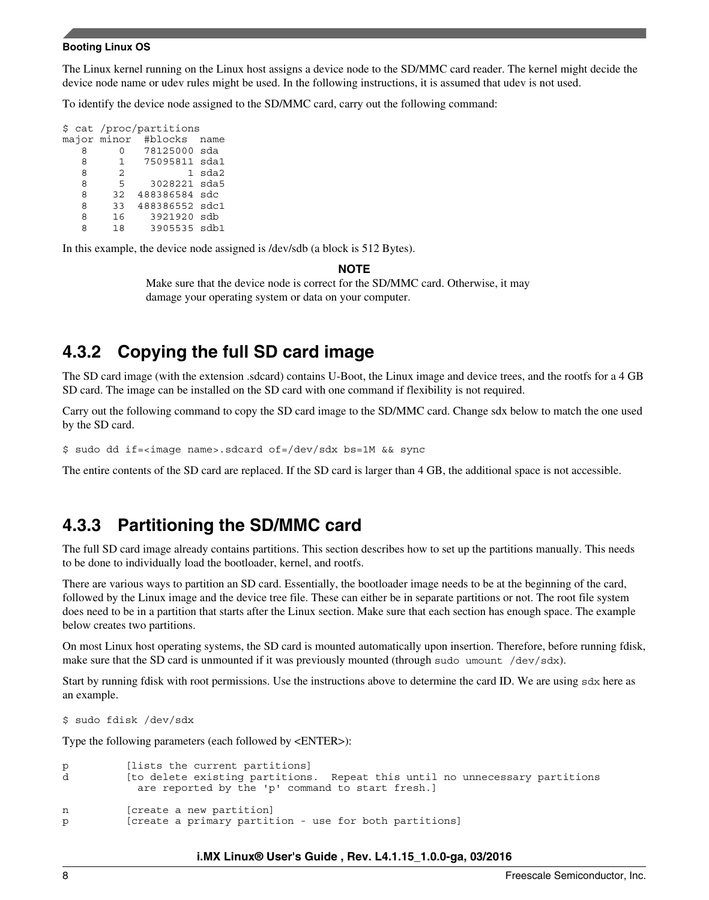#### **Booting Linux OS**

The Linux kernel running on the Linux host assigns a device node to the SD/MMC card reader. The kernel might decide the device node name or udev rules might be used. In the following instructions, it is assumed that udev is not used.

To identify the device node assigned to the SD/MMC card, carry out the following command:

\$ cat /proc/partitions major minor #blocks name<br>8 0 78125000 sda 8 0 78125000 sda 1 75095811 sda1 8 2 1 sda2<br>8 5 3028221 sda5 8 5 3028221 sda5 8 32 488386584 sdc 8 33 488386552 sdc1 8 16 3921920 sdb 8 18 3905535 sdb1

In this example, the device node assigned is /dev/sdb (a block is 512 Bytes).

#### **NOTE**

Make sure that the device node is correct for the SD/MMC card. Otherwise, it may damage your operating system or data on your computer.

### **4.3.2 Copying the full SD card image**

The SD card image (with the extension .sdcard) contains U-Boot, the Linux image and device trees, and the rootfs for a 4 GB SD card. The image can be installed on the SD card with one command if flexibility is not required.

Carry out the following command to copy the SD card image to the SD/MMC card. Change sdx below to match the one used by the SD card.

\$ sudo dd if=<image name>.sdcard of=/dev/sdx bs=1M && sync

The entire contents of the SD card are replaced. If the SD card is larger than 4 GB, the additional space is not accessible.

### **4.3.3 Partitioning the SD/MMC card**

The full SD card image already contains partitions. This section describes how to set up the partitions manually. This needs to be done to individually load the bootloader, kernel, and rootfs.

There are various ways to partition an SD card. Essentially, the bootloader image needs to be at the beginning of the card, followed by the Linux image and the device tree file. These can either be in separate partitions or not. The root file system does need to be in a partition that starts after the Linux section. Make sure that each section has enough space. The example below creates two partitions.

On most Linux host operating systems, the SD card is mounted automatically upon insertion. Therefore, before running fdisk, make sure that the SD card is unmounted if it was previously mounted (through sudo umount /dev/sdx).

Start by running fdisk with root permissions. Use the instructions above to determine the card ID. We are using sdx here as an example.

\$ sudo fdisk /dev/sdx

Type the following parameters (each followed by <ENTER>):

```
p [lists the current partitions]
d [to delete existing partitions. Repeat this until no unnecessary partitions 
           are reported by the 'p' command to start fresh.]
n [create a new partition]
p [create a primary partition - use for both partitions]
```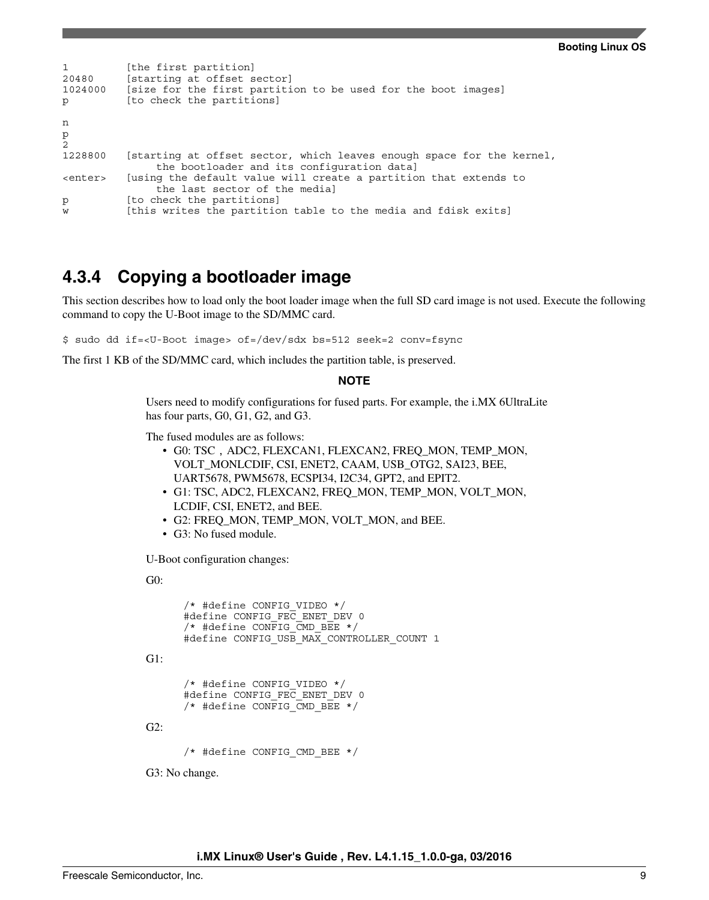```
1 [the first partition]<br>20480 [starting at offset s
20480 [starting at offset sector]<br>1024000 [size for the first partiti
          [size for the first partition to be used for the boot images]
p [to check the partitions]
n
p
2
1228800 [starting at offset sector, which leaves enough space for the kernel, 
                 the bootloader and its configuration data]
<enter> [using the default value will create a partition that extends to 
                 the last sector of the media]
p [to check the partitions]
w [this writes the partition table to the media and fdisk exits]
```
### **4.3.4 Copying a bootloader image**

This section describes how to load only the boot loader image when the full SD card image is not used. Execute the following command to copy the U-Boot image to the SD/MMC card.

\$ sudo dd if=<U-Boot image> of=/dev/sdx bs=512 seek=2 conv=fsync

The first 1 KB of the SD/MMC card, which includes the partition table, is preserved.

#### **NOTE**

Users need to modify configurations for fused parts. For example, the i.MX 6UltraLite has four parts, G0, G1, G2, and G3.

The fused modules are as follows:

- G0: TSC, ADC2, FLEXCAN1, FLEXCAN2, FREQ\_MON, TEMP\_MON, VOLT\_MONLCDIF, CSI, ENET2, CAAM, USB\_OTG2, SAI23, BEE, UART5678, PWM5678, ECSPI34, I2C34, GPT2, and EPIT2.
- G1: TSC, ADC2, FLEXCAN2, FREQ\_MON, TEMP\_MON, VOLT\_MON, LCDIF, CSI, ENET2, and BEE.
- G2: FREQ\_MON, TEMP\_MON, VOLT\_MON, and BEE.
- G3: No fused module.

U-Boot configuration changes:

G0:

```
 /* #define CONFIG_VIDEO */
       #define CONFIG_FEC_ENET_DEV 0
      /* #define CONFIG CMD BEE */
      #define CONFIG USB MAX CONTROLLER COUNT 1
G1:
       /* #define CONFIG_VIDEO */
      #define CONFIG_FEC_ENET_DEV 0
      /* #define CONFIG_CMD_BEE */
G2:
       /* #define CONFIG_CMD_BEE */
G3: No change.
```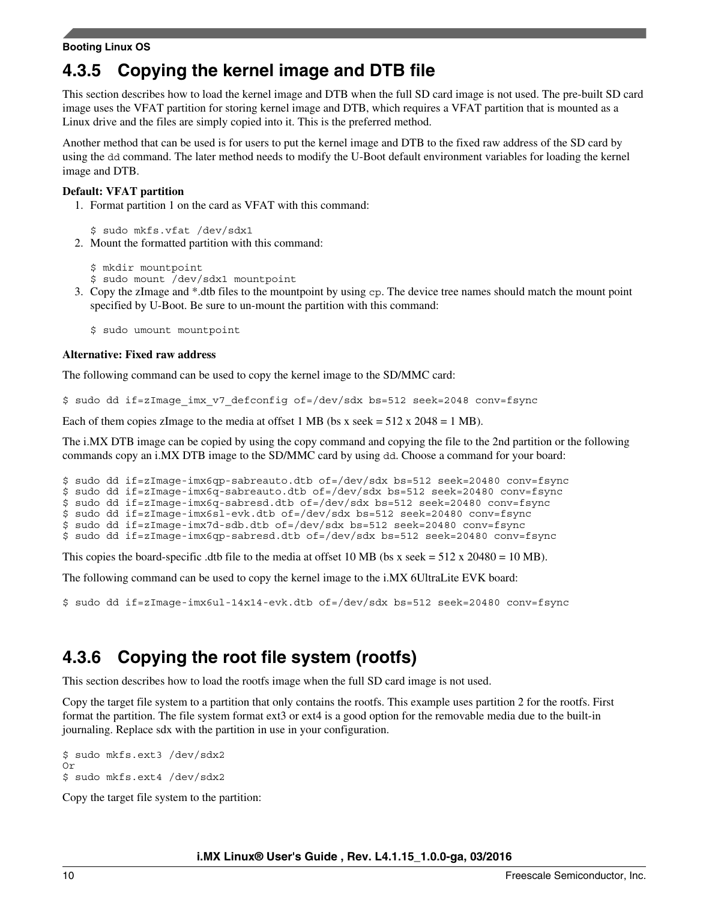#### **Booting Linux OS**

### **4.3.5 Copying the kernel image and DTB file**

This section describes how to load the kernel image and DTB when the full SD card image is not used. The pre-built SD card image uses the VFAT partition for storing kernel image and DTB, which requires a VFAT partition that is mounted as a Linux drive and the files are simply copied into it. This is the preferred method.

Another method that can be used is for users to put the kernel image and DTB to the fixed raw address of the SD card by using the dd command. The later method needs to modify the U-Boot default environment variables for loading the kernel image and DTB.

#### **Default: VFAT partition**

1. Format partition 1 on the card as VFAT with this command:

\$ sudo mkfs.vfat /dev/sdx1

2. Mount the formatted partition with this command:

```
$ mkdir mountpoint
```
- \$ sudo mount /dev/sdx1 mountpoint
- 3. Copy the zImage and \*.dtb files to the mountpoint by using cp. The device tree names should match the mount point specified by U-Boot. Be sure to un-mount the partition with this command:

\$ sudo umount mountpoint

#### **Alternative: Fixed raw address**

The following command can be used to copy the kernel image to the SD/MMC card:

\$ sudo dd if=zImage\_imx\_v7\_defconfig of=/dev/sdx bs=512 seek=2048 conv=fsync

Each of them copies zImage to the media at offset 1 MB (bs x seek  $= 512$  x 2048  $= 1$  MB).

The i.MX DTB image can be copied by using the copy command and copying the file to the 2nd partition or the following commands copy an i.MX DTB image to the SD/MMC card by using dd. Choose a command for your board:

\$ sudo dd if=zImage-imx6qp-sabreauto.dtb of=/dev/sdx bs=512 seek=20480 conv=fsync

\$ sudo dd if=zImage-imx6q-sabreauto.dtb of=/dev/sdx bs=512 seek=20480 conv=fsync

\$ sudo dd if=zImage-imx6q-sabresd.dtb of=/dev/sdx bs=512 seek=20480 conv=fsync

```
$ sudo dd if=zImage-imx6sl-evk.dtb of=/dev/sdx bs=512 seek=20480 conv=fsync
```
\$ sudo dd if=zImage-imx7d-sdb.dtb of=/dev/sdx bs=512 seek=20480 conv=fsync \$ sudo dd if=zImage-imx6qp-sabresd.dtb of=/dev/sdx bs=512 seek=20480 conv=fsync

This copies the board-specific .dtb file to the media at offset 10 MB (bs x seek =  $512 \times 20480 = 10 \text{ MB}$ ).

The following command can be used to copy the kernel image to the i.MX 6UltraLite EVK board:

\$ sudo dd if=zImage-imx6ul-14x14-evk.dtb of=/dev/sdx bs=512 seek=20480 conv=fsync

### **4.3.6 Copying the root file system (rootfs)**

This section describes how to load the rootfs image when the full SD card image is not used.

Copy the target file system to a partition that only contains the rootfs. This example uses partition 2 for the rootfs. First format the partition. The file system format ext3 or ext4 is a good option for the removable media due to the built-in journaling. Replace sdx with the partition in use in your configuration.

```
$ sudo mkfs.ext3 /dev/sdx2
Or
$ sudo mkfs.ext4 /dev/sdx2
```
Copy the target file system to the partition: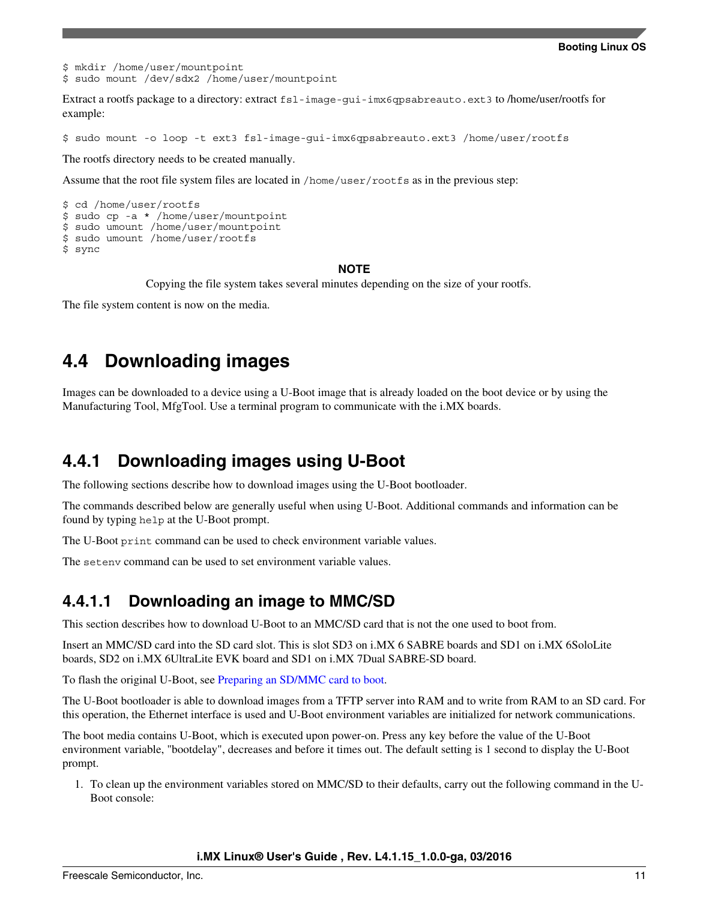<span id="page-10-0"></span>\$ mkdir /home/user/mountpoint \$ sudo mount /dev/sdx2 /home/user/mountpoint

Extract a rootfs package to a directory: extract fsl-image-gui-imx6qpsabreauto.ext3 to /home/user/rootfs for example:

\$ sudo mount -o loop -t ext3 fsl-image-gui-imx6qpsabreauto.ext3 /home/user/rootfs

The rootfs directory needs to be created manually.

Assume that the root file system files are located in /home/user/rootfs as in the previous step:

```
$ cd /home/user/rootfs
$ sudo cp -a * /home/user/mountpoint
$ sudo umount /home/user/mountpoint
$ sudo umount /home/user/rootfs
$ sync
```
#### **NOTE**

Copying the file system takes several minutes depending on the size of your rootfs.

The file system content is now on the media.

### **4.4 Downloading images**

Images can be downloaded to a device using a U-Boot image that is already loaded on the boot device or by using the Manufacturing Tool, MfgTool. Use a terminal program to communicate with the i.MX boards.

### **4.4.1 Downloading images using U-Boot**

The following sections describe how to download images using the U-Boot bootloader.

The commands described below are generally useful when using U-Boot. Additional commands and information can be found by typing help at the U-Boot prompt.

The U-Boot print command can be used to check environment variable values.

The setenv command can be used to set environment variable values.

### **4.4.1.1 Downloading an image to MMC/SD**

This section describes how to download U-Boot to an MMC/SD card that is not the one used to boot from.

Insert an MMC/SD card into the SD card slot. This is slot SD3 on i.MX 6 SABRE boards and SD1 on i.MX 6SoloLite boards, SD2 on i.MX 6UltraLite EVK board and SD1 on i.MX 7Dual SABRE-SD board.

To flash the original U-Boot, see [Preparing an SD/MMC card to boot.](#page-6-0)

The U-Boot bootloader is able to download images from a TFTP server into RAM and to write from RAM to an SD card. For this operation, the Ethernet interface is used and U-Boot environment variables are initialized for network communications.

The boot media contains U-Boot, which is executed upon power-on. Press any key before the value of the U-Boot environment variable, "bootdelay", decreases and before it times out. The default setting is 1 second to display the U-Boot prompt.

1. To clean up the environment variables stored on MMC/SD to their defaults, carry out the following command in the U-Boot console: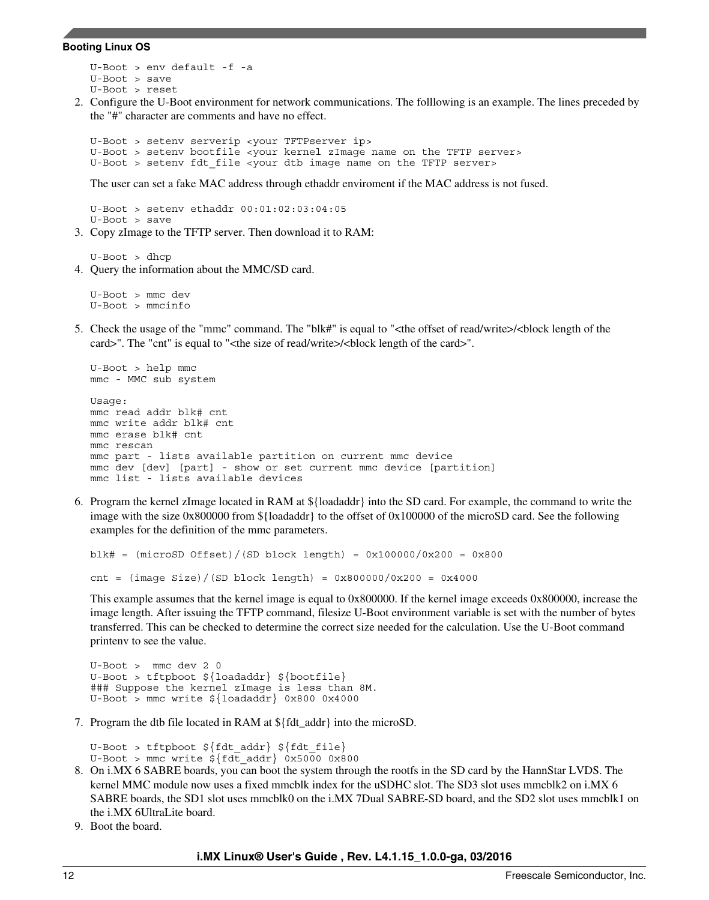#### **Booting Linux OS**

```
U-Boot > env default -f -a 
U-Boot > save
U-Boot > reset
```
2. Configure the U-Boot environment for network communications. The folllowing is an example. The lines preceded by the "#" character are comments and have no effect.

U-Boot > setenv serverip <your TFTPserver ip> U-Boot > setenv bootfile <your kernel zImage name on the TFTP server> U-Boot > setenv fdt\_file <your dtb image name on the TFTP server>

The user can set a fake MAC address through ethaddr enviroment if the MAC address is not fused.

U-Boot > setenv ethaddr 00:01:02:03:04:05 U-Boot > save

3. Copy zImage to the TFTP server. Then download it to RAM:

U-Boot > dhcp

4. Query the information about the MMC/SD card.

U-Boot > mmc dev U-Boot > mmcinfo

5. Check the usage of the "mmc" command. The "blk#" is equal to "<the offset of read/write>/<br/>block length of the card>". The "cnt" is equal to "<the size of read/write>/<block length of the card>".

```
U-Boot > help mmc
mmc - MMC sub system
Usage:
mmc read addr blk# cnt
mmc write addr blk# cnt
mmc erase blk# cnt
mmc rescan
mmc part - lists available partition on current mmc device
mmc dev [dev] [part] - show or set current mmc device [partition]
mmc list - lists available devices
```
6. Program the kernel zImage located in RAM at \${loadaddr} into the SD card. For example, the command to write the image with the size 0x800000 from \${loadaddr} to the offset of 0x100000 of the microSD card. See the following examples for the definition of the mmc parameters.

```
blk# = (microSD Offset) / (SD block length) = 0x100000 / 0x200 = 0x800cnt = (image Size)/(SD block length) = 0x800000/0x200 = 0x4000
```
This example assumes that the kernel image is equal to 0x800000. If the kernel image exceeds 0x800000, increase the image length. After issuing the TFTP command, filesize U-Boot environment variable is set with the number of bytes transferred. This can be checked to determine the correct size needed for the calculation. Use the U-Boot command printenv to see the value.

```
U-Boot > mmc dev 2 0
U-Boot > tftpboot ${loadaddr} ${bootfile}
### Suppose the kernel zImage is less than 8M.
U-Boot > mmc write ${loadaddr} 0x800 0x4000
```
7. Program the dtb file located in RAM at \${fdt\_addr} into the microSD.

U-Boot > tftpboot \${fdt\_addr} \${fdt\_file} U-Boot > mmc write  $\frac{2}{5}$   $\left\{\frac{\text{fdt}}{\text{addr}}\right\}$  0x5000 0x800

- 8. On i.MX 6 SABRE boards, you can boot the system through the rootfs in the SD card by the HannStar LVDS. The kernel MMC module now uses a fixed mmcblk index for the uSDHC slot. The SD3 slot uses mmcblk2 on i.MX 6 SABRE boards, the SD1 slot uses mmcblk0 on the i.MX 7Dual SABRE-SD board, and the SD2 slot uses mmcblk1 on the i.MX 6UltraLite board.
- 9. Boot the board.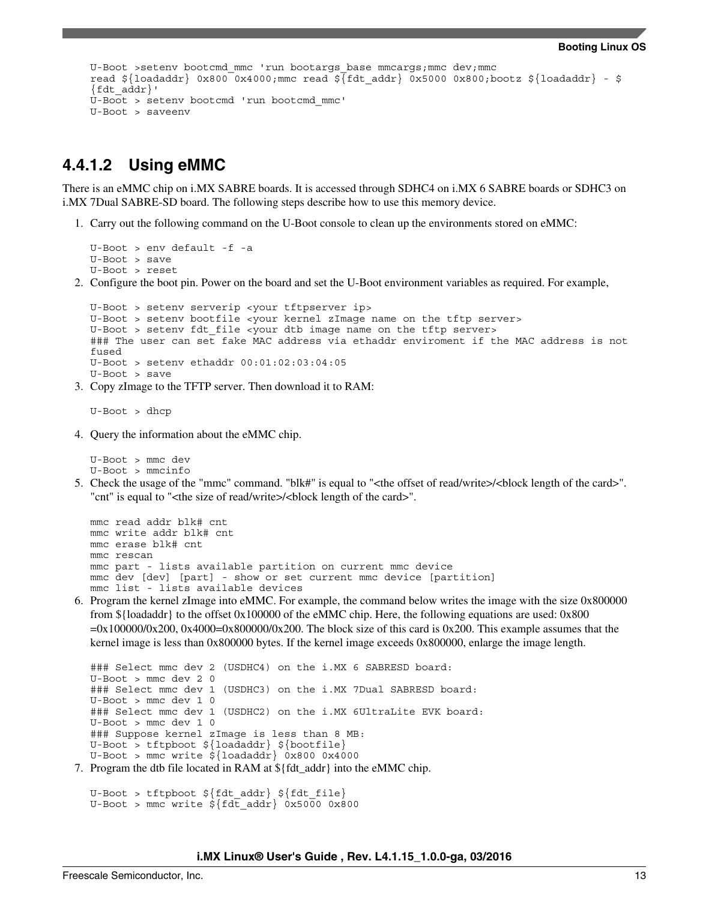```
U-Boot >setenv bootcmd_mmc 'run bootargs_base mmcargs;mmc dev;mmc
read ${loadaddr} 0x800 0x4000;mmc read ${fdt addr} 0x5000 0x800;bootz ${loadaddr} - $
{fdt_addr}'
U-Boot > setenv bootcmd 'run bootcmd_mmc'
U-Boot > saveenv
```
### **4.4.1.2 Using eMMC**

There is an eMMC chip on i.MX SABRE boards. It is accessed through SDHC4 on i.MX 6 SABRE boards or SDHC3 on i.MX 7Dual SABRE-SD board. The following steps describe how to use this memory device.

1. Carry out the following command on the U-Boot console to clean up the environments stored on eMMC:

```
U-Boot > env default -f -a 
U-Boot > save
U-Boot > reset
```
2. Configure the boot pin. Power on the board and set the U-Boot environment variables as required. For example,

```
U-Boot > setenv serverip <your tftpserver ip>
U-Boot > setenv bootfile <your kernel zImage name on the tftp server>
U-Boot > setenv fdt file <your dtb image name on the tftp server>
### The user can set fake MAC address via ethaddr enviroment if the MAC address is not 
fused
U-Boot > setenv ethaddr 00:01:02:03:04:05
U-Boot > save
```
3. Copy zImage to the TFTP server. Then download it to RAM:

U-Boot > dhcp

4. Query the information about the eMMC chip.

U-Boot > mmc dev U-Boot > mmcinfo

5. Check the usage of the "mmc" command. "blk#" is equal to "<the offset of read/write>/<br/>block length of the card>". "cnt" is equal to "<the size of read/write>/<block length of the card>".

```
mmc read addr blk# cnt
mmc write addr blk# cnt
mmc erase blk# cnt
mmc rescan
mmc part - lists available partition on current mmc device
mmc dev [dev] [part] - show or set current mmc device [partition]
mmc list - lists available devices
```
6. Program the kernel zImage into eMMC. For example, the command below writes the image with the size 0x800000 from  $\{\{\text{loadaddr}\}\$ to the offset 0x100000 of the eMMC chip. Here, the following equations are used: 0x800  $=0x1000000/x200$ ,  $0x4000=0x800000/x200$ . The block size of this card is 0x200. This example assumes that the kernel image is less than 0x800000 bytes. If the kernel image exceeds 0x800000, enlarge the image length.

```
### Select mmc dev 2 (USDHC4) on the i.MX 6 SABRESD board:
U-Boot > mmc dev 2 0
### Select mmc dev 1 (USDHC3) on the i.MX 7Dual SABRESD board:
U-Boot > mmc dev 1 0
### Select mmc dev 1 (USDHC2) on the i.MX 6UltraLite EVK board:
U-Boot > mmc dev 1 0
### Suppose kernel zImage is less than 8 MB:
U-Boot > tftpboot ${loadaddr} ${bootfile}
U-Boot > mmc write ${loadaddr} 0x800 0x4000
```
7. Program the dtb file located in RAM at \${fdt\_addr} into the eMMC chip.

```
U-Boot > tftpboot ${fdt_addr} ${fdt_file}
U-Boot > mmc write $fdt addr} 0x5000 0x800
```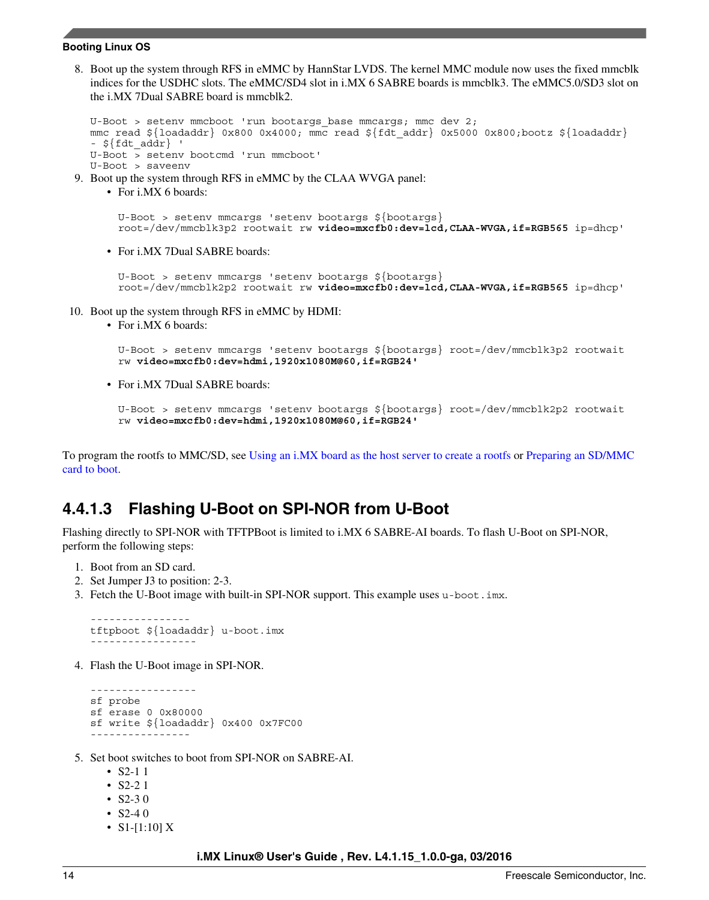#### **Booting Linux OS**

8. Boot up the system through RFS in eMMC by HannStar LVDS. The kernel MMC module now uses the fixed mmcblk indices for the USDHC slots. The eMMC/SD4 slot in i.MX 6 SABRE boards is mmcblk3. The eMMC5.0/SD3 slot on the i.MX 7Dual SABRE board is mmcblk2.

```
U-Boot > setenv mmcboot 'run bootargs base mmcargs; mmc dev 2;
mmc read ${loadaddr} 0x800 0x4000; mmc read ${fdt_addr} 0x5000 0x800;bootz ${loadaddr} 
 - \frac{1}{2} \frac{1}{2} \frac{1}{2} \frac{1}{2} \frac{1}{2} \frac{1}{2} \frac{1}{2} \frac{1}{2} \frac{1}{2} \frac{1}{2} \frac{1}{2} \frac{1}{2} \frac{1}{2} \frac{1}{2} \frac{1}{2} \frac{1}{2} \frac{1}{2} \frac{1}{2} \frac{1}{2} \frac{1}{2} \frac{1}{2} \frac{1}{2U-Boot > setenv bootcmd 'run mmcboot'
U-Boot > saveenv
```
- 9. Boot up the system through RFS in eMMC by the CLAA WVGA panel:
	- For i.MX 6 boards:

```
U-Boot > setenv mmcargs 'setenv bootargs ${bootargs}
root=/dev/mmcblk3p2 rootwait rw video=mxcfb0:dev=lcd,CLAA-WVGA,if=RGB565 ip=dhcp'
```
• For i.MX 7Dual SABRE boards:

U-Boot > setenv mmcargs 'setenv bootargs \${bootargs} root=/dev/mmcblk2p2 rootwait rw **video=mxcfb0:dev=lcd,CLAA-WVGA,if=RGB565** ip=dhcp'

- 10. Boot up the system through RFS in eMMC by HDMI:
	- For i.MX 6 boards:

```
U-Boot > setenv mmcargs 'setenv bootargs ${bootargs} root=/dev/mmcblk3p2 rootwait 
rw video=mxcfb0:dev=hdmi,1920x1080M@60,if=RGB24'
```
• For i.MX 7Dual SABRE boards:

```
U-Boot > setenv mmcargs 'setenv bootargs ${bootargs} root=/dev/mmcblk2p2 rootwait 
rw video=mxcfb0:dev=hdmi,1920x1080M@60,if=RGB24'
```
To program the rootfs to MMC/SD, see [Using an i.MX board as the host server to create a rootfs](#page-15-0) or [Preparing an SD/MMC](#page-6-0) [card to boot.](#page-6-0)

### **4.4.1.3 Flashing U-Boot on SPI-NOR from U-Boot**

Flashing directly to SPI-NOR with TFTPBoot is limited to i.MX 6 SABRE-AI boards. To flash U-Boot on SPI-NOR, perform the following steps:

- 1. Boot from an SD card.
- 2. Set Jumper J3 to position: 2-3.
- 3. Fetch the U-Boot image with built-in SPI-NOR support. This example uses u-boot.imx.

```
----------------
tftpboot ${loadaddr} u-boot.imx
-----------------
```
4. Flash the U-Boot image in SPI-NOR.

```
-----------------
sf probe 
sf erase 0 0x80000
sf write ${loadaddr} 0x400 0x7FC00
----------------
```
- 5. Set boot switches to boot from SPI-NOR on SABRE-AI.
	- $S2-11$
	- S2-2 1
	- S2-3 0
	- $S2-40$
	- S1-[1:10]  $X$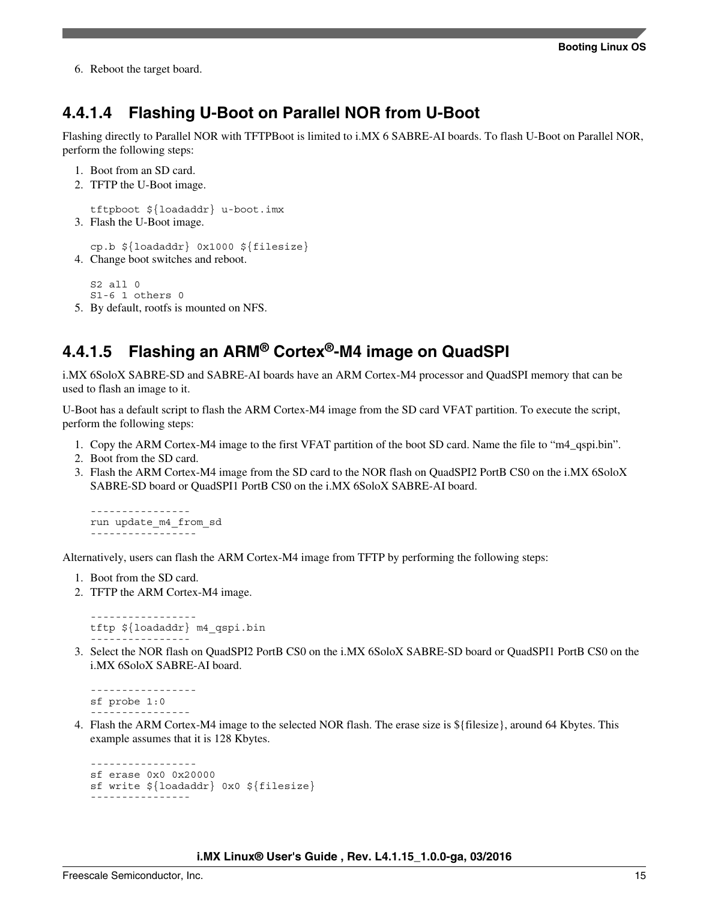6. Reboot the target board.

### **4.4.1.4 Flashing U-Boot on Parallel NOR from U-Boot**

Flashing directly to Parallel NOR with TFTPBoot is limited to i.MX 6 SABRE-AI boards. To flash U-Boot on Parallel NOR, perform the following steps:

```
1. Boot from an SD card.
```
2. TFTP the U-Boot image.

```
tftpboot ${loadaddr} u-boot.imx
3. Flash the U-Boot image.
```

```
cp.b ${loadaddr} 0x1000 ${filesize}
4. Change boot switches and reboot.
```
S2 all 0 S1-6 1 others 0 5. By default, rootfs is mounted on NFS.

### **4.4.1.5 Flashing an ARM® Cortex®-M4 image on QuadSPI**

i.MX 6SoloX SABRE-SD and SABRE-AI boards have an ARM Cortex-M4 processor and QuadSPI memory that can be used to flash an image to it.

U-Boot has a default script to flash the ARM Cortex-M4 image from the SD card VFAT partition. To execute the script, perform the following steps:

- 1. Copy the ARM Cortex-M4 image to the first VFAT partition of the boot SD card. Name the file to "m4\_qspi.bin".
- 2. Boot from the SD card.
- 3. Flash the ARM Cortex-M4 image from the SD card to the NOR flash on QuadSPI2 PortB CS0 on the i.MX 6SoloX SABRE-SD board or QuadSPI1 PortB CS0 on the i.MX 6SoloX SABRE-AI board.

```
----------------
run update_m4_from_sd
-----------------
```
Alternatively, users can flash the ARM Cortex-M4 image from TFTP by performing the following steps:

1. Boot from the SD card.

-----------------

2. TFTP the ARM Cortex-M4 image.

```
tftp ${loadaddr} m4_qspi.bin
----------------
```
3. Select the NOR flash on QuadSPI2 PortB CS0 on the i.MX 6SoloX SABRE-SD board or QuadSPI1 PortB CS0 on the i.MX 6SoloX SABRE-AI board.

```
-----------------
sf probe 1:0
----------------
```
4. Flash the ARM Cortex-M4 image to the selected NOR flash. The erase size is \${filesize}, around 64 Kbytes. This example assumes that it is 128 Kbytes.

```
-----------------
sf erase 0x0 0x20000
sf write ${loadaddr} 0x0 ${filesize}
----------------
```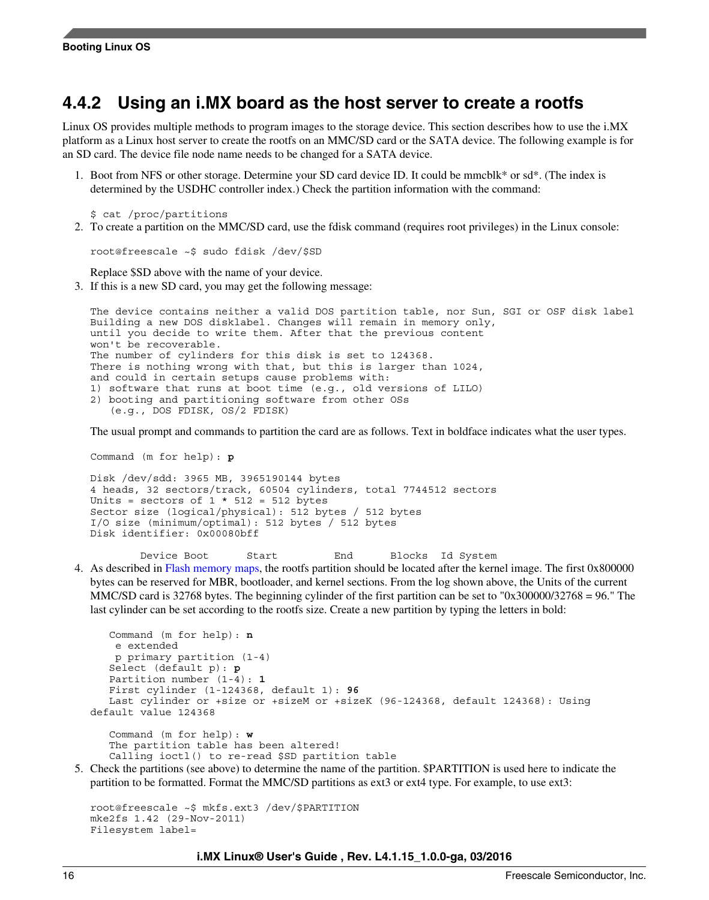### <span id="page-15-0"></span>**4.4.2 Using an i.MX board as the host server to create a rootfs**

Linux OS provides multiple methods to program images to the storage device. This section describes how to use the i.MX platform as a Linux host server to create the rootfs on an MMC/SD card or the SATA device. The following example is for an SD card. The device file node name needs to be changed for a SATA device.

1. Boot from NFS or other storage. Determine your SD card device ID. It could be mmcblk\* or sd\*. (The index is determined by the USDHC controller index.) Check the partition information with the command:

\$ cat /proc/partitions

2. To create a partition on the MMC/SD card, use the fdisk command (requires root privileges) in the Linux console:

root@freescale ~\$ sudo fdisk /dev/\$SD

Replace \$SD above with the name of your device.

3. If this is a new SD card, you may get the following message:

```
The device contains neither a valid DOS partition table, nor Sun, SGI or OSF disk label
Building a new DOS disklabel. Changes will remain in memory only,
until you decide to write them. After that the previous content
won't be recoverable.
The number of cylinders for this disk is set to 124368.
There is nothing wrong with that, but this is larger than 1024,
and could in certain setups cause problems with:
1) software that runs at boot time (e.g., old versions of LILO)
2) booting and partitioning software from other OSs
    (e.g., DOS FDISK, OS/2 FDISK)
```
The usual prompt and commands to partition the card are as follows. Text in boldface indicates what the user types.

Command (m for help): **p**

```
Disk /dev/sdd: 3965 MB, 3965190144 bytes
4 heads, 32 sectors/track, 60504 cylinders, total 7744512 sectors
Units = sectors of 1 * 512 = 512 bytes
Sector size (logical/physical): 512 bytes / 512 bytes
I/O size (minimum/optimal): 512 bytes / 512 bytes
Disk identifier: 0x00080bff
```
Device Boot Start End Blocks Id System

4. As described in [Flash memory maps,](#page-22-0) the rootfs partition should be located after the kernel image. The first 0x800000 bytes can be reserved for MBR, bootloader, and kernel sections. From the log shown above, the Units of the current MMC/SD card is 32768 bytes. The beginning cylinder of the first partition can be set to "0x300000/32768 = 96." The last cylinder can be set according to the rootfs size. Create a new partition by typing the letters in bold:

```
 Command (m for help): n
     e extended
    p primary partition (1-4)
    Select (default p): p
    Partition number (1-4): 1
    First cylinder (1-124368, default 1): 96
    Last cylinder or +size or +sizeM or +sizeK (96-124368, default 124368): Using 
default value 124368 
    Command (m for help): w
    The partition table has been altered!
```

```
 Calling ioctl() to re-read $SD partition table
```
5. Check the partitions (see above) to determine the name of the partition. \$PARTITION is used here to indicate the partition to be formatted. Format the MMC/SD partitions as ext3 or ext4 type. For example, to use ext3:

```
root@freescale ~$ mkfs.ext3 /dev/$PARTITION
mke2fs 1.42 (29-Nov-2011)
Filesystem label=
```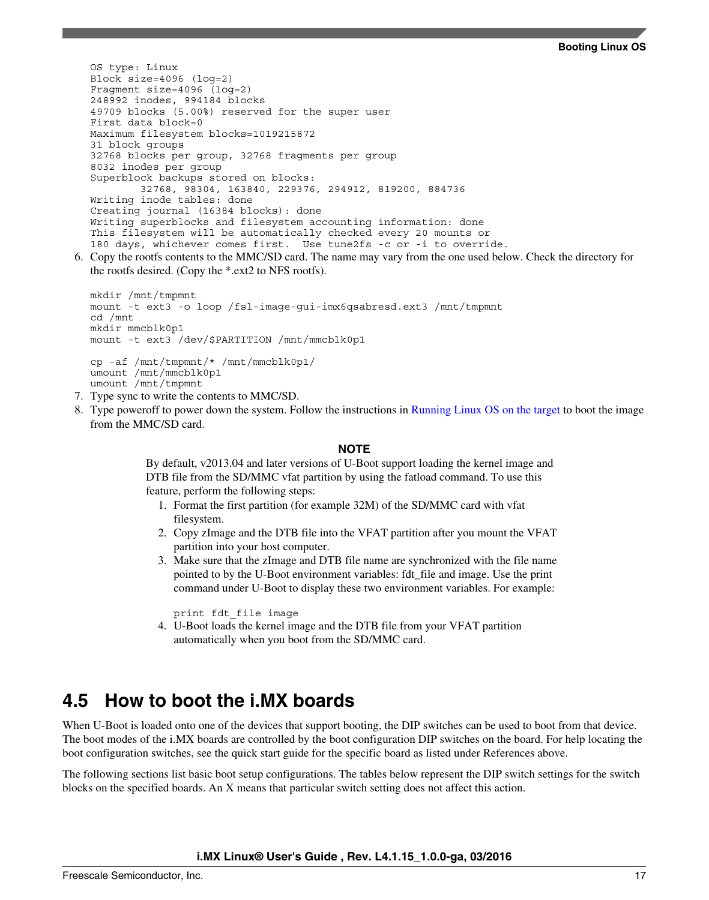OS type: Linux Block size=4096 (log=2) Fragment size=4096 (log=2) 248992 inodes, 994184 blocks 49709 blocks (5.00%) reserved for the super user First data block=0 Maximum filesystem blocks=1019215872 31 block groups 32768 blocks per group, 32768 fragments per group 8032 inodes per group Superblock backups stored on blocks: 32768, 98304, 163840, 229376, 294912, 819200, 884736 Writing inode tables: done Creating journal (16384 blocks): done Writing superblocks and filesystem accounting information: done This filesystem will be automatically checked every 20 mounts or 180 days, whichever comes first. Use tune2fs -c or -i to override.

6. Copy the rootfs contents to the MMC/SD card. The name may vary from the one used below. Check the directory for the rootfs desired. (Copy the \*.ext2 to NFS rootfs).

```
mkdir /mnt/tmpmnt
mount -t ext3 -o loop /fsl-image-gui-imx6qsabresd.ext3 /mnt/tmpmnt
cd /mnt
mkdir mmcblk0p1
mount -t ext3 /dev/$PARTITION /mnt/mmcblk0p1
cp -af /mnt/tmpmnt/* /mnt/mmcblk0p1/
umount /mnt/mmcblk0p1
umount /mnt/tmpmnt
```
- 7. Type sync to write the contents to MMC/SD.
- 8. Type poweroff to power down the system. Follow the instructions in [Running Linux OS on the target](#page-24-0) to boot the image from the MMC/SD card.

#### **NOTE**

By default, v2013.04 and later versions of U-Boot support loading the kernel image and DTB file from the SD/MMC vfat partition by using the fatload command. To use this feature, perform the following steps:

- 1. Format the first partition (for example 32M) of the SD/MMC card with vfat filesystem.
- 2. Copy zImage and the DTB file into the VFAT partition after you mount the VFAT partition into your host computer.
- 3. Make sure that the zImage and DTB file name are synchronized with the file name pointed to by the U-Boot environment variables: fdt\_file and image. Use the print command under U-Boot to display these two environment variables. For example:

print fdt\_file image

4. U-Boot loads the kernel image and the DTB file from your VFAT partition automatically when you boot from the SD/MMC card.

### **4.5 How to boot the i.MX boards**

When U-Boot is loaded onto one of the devices that support booting, the DIP switches can be used to boot from that device. The boot modes of the i.MX boards are controlled by the boot configuration DIP switches on the board. For help locating the boot configuration switches, see the quick start guide for the specific board as listed under References above.

The following sections list basic boot setup configurations. The tables below represent the DIP switch settings for the switch blocks on the specified boards. An X means that particular switch setting does not affect this action.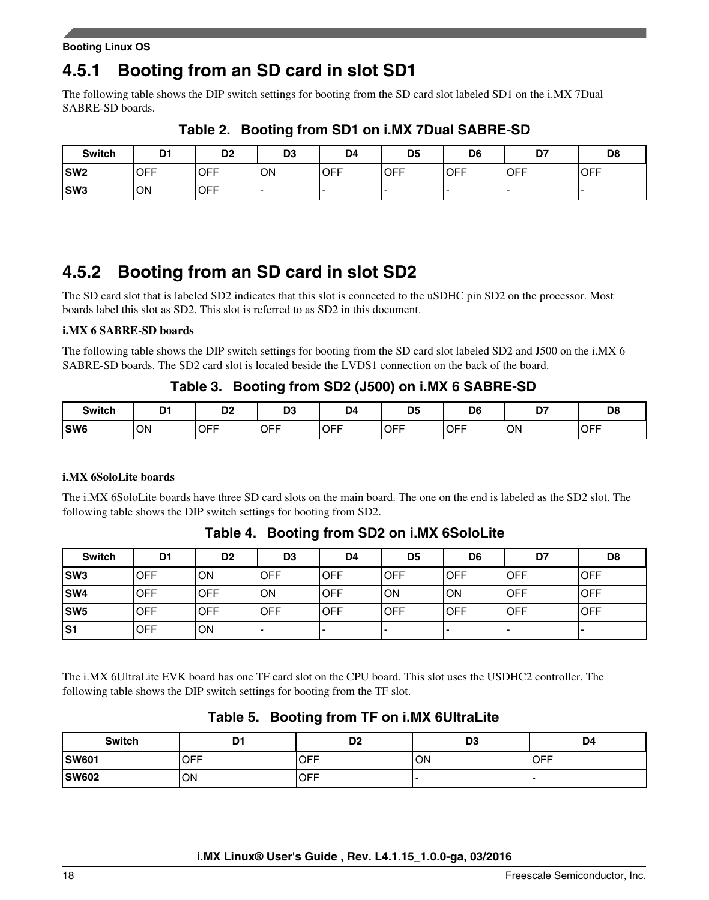#### **Booting Linux OS**

### **4.5.1 Booting from an SD card in slot SD1**

The following table shows the DIP switch settings for booting from the SD card slot labeled SD1 on the i.MX 7Dual SABRE-SD boards.

| <b>Switch</b> | D <sub>1</sub> | D <sub>2</sub> | D <sub>3</sub> | D <sub>4</sub> | D5         | D <sub>6</sub> | D7          | D <sub>8</sub> |
|---------------|----------------|----------------|----------------|----------------|------------|----------------|-------------|----------------|
| <b>SW2</b>    | <b>OFF</b>     | <b>OFF</b>     | ON             | <b>OFF</b>     | <b>OFF</b> | <b>IOFF</b>    | <b>IOFF</b> | <b>OFF</b>     |
| <b>SW3</b>    | ΟN             | <b>OFF</b>     |                |                |            |                |             |                |

**Table 2. Booting from SD1 on i.MX 7Dual SABRE-SD**

## **4.5.2 Booting from an SD card in slot SD2**

The SD card slot that is labeled SD2 indicates that this slot is connected to the uSDHC pin SD2 on the processor. Most boards label this slot as SD2. This slot is referred to as SD2 in this document.

#### **i.MX 6 SABRE-SD boards**

The following table shows the DIP switch settings for booting from the SD card slot labeled SD2 and J500 on the i.MX 6 SABRE-SD boards. The SD2 card slot is located beside the LVDS1 connection on the back of the board.

### **Table 3. Booting from SD2 (J500) on i.MX 6 SABRE-SD**

| <b>Switch</b>   | D1<br>. . | D <sub>0</sub><br>שט | D <sub>3</sub> | D <sub>4</sub> | D <sub>5</sub> | D <sub>6</sub> | n <sub>7</sub><br>י ש | D <sub>8</sub> |
|-----------------|-----------|----------------------|----------------|----------------|----------------|----------------|-----------------------|----------------|
| SW <sub>6</sub> | ON        | <b>OFF</b>           | <b>OFF</b>     | <b>OFF</b>     | <b>OFF</b>     | <b>IOFF</b>    | ON                    | <b>OFF</b>     |

#### **i.MX 6SoloLite boards**

The i.MX 6SoloLite boards have three SD card slots on the main board. The one on the end is labeled as the SD2 slot. The following table shows the DIP switch settings for booting from SD2.

| <b>Switch</b>   | D1         | D <sub>2</sub> | D <sub>3</sub>           | D4                       | D <sub>5</sub>           | D6                       | D7         | D <sub>8</sub>           |
|-----------------|------------|----------------|--------------------------|--------------------------|--------------------------|--------------------------|------------|--------------------------|
| SW <sub>3</sub> | <b>OFF</b> | ON             | <b>OFF</b>               | OFF                      | <b>OFF</b>               | OFF                      | OFF        | <b>OFF</b>               |
| <b>SW4</b>      | <b>OFF</b> | <b>OFF</b>     | ON                       | <b>OFF</b>               | ON                       | ON                       | OFF        | <b>OFF</b>               |
| SW5             | <b>OFF</b> | OFF            | <b>OFF</b>               | OFF                      | <b>OFF</b>               | OFF                      | <b>OFF</b> | <b>OFF</b>               |
| S <sub>1</sub>  | <b>OFF</b> | ON             | $\overline{\phantom{0}}$ | $\overline{\phantom{0}}$ | $\overline{\phantom{0}}$ | $\overline{\phantom{a}}$ |            | $\overline{\phantom{a}}$ |

**Table 4. Booting from SD2 on i.MX 6SoloLite**

The i.MX 6UltraLite EVK board has one TF card slot on the CPU board. This slot uses the USDHC2 controller. The following table shows the DIP switch settings for booting from the TF slot.

### **Table 5. Booting from TF on i.MX 6UltraLite**

| <b>Switch</b> | D1         | D <sub>2</sub> | D <sub>3</sub> | D4         |
|---------------|------------|----------------|----------------|------------|
| <b>SW601</b>  | <b>OFF</b> | <b>IOFF</b>    | ON             | <b>OFF</b> |
| <b>SW602</b>  | OΝ         | OFF            |                |            |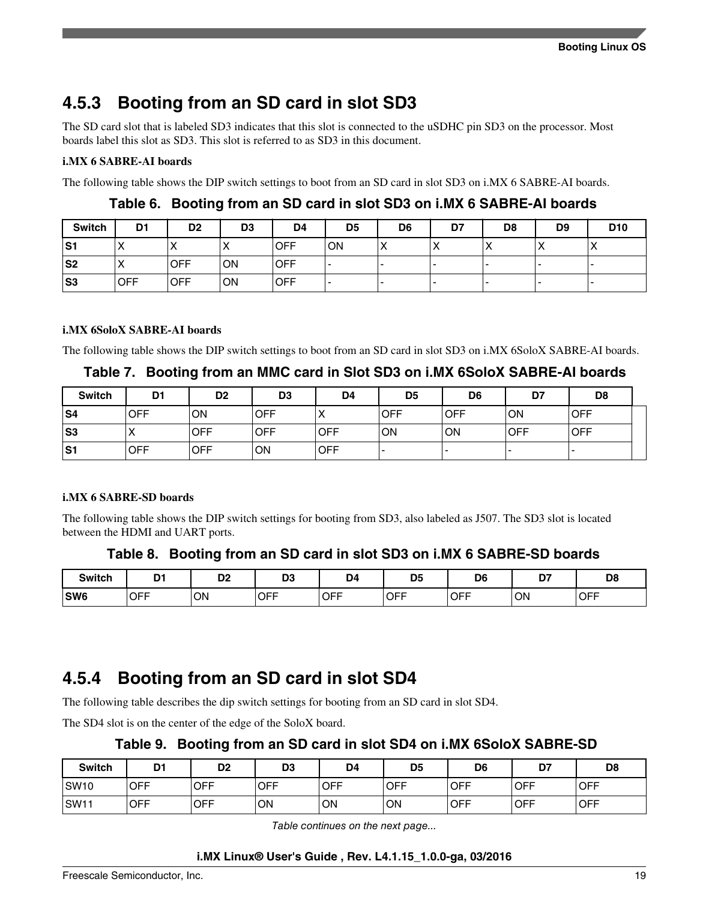## **4.5.3 Booting from an SD card in slot SD3**

The SD card slot that is labeled SD3 indicates that this slot is connected to the uSDHC pin SD3 on the processor. Most boards label this slot as SD3. This slot is referred to as SD3 in this document.

#### **i.MX 6 SABRE-AI boards**

The following table shows the DIP switch settings to boot from an SD card in slot SD3 on i.MX 6 SABRE-AI boards.

| Switch | D <sub>1</sub>       | D <sub>2</sub> | D <sub>3</sub> | D4         | D <sub>5</sub> | D <sub>6</sub> | D7 | D <sub>8</sub>           | D <sub>9</sub> | D <sub>10</sub>  |
|--------|----------------------|----------------|----------------|------------|----------------|----------------|----|--------------------------|----------------|------------------|
| S1     | $\cdot$<br>$\lambda$ | $\lambda$      | $\lambda$      | <b>OFF</b> | ON             | $\lambda$      |    | $\overline{\phantom{a}}$ | ↗              | $\check{ }$<br>⋀ |
| S2     | $\lambda$            | <b>OFF</b>     | ON             | <b>OFF</b> | -              |                |    |                          |                |                  |
| S3     | <b>IOFF</b>          | <b>OFF</b>     | ON             | <b>OFF</b> | -              |                |    |                          |                |                  |

**Table 6. Booting from an SD card in slot SD3 on i.MX 6 SABRE-AI boards**

#### **i.MX 6SoloX SABRE-AI boards**

The following table shows the DIP switch settings to boot from an SD card in slot SD3 on i.MX 6SoloX SABRE-AI boards.

#### **Table 7. Booting from an MMC card in Slot SD3 on i.MX 6SoloX SABRE-AI boards**

| <b>Switch</b> | D1         | D <sub>2</sub> | D <sub>3</sub> | D <sub>4</sub> | D <sub>5</sub> | D <sub>6</sub> | D7         | D <sub>8</sub> |  |
|---------------|------------|----------------|----------------|----------------|----------------|----------------|------------|----------------|--|
| lS4           | <b>OFF</b> | ΟN             | <b>OFF</b>     | $\lambda$      | <b>OFF</b>     | <b>OFF</b>     | ON         | <b>OFF</b>     |  |
| lS3           | ⌒          | <b>OFF</b>     | <b>OFF</b>     | <b>OFF</b>     | ON             | ON             | <b>OFF</b> | <b>OFF</b>     |  |
| S1l           | <b>OFF</b> | <b>OFF</b>     | ON             | <b>OFF</b>     |                |                |            |                |  |

#### **i.MX 6 SABRE-SD boards**

The following table shows the DIP switch settings for booting from SD3, also labeled as J507. The SD3 slot is located between the HDMI and UART ports.

#### **Table 8. Booting from an SD card in slot SD3 on i.MX 6 SABRE-SD boards**

| <b>Switch</b> | D <sub>1</sub> | D0<br>υ۷ | D <sub>0</sub><br>υJ | D4<br>. .  | D <sub>5</sub> | D <sub>6</sub> | n,<br>., | D <sub>8</sub> |
|---------------|----------------|----------|----------------------|------------|----------------|----------------|----------|----------------|
| SW6           | <b>OFF</b>     | ON       | <b>OFF</b>           | <b>OFF</b> | <b>OFF</b>     | <b>OFF</b>     | ON       | <b>OFF</b>     |

### **4.5.4 Booting from an SD card in slot SD4**

The following table describes the dip switch settings for booting from an SD card in slot SD4.

The SD4 slot is on the center of the edge of the SoloX board.

#### **Table 9. Booting from an SD card in slot SD4 on i.MX 6SoloX SABRE-SD**

| <b>Switch</b>    | n.         | D <sub>2</sub> | D <sub>3</sub> | D <sub>4</sub> | D <sub>5</sub> | D6          | D7          | D <sub>8</sub> |
|------------------|------------|----------------|----------------|----------------|----------------|-------------|-------------|----------------|
| SW <sub>10</sub> | <b>OFF</b> | <b>OFF</b>     | <b>OFF</b>     | <b>OFF</b>     | <b>OFF</b>     | <b>IOFF</b> | <b>OFF</b>  | <b>OFF</b>     |
| SW <sub>11</sub> | <b>OFF</b> | <b>OFF</b>     | ON             | <b>ON</b>      | ON             | <b>OFF</b>  | <b>IOFF</b> | <b>OFF</b>     |

*Table continues on the next page...*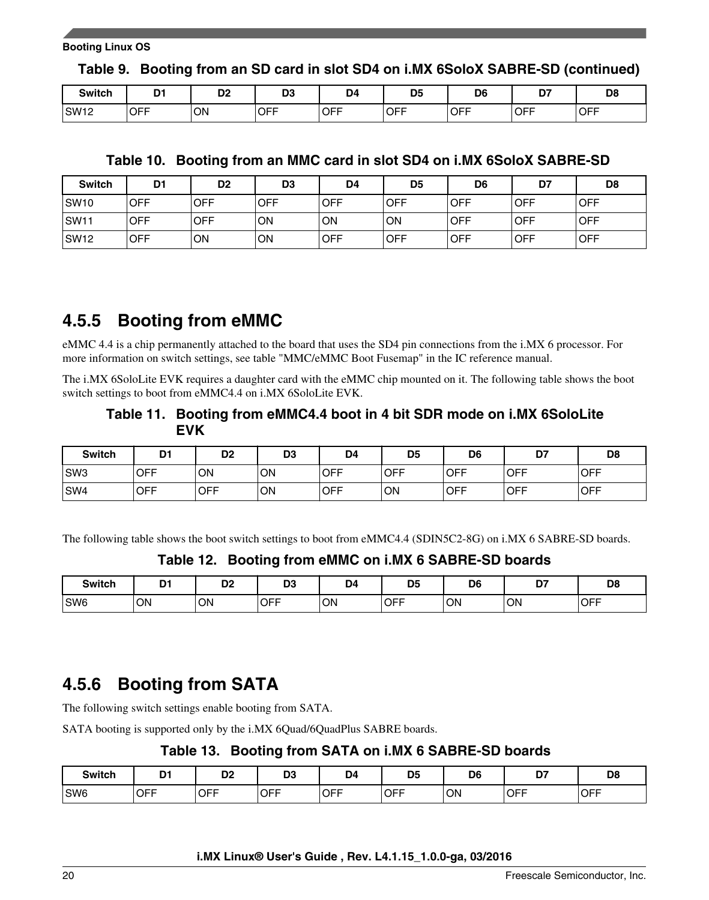**Table 9. Booting from an SD card in slot SD4 on i.MX 6SoloX SABRE-SD (continued)**

| <b>Switch</b>    | n.         | D <sub>2</sub> | D3         | D4   | D <sub>5</sub> | D <sub>6</sub> | --<br>יש   | D <sub>8</sub> |
|------------------|------------|----------------|------------|------|----------------|----------------|------------|----------------|
| SW <sub>12</sub> | <b>OFF</b> | <b>ON</b>      | <b>OFF</b> | ,OFF | <b>OFF</b>     | <b>OFF</b>     | <b>OFF</b> | <b>OFF</b>     |

### **Table 10. Booting from an MMC card in slot SD4 on i.MX 6SoloX SABRE-SD**

| <b>Switch</b>    | D <sub>1</sub> | D <sub>2</sub> | D <sub>3</sub> | D <sub>4</sub> | D5         | D <sub>6</sub> | D7         | D <sub>8</sub> |
|------------------|----------------|----------------|----------------|----------------|------------|----------------|------------|----------------|
| <b>SW10</b>      | <b>OFF</b>     | OFF            | <b>OFF</b>     | <b>OFF</b>     | <b>OFF</b> | <b>OFF</b>     | <b>OFF</b> | <b>OFF</b>     |
| SW <sub>11</sub> | <b>OFF</b>     | OFF            | ON             | ON             | OΝ         | <b>OFF</b>     | <b>OFF</b> | <b>OFF</b>     |
| SW <sub>12</sub> | <b>OFF</b>     | ON             | ON             | <b>OFF</b>     | <b>OFF</b> | <b>OFF</b>     | <b>OFF</b> | <b>OFF</b>     |

## **4.5.5 Booting from eMMC**

eMMC 4.4 is a chip permanently attached to the board that uses the SD4 pin connections from the i.MX 6 processor. For more information on switch settings, see table "MMC/eMMC Boot Fusemap" in the IC reference manual.

The i.MX 6SoloLite EVK requires a daughter card with the eMMC chip mounted on it. The following table shows the boot switch settings to boot from eMMC4.4 on i.MX 6SoloLite EVK.

### **Table 11. Booting from eMMC4.4 boot in 4 bit SDR mode on i.MX 6SoloLite EVK**

| <b>Switch</b>   | D1         | D <sub>2</sub> | D <sub>3</sub> | D <sub>4</sub> | D <sub>5</sub> | D <sub>6</sub> | D7               | D <sub>8</sub> |
|-----------------|------------|----------------|----------------|----------------|----------------|----------------|------------------|----------------|
| SW <sub>3</sub> | <b>OFF</b> | ON             | ON             | <b>OFF</b>     | <b>OFF</b>     | <b>IOFF</b>    | <b>IOFF</b>      | <b>OFF</b>     |
| SW <sub>4</sub> | <b>OFF</b> | <b>OFF</b>     | ON             | <b>OFF</b>     | ON             | <b>OFF</b>     | <sub>I</sub> OFF | <b>OFF</b>     |

The following table shows the boot switch settings to boot from eMMC4.4 (SDIN5C2-8G) on i.MX 6 SABRE-SD boards.

#### **Table 12. Booting from eMMC on i.MX 6 SABRE-SD boards**

| <b>Switch</b>   | m,<br>_ | D <sub>2</sub> | D <sub>3</sub> | D4  | <b>DE</b><br>IJJ | D <sub>6</sub> | D7<br>.<br>$\sim$ | D <sub>8</sub> |
|-----------------|---------|----------------|----------------|-----|------------------|----------------|-------------------|----------------|
| SW <sub>6</sub> | ON      | ON             | <b>OFF</b>     | 'ON | <b>OFF</b>       | ON             | 'ON               | <b>OFF</b>     |

## **4.5.6 Booting from SATA**

The following switch settings enable booting from SATA.

SATA booting is supported only by the i.MX 6Quad/6QuadPlus SABRE boards.

### **Table 13. Booting from SATA on i.MX 6 SABRE-SD boards**

| <b>Switch</b>   | D-1<br>-             | D <sub>o</sub><br>◡  | D <sub>3</sub>              | D <sub>4</sub>    | D <sub>5</sub><br>$\sim$ | D <sub>6</sub> | --<br>י ש  | D <sub>8</sub> |
|-----------------|----------------------|----------------------|-----------------------------|-------------------|--------------------------|----------------|------------|----------------|
| SW <sub>6</sub> | <b>OFF</b><br>$\sim$ | <b>OFF</b><br>$\sim$ | <b>OFF</b><br>$\sim$ $\sim$ | <b>OFF</b><br>$-$ | <sub>I</sub> OFF         | ON             | <b>OFF</b> | <b>OFF</b>     |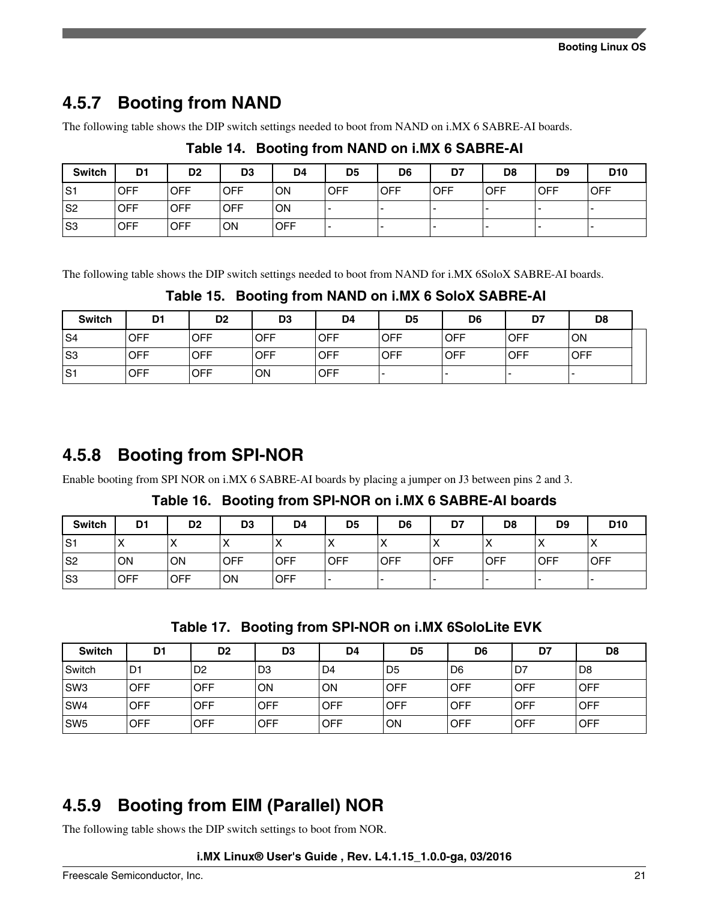## **4.5.7 Booting from NAND**

The following table shows the DIP switch settings needed to boot from NAND on i.MX 6 SABRE-AI boards.

| <b>Switch</b>  | D <sub>1</sub> | D <sub>2</sub> | D <sub>3</sub> | D <sub>4</sub> | D <sub>5</sub> | D <sub>6</sub> | D7         | D8         | D <sub>9</sub> | D <sub>10</sub> |
|----------------|----------------|----------------|----------------|----------------|----------------|----------------|------------|------------|----------------|-----------------|
| S1             | <b>OFF</b>     | <b>IOFF</b>    | <b>OFF</b>     | <b>ON</b>      | <b>IOFF</b>    | <b>OFF</b>     | <b>OFF</b> | <b>OFF</b> | <b>OFF</b>     | <b>OFF</b>      |
| S2             | <b>OFF</b>     | <b>OFF</b>     | <b>OFF</b>     | <b>ON</b>      | . .            |                | -          |            |                |                 |
| S <sub>3</sub> | <b>OFF</b>     | <b>OFF</b>     | ON             | <b>OFF</b>     | . .            |                |            |            |                |                 |

### **Table 14. Booting from NAND on i.MX 6 SABRE-AI**

The following table shows the DIP switch settings needed to boot from NAND for i.MX 6SoloX SABRE-AI boards.

**Table 15. Booting from NAND on i.MX 6 SoloX SABRE-AI**

| <b>Switch</b> | D <sub>1</sub> | D <sub>2</sub> | D <sub>3</sub> | D <sub>4</sub> | D <sub>5</sub> | D <sub>6</sub> | D7         | D <sub>8</sub> |  |
|---------------|----------------|----------------|----------------|----------------|----------------|----------------|------------|----------------|--|
| S4            | <b>OFF</b>     | <b>OFF</b>     | <b>OFF</b>     | <b>OFF</b>     | <b>OFF</b>     | <b>OFF</b>     | <b>OFF</b> | ON             |  |
| S3            | <b>OFF</b>     | <b>OFF</b>     | <b>OFF</b>     | <b>OFF</b>     | <b>OFF</b>     | <b>OFF</b>     | <b>OFF</b> | <b>OFF</b>     |  |
| S1            | <b>OFF</b>     | <b>OFF</b>     | ON             | <b>OFF</b>     |                |                |            | -              |  |

## **4.5.8 Booting from SPI-NOR**

Enable booting from SPI NOR on i.MX 6 SABRE-AI boards by placing a jumper on J3 between pins 2 and 3.

**Table 16. Booting from SPI-NOR on i.MX 6 SABRE-AI boards**

| <b>Switch</b>  | D <sub>1</sub>    | D <sub>2</sub> | D <sub>3</sub> | D <sub>4</sub> | D <sub>5</sub> | D <sub>6</sub> | D7         | D <sub>8</sub> | D <sub>9</sub> | D <sub>10</sub> |
|----------------|-------------------|----------------|----------------|----------------|----------------|----------------|------------|----------------|----------------|-----------------|
| S1             | $\checkmark$<br>⋏ | ∧              | $\lambda$      | $\lambda$      | ⌒              | 71             |            |                |                | $\lambda$       |
| S <sub>2</sub> | ON                | ON             | <b>OFF</b>     | <b>OFF</b>     | <b>OFF</b>     | <b>OFF</b>     | <b>OFF</b> | <b>OFF</b>     | <b>OFF</b>     | <b>OFF</b>      |
| S <sub>3</sub> | <b>OFF</b>        | <b>OFF</b>     | ON             | <b>OFF</b>     |                |                |            |                |                |                 |

**Table 17. Booting from SPI-NOR on i.MX 6SoloLite EVK**

| <b>Switch</b>   | D1             | D <sub>2</sub> | D <sub>3</sub> | D4         | D5             | D <sub>6</sub> | D7         | D <sub>8</sub> |
|-----------------|----------------|----------------|----------------|------------|----------------|----------------|------------|----------------|
| l Switch        | D <sub>1</sub> | D <sub>2</sub> | D <sub>3</sub> | D4         | D <sub>5</sub> | D <sub>6</sub> | D7.        | l D8           |
| SW3             | <b>OFF</b>     | <b>OFF</b>     | ON             | ON         | <b>OFF</b>     | <b>OFF</b>     | OFF        | OFF            |
| SW4             | <b>OFF</b>     | OFF            | OFF            | OFF        | <b>OFF</b>     | <b>OFF</b>     | <b>OFF</b> | OFF            |
| SW <sub>5</sub> | <b>OFF</b>     | <b>OFF</b>     | <b>OFF</b>     | <b>OFF</b> | ON             | <b>OFF</b>     | <b>OFF</b> | <b>OFF</b>     |

## **4.5.9 Booting from EIM (Parallel) NOR**

The following table shows the DIP switch settings to boot from NOR.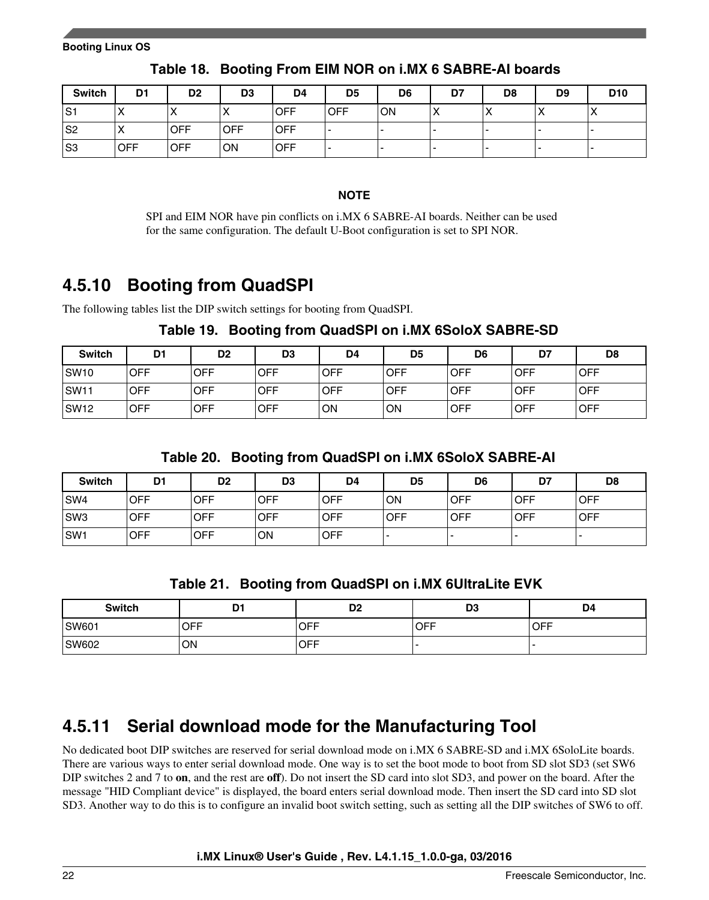<span id="page-21-0"></span>

| <b>Switch</b>  | D <sub>1</sub> | D <sub>2</sub> | D <sub>3</sub> | D <sub>4</sub> | D <sub>5</sub> | D <sub>6</sub> | D7                             | D <sub>8</sub> | D <sub>9</sub> | D <sub>10</sub> |
|----------------|----------------|----------------|----------------|----------------|----------------|----------------|--------------------------------|----------------|----------------|-----------------|
| S1             |                | ⌒              | $\lambda$      | <b>OFF</b>     | <b>OFF</b>     | ON             | $\boldsymbol{\mathsf{v}}$<br>⌒ |                | $\lambda$      | $\sqrt{ }$      |
| S <sub>2</sub> |                | <b>OFF</b>     | <b>OFF</b>     | <b>OFF</b>     | -              |                |                                |                |                |                 |
| S <sub>3</sub> | <b>OFF</b>     | <b>OFF</b>     | ON             | <b>OFF</b>     |                |                |                                |                |                |                 |

**Table 18. Booting From EIM NOR on i.MX 6 SABRE-AI boards**

#### **NOTE**

SPI and EIM NOR have pin conflicts on i.MX 6 SABRE-AI boards. Neither can be used for the same configuration. The default U-Boot configuration is set to SPI NOR.

## **4.5.10 Booting from QuadSPI**

The following tables list the DIP switch settings for booting from QuadSPI.

**Table 19. Booting from QuadSPI on i.MX 6SoloX SABRE-SD**

| <b>Switch</b> | D <sub>1</sub> | D <sub>2</sub> | D <sub>3</sub> | D4   | D <sub>5</sub> | D <sub>6</sub> | D7         | D8         |
|---------------|----------------|----------------|----------------|------|----------------|----------------|------------|------------|
| SW10          | <b>OFF</b>     | <b>OFF</b>     | OFF            | ⊦OFF | OFF            | OFF            | <b>OFF</b> | <b>OFF</b> |
| SW11          | OFF.           | <b>OFF</b>     | OFF            | OFF  | OFF            | <b>OFF</b>     | <b>OFF</b> | <b>OFF</b> |
| ISW12         | <b>OFF</b>     | <b>OFF</b>     | OFF            | ON   | ON             | <b>OFF</b>     | <b>OFF</b> | <b>OFF</b> |

**Table 20. Booting from QuadSPI on i.MX 6SoloX SABRE-AI**

| <b>Switch</b> | D <sub>1</sub> | D <sub>2</sub> | D <sub>3</sub> | D4         | D <sub>5</sub> | D <sub>6</sub> | D7         | D <sub>8</sub> |
|---------------|----------------|----------------|----------------|------------|----------------|----------------|------------|----------------|
| SW4           | <b>OFF</b>     | <b>OFF</b>     | <b>OFF</b>     | OFF        | ON             | <b>IOFF</b>    | <b>OFF</b> | <b>OFF</b>     |
| SW3           | <b>OFF</b>     | <b>OFF</b>     | <b>OFF</b>     | <b>OFF</b> | <b>OFF</b>     | <b>IOFF</b>    | <b>OFF</b> | <b>OFF</b>     |
| SW1           | <b>OFF</b>     | <b>OFF</b>     | <b>ON</b>      | <b>OFF</b> |                |                | -          | -              |

**Table 21. Booting from QuadSPI on i.MX 6UltraLite EVK**

| <b>Switch</b> | D1  | D <sub>2</sub> | D <sub>3</sub> | D4                |
|---------------|-----|----------------|----------------|-------------------|
| SW601         | OFF | <b>OFF</b>     | <b>OFF</b>     | $\overline{)$ OFF |
| SW602         | ON  | <b>OFF</b>     |                |                   |

## **4.5.11 Serial download mode for the Manufacturing Tool**

No dedicated boot DIP switches are reserved for serial download mode on i.MX 6 SABRE-SD and i.MX 6SoloLite boards. There are various ways to enter serial download mode. One way is to set the boot mode to boot from SD slot SD3 (set SW6 DIP switches 2 and 7 to **on**, and the rest are **off**). Do not insert the SD card into slot SD3, and power on the board. After the message "HID Compliant device" is displayed, the board enters serial download mode. Then insert the SD card into SD slot SD3. Another way to do this is to configure an invalid boot switch setting, such as setting all the DIP switches of SW6 to off.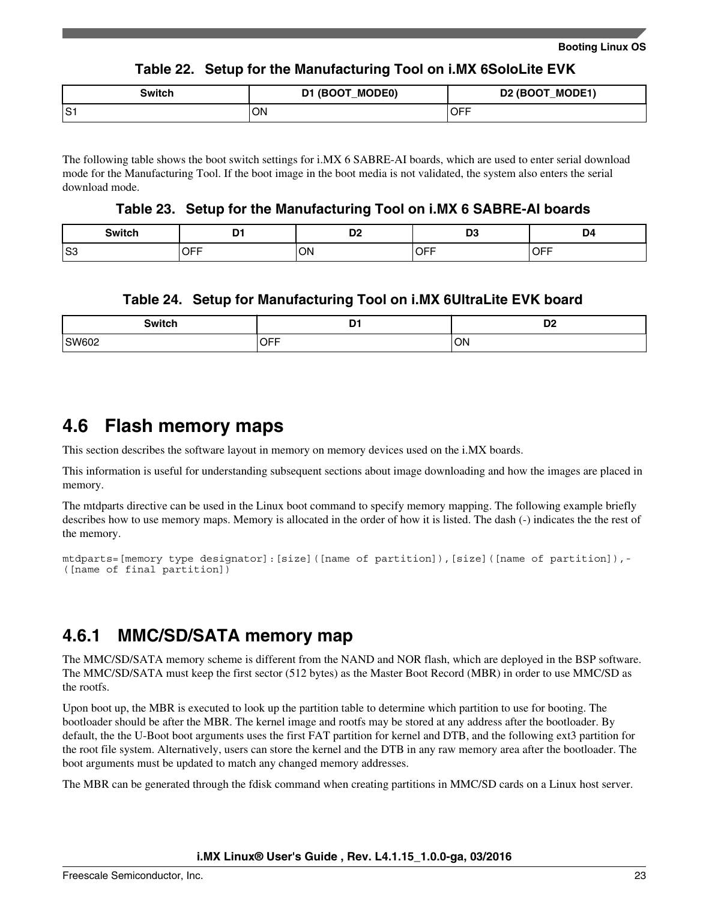#### **Table 22. Setup for the Manufacturing Tool on i.MX 6SoloLite EVK**

<span id="page-22-0"></span>

| <b>Switch</b> | (BOOT_MODE0)<br>D1 | D2 (BOOT_MODE1)   |
|---------------|--------------------|-------------------|
| S1:           | ON                 | $\overline{)$ OFF |

The following table shows the boot switch settings for i.MX 6 SABRE-AI boards, which are used to enter serial download mode for the Manufacturing Tool. If the boot image in the boot media is not validated, the system also enters the serial download mode.

#### **Table 23. Setup for the Manufacturing Tool on i.MX 6 SABRE-AI boards**

|       | $ -$         | --           | D.                                                            | Ю                    |
|-------|--------------|--------------|---------------------------------------------------------------|----------------------|
| _____ |              | ◡▵           | יש                                                            | $ -$                 |
| S3    | --<br>$\sim$ | ON<br>$\sim$ | ----<br>℩∟<br>◡┌<br>$\sim$ $\sim$ $\sim$ $\sim$ $\sim$ $\sim$ | . ––<br>ו⊢<br>$\sim$ |

#### **Table 24. Setup for Manufacturing Tool on i.MX 6UltraLite EVK board**

| <b>Switch</b> | . .<br>. .<br>_ | DC.<br>◡▵ |
|---------------|-----------------|-----------|
| SW602         | CET             | 'ON       |
| ____          | ◡┌┌             | $\sim$    |

### **4.6 Flash memory maps**

This section describes the software layout in memory on memory devices used on the i.MX boards.

This information is useful for understanding subsequent sections about image downloading and how the images are placed in memory.

The mtdparts directive can be used in the Linux boot command to specify memory mapping. The following example briefly describes how to use memory maps. Memory is allocated in the order of how it is listed. The dash (-) indicates the the rest of the memory.

```
mtdparts=[memory type designator]: [size]([name of partition]), [size]([name of partition]),-
([name of final partition])
```
### **4.6.1 MMC/SD/SATA memory map**

The MMC/SD/SATA memory scheme is different from the NAND and NOR flash, which are deployed in the BSP software. The MMC/SD/SATA must keep the first sector (512 bytes) as the Master Boot Record (MBR) in order to use MMC/SD as the rootfs.

Upon boot up, the MBR is executed to look up the partition table to determine which partition to use for booting. The bootloader should be after the MBR. The kernel image and rootfs may be stored at any address after the bootloader. By default, the the U-Boot boot arguments uses the first FAT partition for kernel and DTB, and the following ext3 partition for the root file system. Alternatively, users can store the kernel and the DTB in any raw memory area after the bootloader. The boot arguments must be updated to match any changed memory addresses.

The MBR can be generated through the fdisk command when creating partitions in MMC/SD cards on a Linux host server.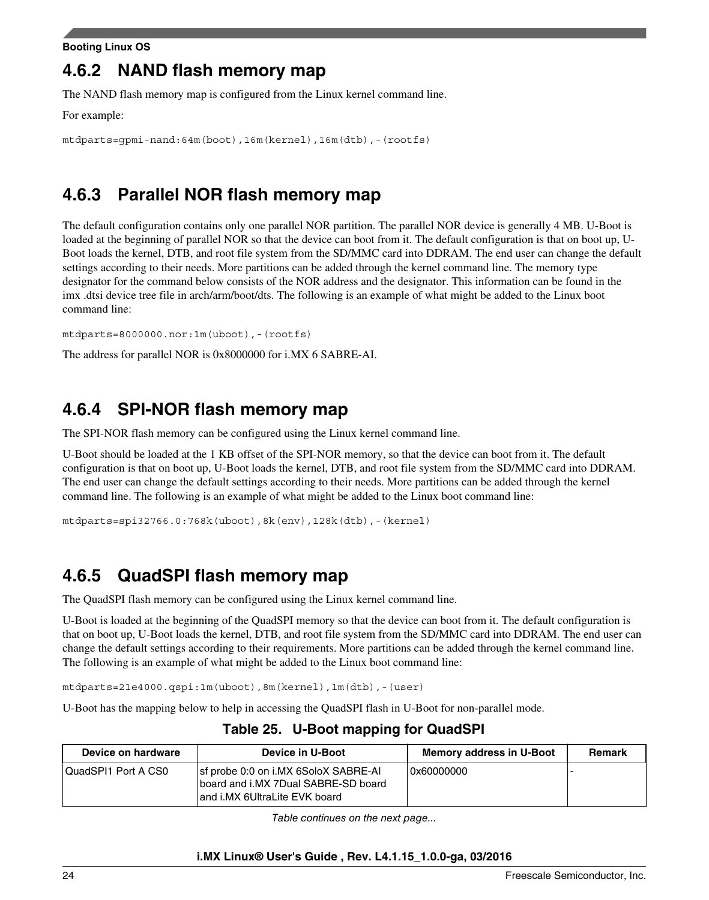#### **Booting Linux OS**

## **4.6.2 NAND flash memory map**

The NAND flash memory map is configured from the Linux kernel command line.

For example:

```
mtdparts=gpmi-nand:64m(boot),16m(kernel),16m(dtb),-(rootfs)
```
## **4.6.3 Parallel NOR flash memory map**

The default configuration contains only one parallel NOR partition. The parallel NOR device is generally 4 MB. U-Boot is loaded at the beginning of parallel NOR so that the device can boot from it. The default configuration is that on boot up, U-Boot loads the kernel, DTB, and root file system from the SD/MMC card into DDRAM. The end user can change the default settings according to their needs. More partitions can be added through the kernel command line. The memory type designator for the command below consists of the NOR address and the designator. This information can be found in the imx .dtsi device tree file in arch/arm/boot/dts. The following is an example of what might be added to the Linux boot command line:

```
mtdparts=8000000.nor:1m(uboot),-(rootfs)
```
The address for parallel NOR is 0x8000000 for i.MX 6 SABRE-AI.

## **4.6.4 SPI-NOR flash memory map**

The SPI-NOR flash memory can be configured using the Linux kernel command line.

U-Boot should be loaded at the 1 KB offset of the SPI-NOR memory, so that the device can boot from it. The default configuration is that on boot up, U-Boot loads the kernel, DTB, and root file system from the SD/MMC card into DDRAM. The end user can change the default settings according to their needs. More partitions can be added through the kernel command line. The following is an example of what might be added to the Linux boot command line:

```
mtdparts=spi32766.0:768k(uboot),8k(env),128k(dtb),-(kernel)
```
## **4.6.5 QuadSPI flash memory map**

The QuadSPI flash memory can be configured using the Linux kernel command line.

U-Boot is loaded at the beginning of the QuadSPI memory so that the device can boot from it. The default configuration is that on boot up, U-Boot loads the kernel, DTB, and root file system from the SD/MMC card into DDRAM. The end user can change the default settings according to their requirements. More partitions can be added through the kernel command line. The following is an example of what might be added to the Linux boot command line:

mtdparts=21e4000.qspi:1m(uboot),8m(kernel),1m(dtb),-(user)

U-Boot has the mapping below to help in accessing the QuadSPI flash in U-Boot for non-parallel mode.

| Device on hardware  | Device in U-Boot                                                                                             | Memory address in U-Boot | Remark |
|---------------------|--------------------------------------------------------------------------------------------------------------|--------------------------|--------|
| QuadSPI1 Port A CS0 | sf probe 0:0 on i.MX 6SoloX SABRE-AI<br>board and i.MX 7Dual SABRE-SD board<br>and i.MX 6UltraLite EVK board | 0x60000000               |        |

### **Table 25. U-Boot mapping for QuadSPI**

*Table continues on the next page...*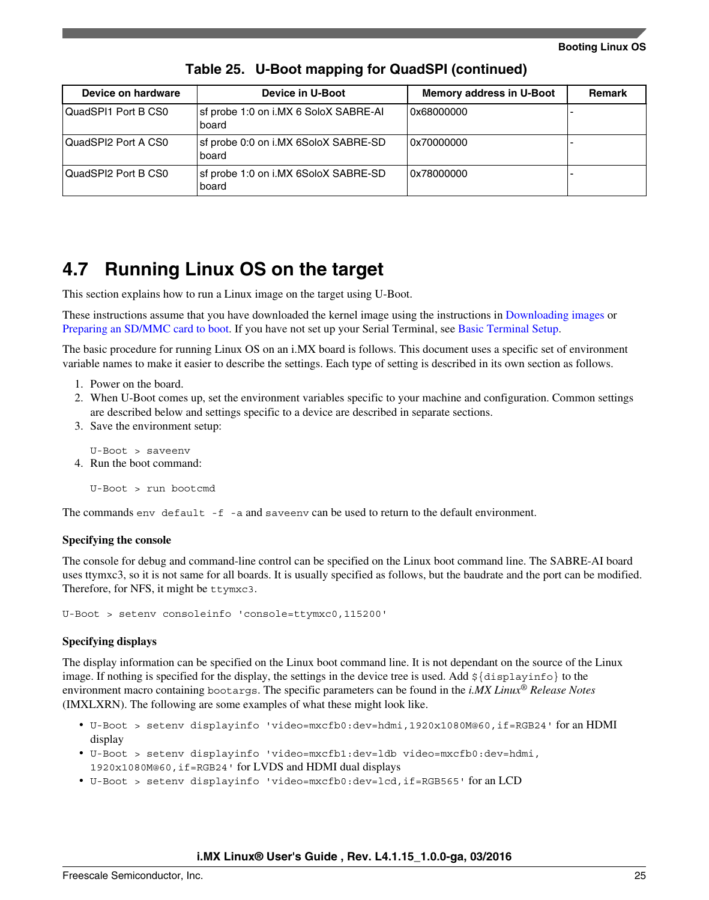<span id="page-24-0"></span>

| Device on hardware  | Device in U-Boot                               | Memory address in U-Boot | <b>Remark</b> |
|---------------------|------------------------------------------------|--------------------------|---------------|
| QuadSPI1 Port B CS0 | sf probe 1:0 on i.MX 6 SoloX SABRE-AI<br>board | 0x68000000               |               |
| QuadSPI2 Port A CS0 | sf probe 0:0 on i.MX 6SoloX SABRE-SD<br>board  | 0x70000000               |               |
| QuadSPI2 Port B CS0 | sf probe 1:0 on i.MX 6SoloX SABRE-SD<br>board  | 0x78000000               |               |

**Table 25. U-Boot mapping for QuadSPI (continued)**

### **4.7 Running Linux OS on the target**

This section explains how to run a Linux image on the target using U-Boot.

These instructions assume that you have downloaded the kernel image using the instructions in [Downloading images o](#page-10-0)r [Preparing an SD/MMC card to boot.](#page-6-0) If you have not set up your Serial Terminal, see [Basic Terminal Setup](#page-2-0).

The basic procedure for running Linux OS on an i.MX board is follows. This document uses a specific set of environment variable names to make it easier to describe the settings. Each type of setting is described in its own section as follows.

- 1. Power on the board.
- 2. When U-Boot comes up, set the environment variables specific to your machine and configuration. Common settings are described below and settings specific to a device are described in separate sections.
- 3. Save the environment setup:

U-Boot > saveenv 4. Run the boot command:

U-Boot > run bootcmd

The commands env default -f -a and saveenv can be used to return to the default environment.

#### **Specifying the console**

The console for debug and command-line control can be specified on the Linux boot command line. The SABRE-AI board uses ttymxc3, so it is not same for all boards. It is usually specified as follows, but the baudrate and the port can be modified. Therefore, for NFS, it might be ttymxc3.

U-Boot > setenv consoleinfo 'console=ttymxc0,115200'

#### **Specifying displays**

The display information can be specified on the Linux boot command line. It is not dependant on the source of the Linux image. If nothing is specified for the display, the settings in the device tree is used. Add \${displayinfo} to the environment macro containing bootargs. The specific parameters can be found in the *i.MX Linux® Release Notes* (IMXLXRN). The following are some examples of what these might look like.

- U-Boot > setenv displayinfo 'video=mxcfb0:dev=hdmi,1920x1080M@60,if=RGB24' for an HDMI display
- U-Boot > setenv displayinfo 'video=mxcfb1:dev=ldb video=mxcfb0:dev=hdmi, 1920x1080M@60,if=RGB24' for LVDS and HDMI dual displays
- U-Boot > setenv displayinfo 'video=mxcfb0:dev=lcd,if=RGB565' for an LCD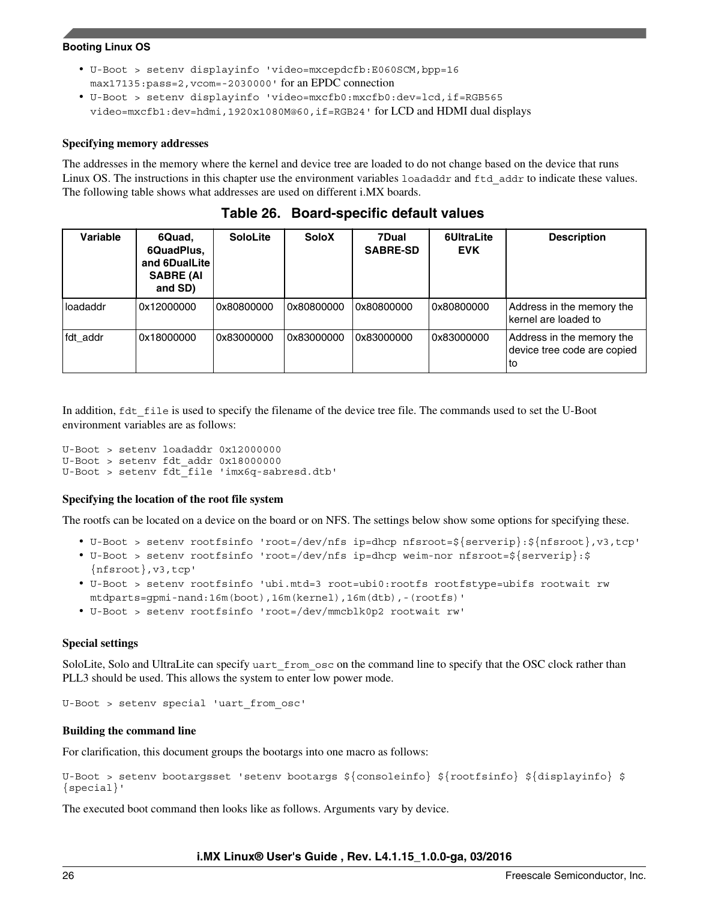#### **Booting Linux OS**

- U-Boot > setenv displayinfo 'video=mxcepdcfb:E060SCM,bpp=16 max17135:pass=2,vcom=-2030000' for an EPDC connection
- U-Boot > setenv displayinfo 'video=mxcfb0:mxcfb0:dev=lcd,if=RGB565 video=mxcfb1:dev=hdmi,1920x1080M@60,if=RGB24' for LCD and HDMI dual displays

#### **Specifying memory addresses**

The addresses in the memory where the kernel and device tree are loaded to do not change based on the device that runs Linux OS. The instructions in this chapter use the environment variables loadaddr and ftd\_addr to indicate these values. The following table shows what addresses are used on different i.MX boards.

| Variable | 6Quad,<br>6QuadPlus,<br>and 6DualLite<br><b>SABRE (AI</b><br>and SD) | <b>SoloLite</b> | <b>SoloX</b> | 7Dual<br><b>SABRE-SD</b> | 6UltraLite<br><b>EVK</b> | <b>Description</b>                                               |
|----------|----------------------------------------------------------------------|-----------------|--------------|--------------------------|--------------------------|------------------------------------------------------------------|
| loadaddr | 0x12000000                                                           | 0x80800000 l    | 0x80800000 l | 0x80800000               | 0x80800000               | Address in the memory the<br>kernel are loaded to                |
| fdt addr | 0x18000000                                                           | 0x83000000      | 0x83000000   | 0x83000000               | 0x83000000               | Address in the memory the<br>device tree code are copied<br>l to |

**Table 26. Board-specific default values**

In addition,  $fdt_f$ ile is used to specify the filename of the device tree file. The commands used to set the U-Boot environment variables are as follows:

U-Boot > setenv loadaddr 0x12000000 U-Boot > setenv fdt\_addr 0x18000000 U-Boot > setenv fdt\_file 'imx6q-sabresd.dtb'

#### **Specifying the location of the root file system**

The rootfs can be located on a device on the board or on NFS. The settings below show some options for specifying these.

- U-Boot > setenv rootfsinfo 'root=/dev/nfs ip=dhcp nfsroot=\${serverip}:\${nfsroot},v3,tcp'
- U-Boot > setenv rootfsinfo 'root=/dev/nfs ip=dhcp weim-nor nfsroot=\${serverip}:\$ {nfsroot},v3,tcp'
- U-Boot > setenv rootfsinfo 'ubi.mtd=3 root=ubi0:rootfs rootfstype=ubifs rootwait rw mtdparts=gpmi-nand:16m(boot),16m(kernel),16m(dtb),-(rootfs)'
- U-Boot > setenv rootfsinfo 'root=/dev/mmcblk0p2 rootwait rw'

#### **Special settings**

SoloLite, Solo and UltraLite can specify uart from osc on the command line to specify that the OSC clock rather than PLL3 should be used. This allows the system to enter low power mode.

```
U-Boot > setenv special 'uart_from_osc'
```
#### **Building the command line**

For clarification, this document groups the bootargs into one macro as follows:

U-Boot > setenv bootargsset 'setenv bootargs \${consoleinfo} \${rootfsinfo} \${displayinfo} \$ {special}'

The executed boot command then looks like as follows. Arguments vary by device.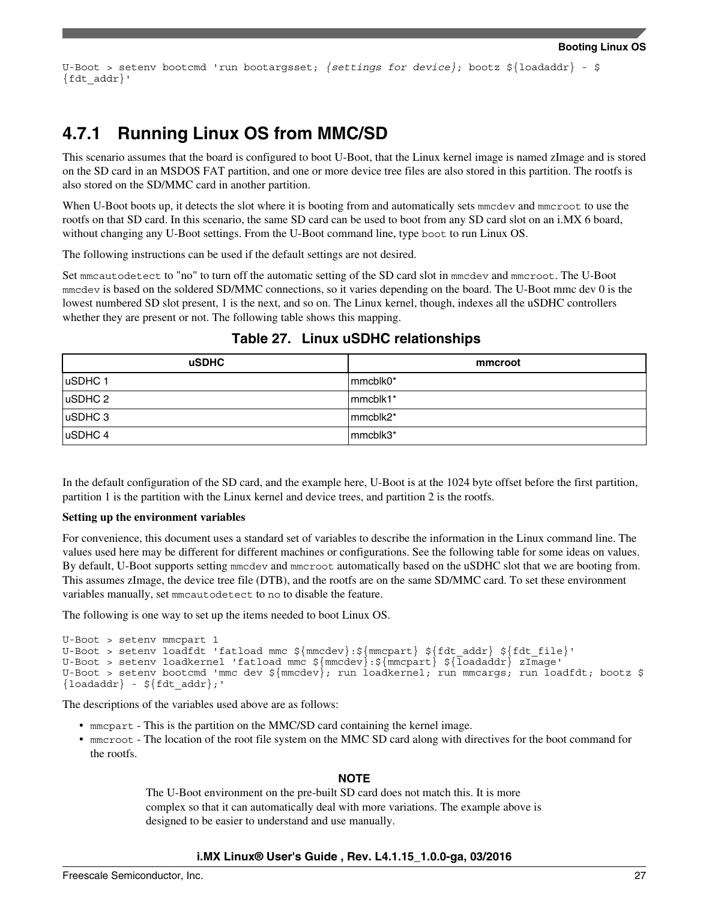U-Boot > setenv bootcmd 'run bootargsset; *{settings for device}*; bootz \${loadaddr} - \$ {fdt\_addr}'

### **4.7.1 Running Linux OS from MMC/SD**

This scenario assumes that the board is configured to boot U-Boot, that the Linux kernel image is named zImage and is stored on the SD card in an MSDOS FAT partition, and one or more device tree files are also stored in this partition. The rootfs is also stored on the SD/MMC card in another partition.

When U-Boot boots up, it detects the slot where it is booting from and automatically sets mendev and mentroot to use the rootfs on that SD card. In this scenario, the same SD card can be used to boot from any SD card slot on an i.MX 6 board, without changing any U-Boot settings. From the U-Boot command line, type boot to run Linux OS.

The following instructions can be used if the default settings are not desired.

Set mmcautodetect to "no" to turn off the automatic setting of the SD card slot in mmcdev and mmcroot. The U-Boot mmcdev is based on the soldered SD/MMC connections, so it varies depending on the board. The U-Boot mmc dev 0 is the lowest numbered SD slot present, 1 is the next, and so on. The Linux kernel, though, indexes all the uSDHC controllers whether they are present or not. The following table shows this mapping.

| <b>uSDHC</b> | mmcroot  |
|--------------|----------|
| uSDHC 1      | mmcblk0* |
| $ $ uSDHC 2  | mmcblk1* |
| uSDHC 3      | mmcblk2* |
| uSDHC 4      | mmcblk3* |

### **Table 27. Linux uSDHC relationships**

In the default configuration of the SD card, and the example here, U-Boot is at the 1024 byte offset before the first partition, partition 1 is the partition with the Linux kernel and device trees, and partition 2 is the rootfs.

#### **Setting up the environment variables**

For convenience, this document uses a standard set of variables to describe the information in the Linux command line. The values used here may be different for different machines or configurations. See the following table for some ideas on values. By default, U-Boot supports setting mmcdev and mmcroot automatically based on the uSDHC slot that we are booting from. This assumes zImage, the device tree file (DTB), and the rootfs are on the same SD/MMC card. To set these environment variables manually, set mmcautodetect to no to disable the feature.

The following is one way to set up the items needed to boot Linux OS.

```
U-Boot > setenv mmcpart 1
U-Boot > setenv loadfdt 'fatload mmc ${mmcdev}:${mmcpart} ${fdt_addr} ${fdt_file}'
U-Boot > setenv loadkernel 'fatload mmc ${mmcdev}:${mmcpart} ${loadaddr} zImage'
U-Boot > setenv bootcmd 'mmc dev ${mmcdev}; run loadkernel; run mmcargs; run loadfdt; bootz $
{loadadr} - ${fdt_d} - {fdt_ddr};
```
The descriptions of the variables used above are as follows:

- mmcpart This is the partition on the MMC/SD card containing the kernel image.
- mmcroot The location of the root file system on the MMC SD card along with directives for the boot command for the rootfs.

#### **NOTE**

The U-Boot environment on the pre-built SD card does not match this. It is more complex so that it can automatically deal with more variations. The example above is designed to be easier to understand and use manually.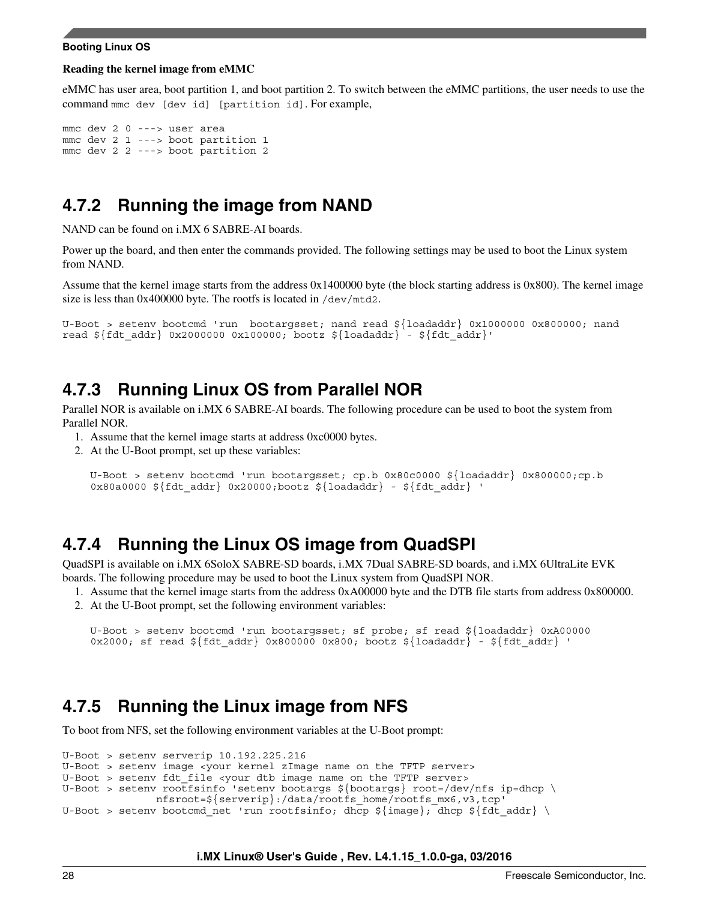#### **Booting Linux OS**

#### **Reading the kernel image from eMMC**

eMMC has user area, boot partition 1, and boot partition 2. To switch between the eMMC partitions, the user needs to use the command mmc dev [dev id] [partition id]. For example,

```
mmc dev 2 0 ---> user area
mmc dev 2 1 ---> boot partition 1
mmc dev 2 2 ---> boot partition 2
```
### **4.7.2 Running the image from NAND**

NAND can be found on i.MX 6 SABRE-AI boards.

Power up the board, and then enter the commands provided. The following settings may be used to boot the Linux system from NAND.

Assume that the kernel image starts from the address 0x1400000 byte (the block starting address is 0x800). The kernel image size is less than 0x400000 byte. The rootfs is located in /dev/mtd2.

```
U-Boot > setenv bootcmd 'run bootargsset; nand read ${loadaddr} 0x1000000 0x800000; nand 
read ${fdt_addr} 0x2000000 0x100000; bootz ${loadaddr} - ${fdt_addr}'
```
### **4.7.3 Running Linux OS from Parallel NOR**

Parallel NOR is available on i.MX 6 SABRE-AI boards. The following procedure can be used to boot the system from Parallel NOR.

- 1. Assume that the kernel image starts at address 0xc0000 bytes.
- 2. At the U-Boot prompt, set up these variables:

```
U-Boot > setenv bootcmd 'run bootargsset; cp.b 0x80c0000 ${loadaddr} 0x800000;cp.b 
0x80a0000 \frac{5}{fdt} addr} 0x20000;bootz \frac{5}{10a}daddr} - \frac{5}{fdt} addr} '
```
### **4.7.4 Running the Linux OS image from QuadSPI**

QuadSPI is available on i.MX 6SoloX SABRE-SD boards, i.MX 7Dual SABRE-SD boards, and i.MX 6UltraLite EVK boards. The following procedure may be used to boot the Linux system from QuadSPI NOR.

1. Assume that the kernel image starts from the address 0xA00000 byte and the DTB file starts from address 0x800000. 2. At the U-Boot prompt, set the following environment variables:

```
U-Boot > setenv bootcmd 'run bootargsset; sf probe; sf read ${loadaddr} 0xA00000 
0x2000; sf read ${fdt addr} 0x800000 0x800; bootz ${loadaddr} - ${fdt addr} '
```
### **4.7.5 Running the Linux image from NFS**

To boot from NFS, set the following environment variables at the U-Boot prompt:

```
U-Boot > setenv serverip 10.192.225.216
U-Boot > setenv image <your kernel zImage name on the TFTP server>
U-Boot > setenv fdt_file <your dtb image name on the TFTP server>
U-Boot > setenv rootfsinfo 'setenv bootargs ${bootargs} root=/dev/nfs ip=dhcp \
               nfsroot=${serverip}:/data/rootfs_home/rootfs_mx6,v3,tcp'
U-Boot > setenv bootcmd_net 'run rootfsinfo; dhcp ${image}; dhcp ${fdt_addr} \
```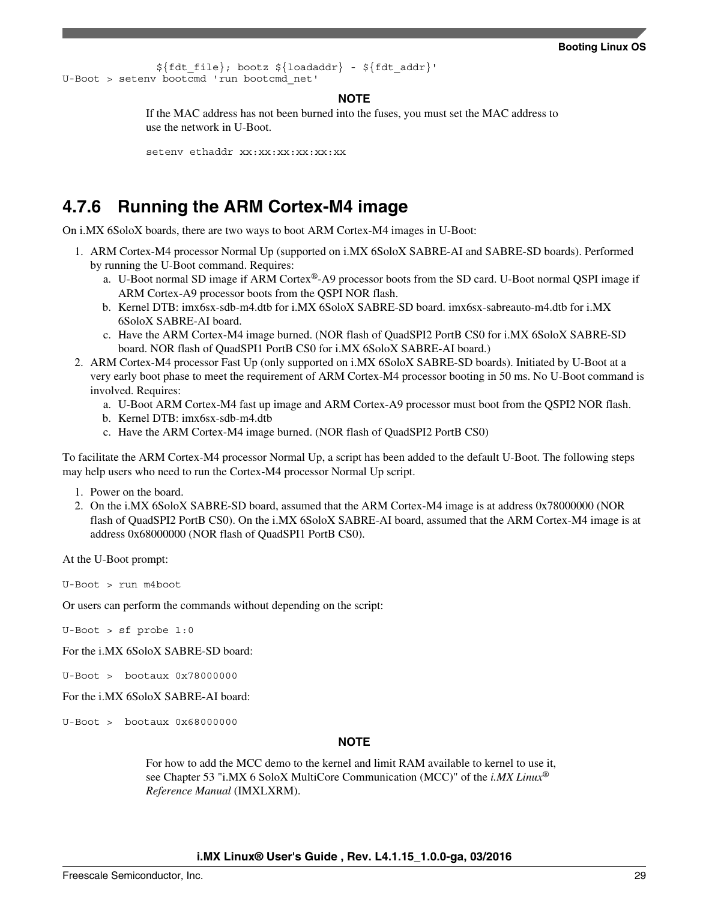```
${fdt file}; bootz ${loadaddr} - ${fdt addr}U-Boot > setenv bootcmd 'run bootcmd_net'
```
#### **NOTE**

If the MAC address has not been burned into the fuses, you must set the MAC address to use the network in U-Boot.

seteny ethaddr xx:xx:xx:xx:xx:xx

## **4.7.6 Running the ARM Cortex-M4 image**

On i.MX 6SoloX boards, there are two ways to boot ARM Cortex-M4 images in U-Boot:

- 1. ARM Cortex-M4 processor Normal Up (supported on i.MX 6SoloX SABRE-AI and SABRE-SD boards). Performed by running the U-Boot command. Requires:
	- a. U-Boot normal SD image if ARM Cortex®-A9 processor boots from the SD card. U-Boot normal QSPI image if ARM Cortex-A9 processor boots from the QSPI NOR flash.
	- b. Kernel DTB: imx6sx-sdb-m4.dtb for i.MX 6SoloX SABRE-SD board. imx6sx-sabreauto-m4.dtb for i.MX 6SoloX SABRE-AI board.
	- c. Have the ARM Cortex-M4 image burned. (NOR flash of QuadSPI2 PortB CS0 for i.MX 6SoloX SABRE-SD board. NOR flash of QuadSPI1 PortB CS0 for i.MX 6SoloX SABRE-AI board.)
- 2. ARM Cortex-M4 processor Fast Up (only supported on i.MX 6SoloX SABRE-SD boards). Initiated by U-Boot at a very early boot phase to meet the requirement of ARM Cortex-M4 processor booting in 50 ms. No U-Boot command is involved. Requires:
	- a. U-Boot ARM Cortex-M4 fast up image and ARM Cortex-A9 processor must boot from the QSPI2 NOR flash.
	- b. Kernel DTB: imx6sx-sdb-m4.dtb
	- c. Have the ARM Cortex-M4 image burned. (NOR flash of QuadSPI2 PortB CS0)

To facilitate the ARM Cortex-M4 processor Normal Up, a script has been added to the default U-Boot. The following steps may help users who need to run the Cortex-M4 processor Normal Up script.

- 1. Power on the board.
- 2. On the i.MX 6SoloX SABRE-SD board, assumed that the ARM Cortex-M4 image is at address 0x78000000 (NOR flash of QuadSPI2 PortB CS0). On the i.MX 6SoloX SABRE-AI board, assumed that the ARM Cortex-M4 image is at address 0x68000000 (NOR flash of QuadSPI1 PortB CS0).

At the U-Boot prompt:

U-Boot > run m4boot

Or users can perform the commands without depending on the script:

U-Boot > sf probe 1:0

For the i.MX 6SoloX SABRE-SD board:

 $U-$ Boot > bootaux  $0x78000000$ 

For the i.MX 6SoloX SABRE-AI board:

U-Boot > bootaux 0x68000000

#### **NOTE**

For how to add the MCC demo to the kernel and limit RAM available to kernel to use it, see Chapter 53 "i.MX 6 SoloX MultiCore Communication (MCC)" of the *i.MX Linux® Reference Manual* (IMXLXRM).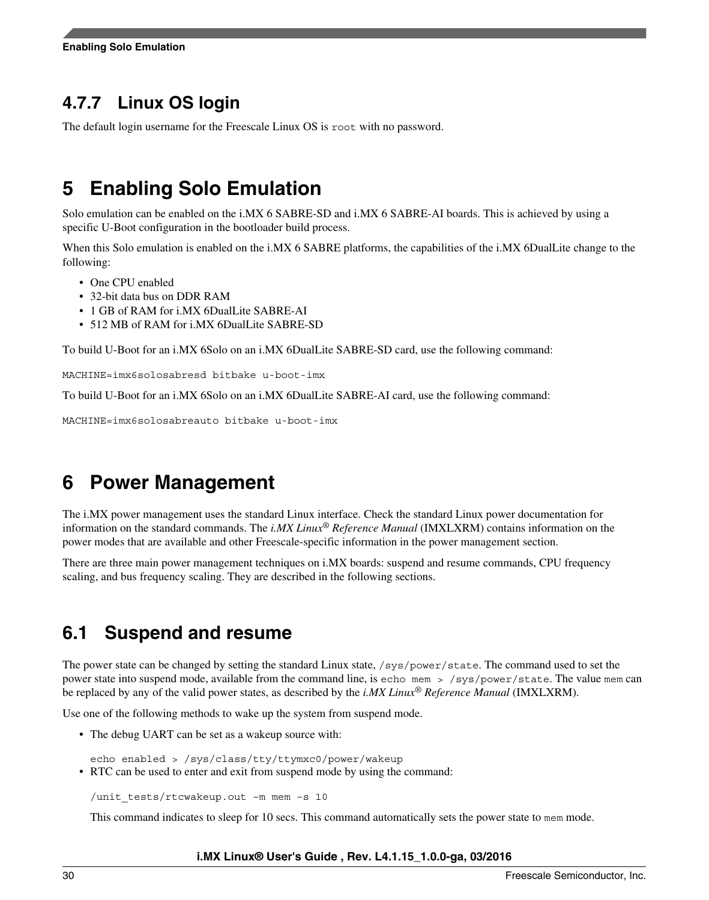## <span id="page-29-0"></span>**4.7.7 Linux OS login**

The default login username for the Freescale Linux OS is root with no password.

## **5 Enabling Solo Emulation**

Solo emulation can be enabled on the i.MX 6 SABRE-SD and i.MX 6 SABRE-AI boards. This is achieved by using a specific U-Boot configuration in the bootloader build process.

When this Solo emulation is enabled on the i.MX 6 SABRE platforms, the capabilities of the i.MX 6DualLite change to the following:

- One CPU enabled
- 32-bit data bus on DDR RAM
- 1 GB of RAM for i.MX 6DualLite SABRE-AI
- 512 MB of RAM for i.MX 6DualLite SABRE-SD

To build U-Boot for an i.MX 6Solo on an i.MX 6DualLite SABRE-SD card, use the following command:

MACHINE=imx6solosabresd bitbake u-boot-imx

To build U-Boot for an i.MX 6Solo on an i.MX 6DualLite SABRE-AI card, use the following command:

MACHINE=imx6solosabreauto bitbake u-boot-imx

## **6 Power Management**

The i.MX power management uses the standard Linux interface. Check the standard Linux power documentation for information on the standard commands. The *i.MX Linux® Reference Manual* (IMXLXRM) contains information on the power modes that are available and other Freescale-specific information in the power management section.

There are three main power management techniques on i.MX boards: suspend and resume commands, CPU frequency scaling, and bus frequency scaling. They are described in the following sections.

## **6.1 Suspend and resume**

The power state can be changed by setting the standard Linux state, /sys/power/state. The command used to set the power state into suspend mode, available from the command line, is echo mem > /sys/power/state. The value mem can be replaced by any of the valid power states, as described by the *i.MX Linux® Reference Manual* (IMXLXRM).

Use one of the following methods to wake up the system from suspend mode.

• The debug UART can be set as a wakeup source with:

echo enabled > /sys/class/tty/ttymxc0/power/wakeup

• RTC can be used to enter and exit from suspend mode by using the command:

/unit\_tests/rtcwakeup.out –m mem –s 10

This command indicates to sleep for 10 secs. This command automatically sets the power state to mem mode.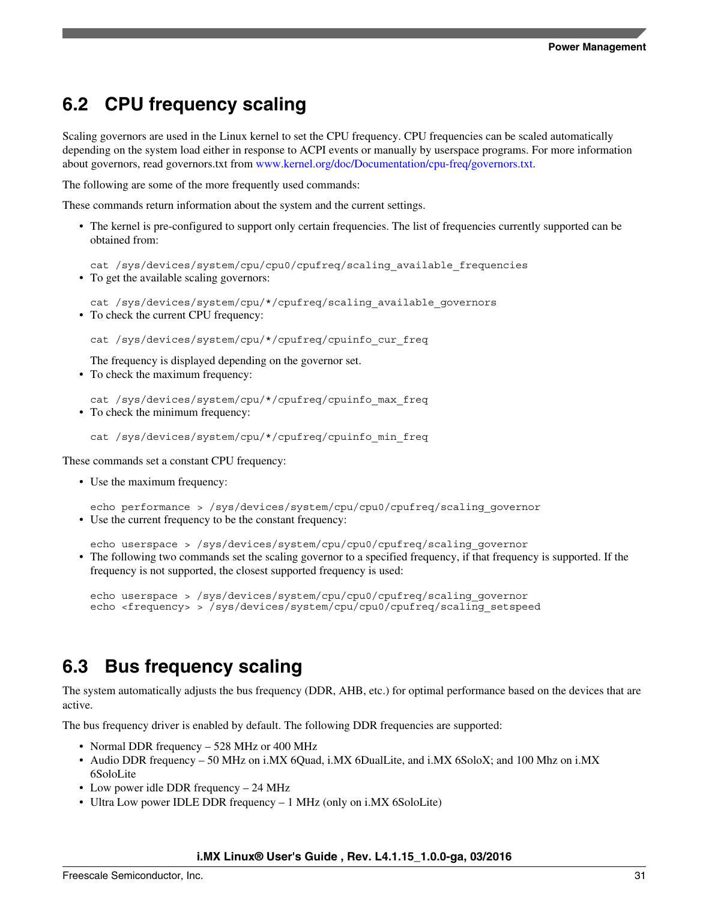## **6.2 CPU frequency scaling**

Scaling governors are used in the Linux kernel to set the CPU frequency. CPU frequencies can be scaled automatically depending on the system load either in response to ACPI events or manually by userspace programs. For more information about governors, read governors.txt from [www.kernel.org/doc/Documentation/cpu-freq/governors.txt](https://www.kernel.org/doc/Documentation/cpu-freq/governors.txt).

The following are some of the more frequently used commands:

These commands return information about the system and the current settings.

• The kernel is pre-configured to support only certain frequencies. The list of frequencies currently supported can be obtained from:

cat /sys/devices/system/cpu/cpu0/cpufreq/scaling\_available\_frequencies • To get the available scaling governors:

cat /sys/devices/system/cpu/\*/cpufreq/scaling\_available\_governors • To check the current CPU frequency:

cat /sys/devices/system/cpu/\*/cpufreq/cpuinfo\_cur\_freq

The frequency is displayed depending on the governor set.

• To check the maximum frequency:

cat /sys/devices/system/cpu/\*/cpufreq/cpuinfo\_max\_freq • To check the minimum frequency:

cat /sys/devices/system/cpu/\*/cpufreq/cpuinfo\_min\_freq

These commands set a constant CPU frequency:

• Use the maximum frequency:

echo performance > /sys/devices/system/cpu/cpu0/cpufreq/scaling\_governor • Use the current frequency to be the constant frequency:

echo userspace > /sys/devices/system/cpu/cpu0/cpufreq/scaling governor

• The following two commands set the scaling governor to a specified frequency, if that frequency is supported. If the frequency is not supported, the closest supported frequency is used:

echo userspace > /sys/devices/system/cpu/cpu0/cpufreq/scaling\_governor echo <frequency> > /sys/devices/system/cpu/cpu0/cpufreq/scaling\_setspeed

## **6.3 Bus frequency scaling**

The system automatically adjusts the bus frequency (DDR, AHB, etc.) for optimal performance based on the devices that are active.

The bus frequency driver is enabled by default. The following DDR frequencies are supported:

- Normal DDR frequency 528 MHz or 400 MHz
- Audio DDR frequency 50 MHz on i.MX 6Quad, i.MX 6DualLite, and i.MX 6SoloX; and 100 Mhz on i.MX 6SoloLite
- Low power idle DDR frequency 24 MHz
- Ultra Low power IDLE DDR frequency 1 MHz (only on i.MX 6SoloLite)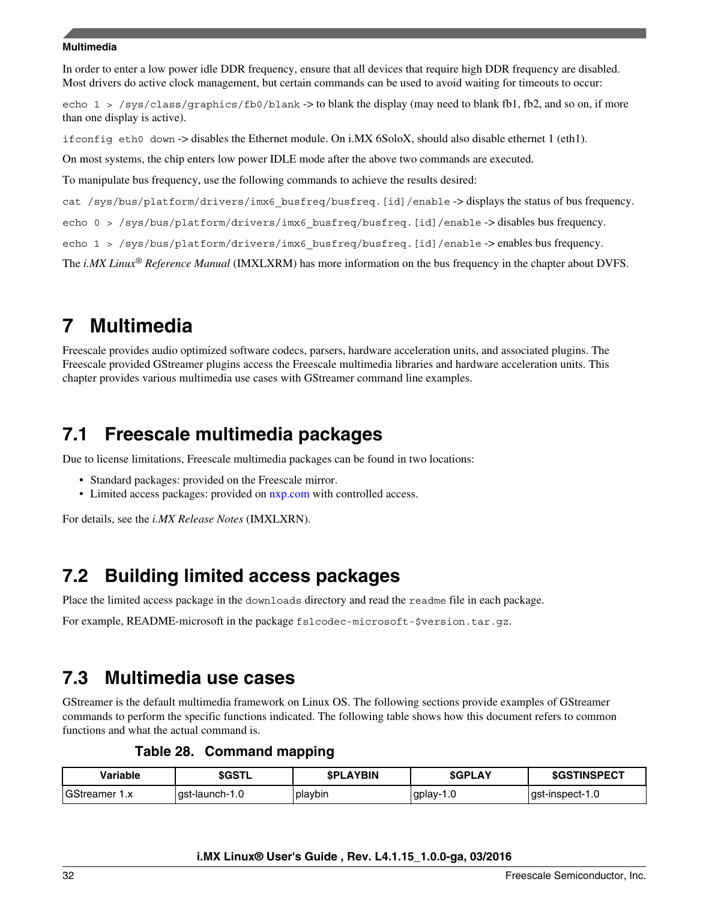<span id="page-31-0"></span>In order to enter a low power idle DDR frequency, ensure that all devices that require high DDR frequency are disabled. Most drivers do active clock management, but certain commands can be used to avoid waiting for timeouts to occur:

echo 1 > /sys/class/graphics/fb0/blank -> to blank the display (may need to blank fb1, fb2, and so on, if more than one display is active).

ifconfig eth0 down -> disables the Ethernet module. On i.MX 6SoloX, should also disable ethernet 1 (eth1).

On most systems, the chip enters low power IDLE mode after the above two commands are executed.

To manipulate bus frequency, use the following commands to achieve the results desired:

cat /sys/bus/platform/drivers/imx6\_busfreq/busfreq.[id]/enable -> displays the status of bus frequency.

echo 0 > /sys/bus/platform/drivers/imx6 busfreq/busfreq.[id]/enable -> disables bus frequency.

echo 1 > /sys/bus/platform/drivers/imx6 busfreq/busfreq.[id]/enable -> enables bus frequency.

The *i.MX Linux® Reference Manual* (IMXLXRM) has more information on the bus frequency in the chapter about DVFS.

## **7 Multimedia**

Freescale provides audio optimized software codecs, parsers, hardware acceleration units, and associated plugins. The Freescale provided GStreamer plugins access the Freescale multimedia libraries and hardware acceleration units. This chapter provides various multimedia use cases with GStreamer command line examples.

## **7.1 Freescale multimedia packages**

Due to license limitations, Freescale multimedia packages can be found in two locations:

- Standard packages: provided on the Freescale mirror.
- Limited access packages: provided on [nxp.com](http://www.nxp.com) with controlled access.

For details, see the *i.MX Release Notes* (IMXLXRN).

## **7.2 Building limited access packages**

Place the limited access package in the downloads directory and read the readme file in each package.

For example, README-microsoft in the package fslcodec-microsoft-\$version.tar.gz.

## **7.3 Multimedia use cases**

GStreamer is the default multimedia framework on Linux OS. The following sections provide examples of GStreamer commands to perform the specific functions indicated. The following table shows how this document refers to common functions and what the actual command is.

**Table 28. Command mapping**

| Variable                  | \$GSTL          | <b>SPLAYBIN</b> | <b>SGPLAY</b>  | <b>\$GSTINSPECT</b> |
|---------------------------|-----------------|-----------------|----------------|---------------------|
| GStreamer<br>$\checkmark$ | ∣ast-launch-1.0 | playbin         | gplay-1<br>1.U | ast-inspect-1.0     |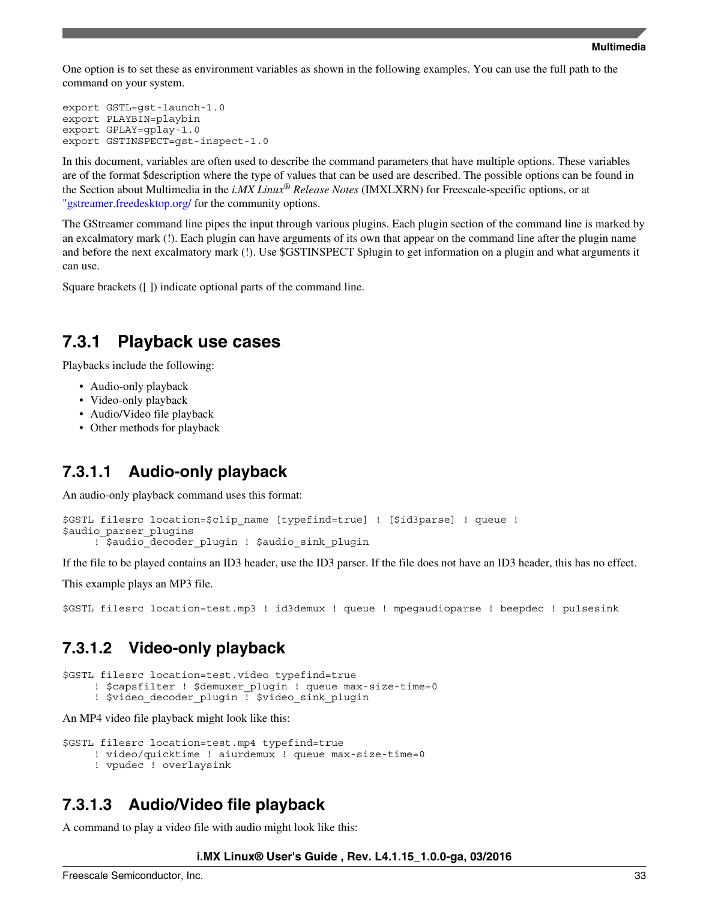One option is to set these as environment variables as shown in the following examples. You can use the full path to the command on your system.

```
export GSTL=gst-launch-1.0
export PLAYBIN=playbin
export GPLAY=gplay-1.0
export GSTINSPECT=gst-inspect-1.0
```
In this document, variables are often used to describe the command parameters that have multiple options. These variables are of the format \$description where the type of values that can be used are described. The possible options can be found in the Section about Multimedia in the *i.MX Linux® Release Notes* (IMXLXRN) for Freescale-specific options, or at ["gstreamer.freedesktop.org/](http://gstreamer.freedesktop.org/) for the community options.

The GStreamer command line pipes the input through various plugins. Each plugin section of the command line is marked by an excalmatory mark (!). Each plugin can have arguments of its own that appear on the command line after the plugin name and before the next excalmatory mark (!). Use \$GSTINSPECT \$plugin to get information on a plugin and what arguments it can use.

Square brackets ([ ]) indicate optional parts of the command line.

### **7.3.1 Playback use cases**

Playbacks include the following:

- Audio-only playback
- Video-only playback
- Audio/Video file playback
- Other methods for playback

### **7.3.1.1 Audio-only playback**

An audio-only playback command uses this format:

```
$GSTL filesrc location=$clip_name [typefind=true] ! [$id3parse] ! queue ! 
$audio parser plugins
     ! $audio decoder plugin ! $audio sink plugin
```
If the file to be played contains an ID3 header, use the ID3 parser. If the file does not have an ID3 header, this has no effect.

This example plays an MP3 file.

\$GSTL filesrc location=test.mp3 ! id3demux ! queue ! mpegaudioparse ! beepdec ! pulsesink

### **7.3.1.2 Video-only playback**

\$GSTL filesrc location=test.video typefind=true

- ! \$capsfilter ! \$demuxer plugin ! queue max-size-time=0
- ! \$video decoder plugin ! \$video sink plugin

An MP4 video file playback might look like this:

```
$GSTL filesrc location=test.mp4 typefind=true 
      ! video/quicktime ! aiurdemux ! queue max-size-time=0
      ! vpudec ! overlaysink
```
### **7.3.1.3 Audio/Video file playback**

A command to play a video file with audio might look like this: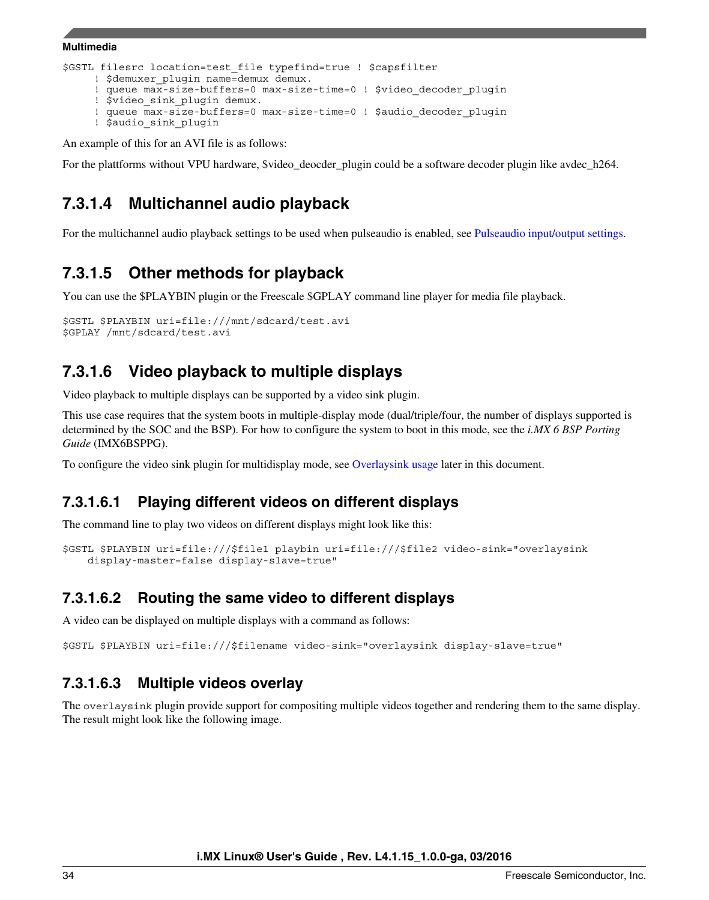```
$GSTL filesrc location=test_file typefind=true ! $capsfilter 
     ! $demuxer plugin name=demux demux.
     ! queue max-size-buffers=0 max-size-time=0 ! $video decoder plugin
      ! $video_sink_plugin demux. 
     ! queue max-size-buffers=0 max-size-time=0 ! $audio decoder plugin
      ! $audio_sink_plugin
```
An example of this for an AVI file is as follows:

For the plattforms without VPU hardware, \$video\_deocder\_plugin could be a software decoder plugin like avdec\_h264.

### **7.3.1.4 Multichannel audio playback**

For the multichannel audio playback settings to be used when pulseaudio is enabled, see [Pulseaudio input/output settings](#page-41-0).

### **7.3.1.5 Other methods for playback**

You can use the \$PLAYBIN plugin or the Freescale \$GPLAY command line player for media file playback.

```
$GSTL $PLAYBIN uri=file:///mnt/sdcard/test.avi
$GPLAY /mnt/sdcard/test.avi
```
### **7.3.1.6 Video playback to multiple displays**

Video playback to multiple displays can be supported by a video sink plugin.

This use case requires that the system boots in multiple-display mode (dual/triple/four, the number of displays supported is determined by the SOC and the BSP). For how to configure the system to boot in this mode, see the *i.MX 6 BSP Porting Guide* (IMX6BSPPG).

To configure the video sink plugin for multidisplay mode, see [Overlaysink usage](#page-42-0) later in this document.

### **7.3.1.6.1 Playing different videos on different displays**

The command line to play two videos on different displays might look like this:

```
$GSTL $PLAYBIN uri=file:///$file1 playbin uri=file:///$file2 video-sink="overlaysink 
     display-master=false display-slave=true"
```
### **7.3.1.6.2 Routing the same video to different displays**

A video can be displayed on multiple displays with a command as follows:

\$GSTL \$PLAYBIN uri=file:///\$filename video-sink="overlaysink display-slave=true"

### **7.3.1.6.3 Multiple videos overlay**

The overlaysink plugin provide support for compositing multiple videos together and rendering them to the same display. The result might look like the following image.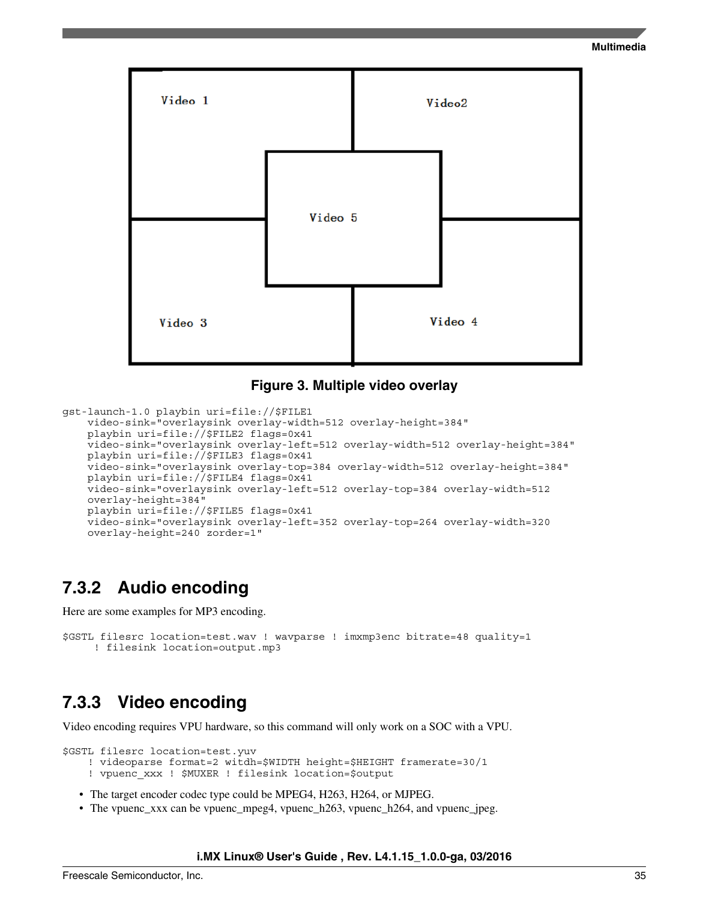

#### **Figure 3. Multiple video overlay**

```
gst-launch-1.0 playbin uri=file://$FILE1 
     video-sink="overlaysink overlay-width=512 overlay-height=384" 
     playbin uri=file://$FILE2 flags=0x41 
     video-sink="overlaysink overlay-left=512 overlay-width=512 overlay-height=384" 
     playbin uri=file://$FILE3 flags=0x41 
     video-sink="overlaysink overlay-top=384 overlay-width=512 overlay-height=384" 
    playbin uri=file://$FILE4 flags=0x41 
    video-sink="overlaysink overlay-left=512 overlay-top=384 overlay-width=512 
     overlay-height=384"
     playbin uri=file://$FILE5 flags=0x41 
     video-sink="overlaysink overlay-left=352 overlay-top=264 overlay-width=320 
     overlay-height=240 zorder=1"
```
### **7.3.2 Audio encoding**

Here are some examples for MP3 encoding.

```
$GSTL filesrc location=test.wav ! wavparse ! imxmp3enc bitrate=48 quality=1 
      ! filesink location=output.mp3
```
### **7.3.3 Video encoding**

Video encoding requires VPU hardware, so this command will only work on a SOC with a VPU.

\$GSTL filesrc location=test.yuv

```
 ! videoparse format=2 witdh=$WIDTH height=$HEIGHT framerate=30/1
```
- ! vpuenc\_xxx ! \$MUXER ! filesink location=\$output
- The target encoder codec type could be MPEG4, H263, H264, or MJPEG.
- The vpuenc\_xxx can be vpuenc\_mpeg4, vpuenc\_h263, vpuenc\_h264, and vpuenc\_jpeg.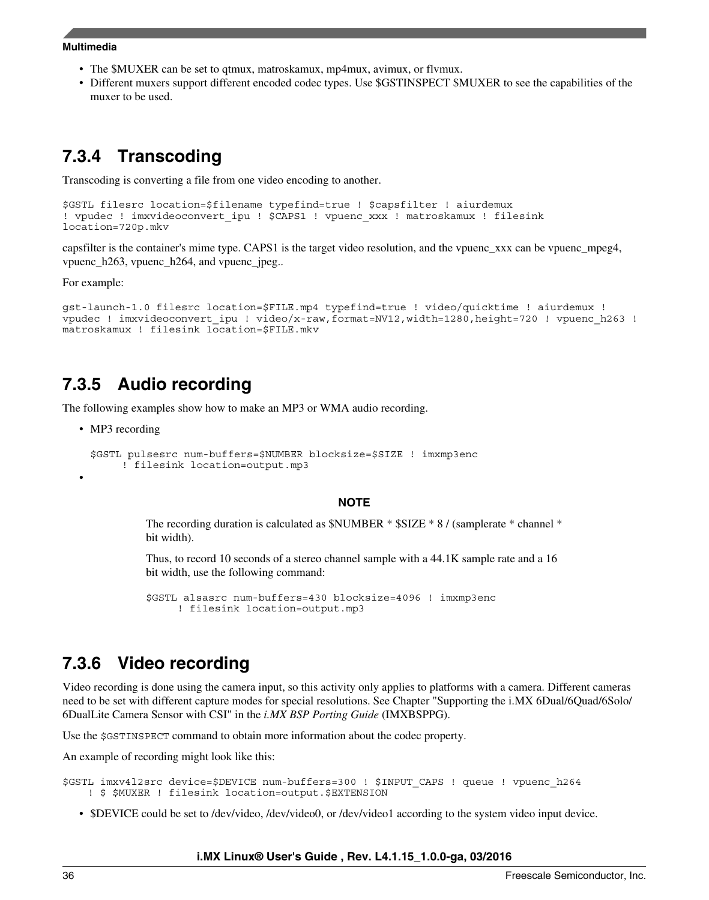- The \$MUXER can be set to qtmux, matroskamux, mp4mux, avimux, or flvmux.
- Different muxers support different encoded codec types. Use \$GSTINSPECT \$MUXER to see the capabilities of the muxer to be used.

### **7.3.4 Transcoding**

Transcoding is converting a file from one video encoding to another.

```
$GSTL filesrc location=$filename typefind=true ! $capsfilter ! aiurdemux
! vpudec ! imxvideoconvert_ipu ! $CAPS1 ! vpuenc_xxx ! matroskamux ! filesink 
location=720p.mkv
```
capsfilter is the container's mime type. CAPS1 is the target video resolution, and the vpuenc\_xxx can be vpuenc\_mpeg4, vpuenc\_h263, vpuenc\_h264, and vpuenc\_jpeg..

For example:

```
gst-launch-1.0 filesrc location=$FILE.mp4 typefind=true ! video/quicktime ! aiurdemux ! 
vpudec ! imxvideoconvert_ipu ! video/x-raw,format=NV12,width=1280,height=720 ! vpuenc_h263 ! 
matroskamux ! filesink location=$FILE.mkv
```
### **7.3.5 Audio recording**

The following examples show how to make an MP3 or WMA audio recording.

• MP3 recording

•

```
$GSTL pulsesrc num-buffers=$NUMBER blocksize=$SIZE ! imxmp3enc
      ! filesink location=output.mp3
```
#### **NOTE**

The recording duration is calculated as \$NUMBER \* \$SIZE \* 8 / (samplerate \* channel \* bit width).

Thus, to record 10 seconds of a stereo channel sample with a 44.1K sample rate and a 16 bit width, use the following command:

\$GSTL alsasrc num-buffers=430 blocksize=4096 ! imxmp3enc ! filesink location=output.mp3

### **7.3.6 Video recording**

Video recording is done using the camera input, so this activity only applies to platforms with a camera. Different cameras need to be set with different capture modes for special resolutions. See Chapter "Supporting the i.MX 6Dual/6Quad/6Solo/ 6DualLite Camera Sensor with CSI" in the *i.MX BSP Porting Guide* (IMXBSPPG).

Use the \$GSTINSPECT command to obtain more information about the codec property.

An example of recording might look like this:

```
$GSTL imxv4l2src device=$DEVICE num-buffers=300 ! $INPUT_CAPS ! queue ! vpuenc_h264
     ! $ $MUXER ! filesink location=output.$EXTENSION
```
• \$DEVICE could be set to /dev/video, /dev/video0, or /dev/video1 according to the system video input device.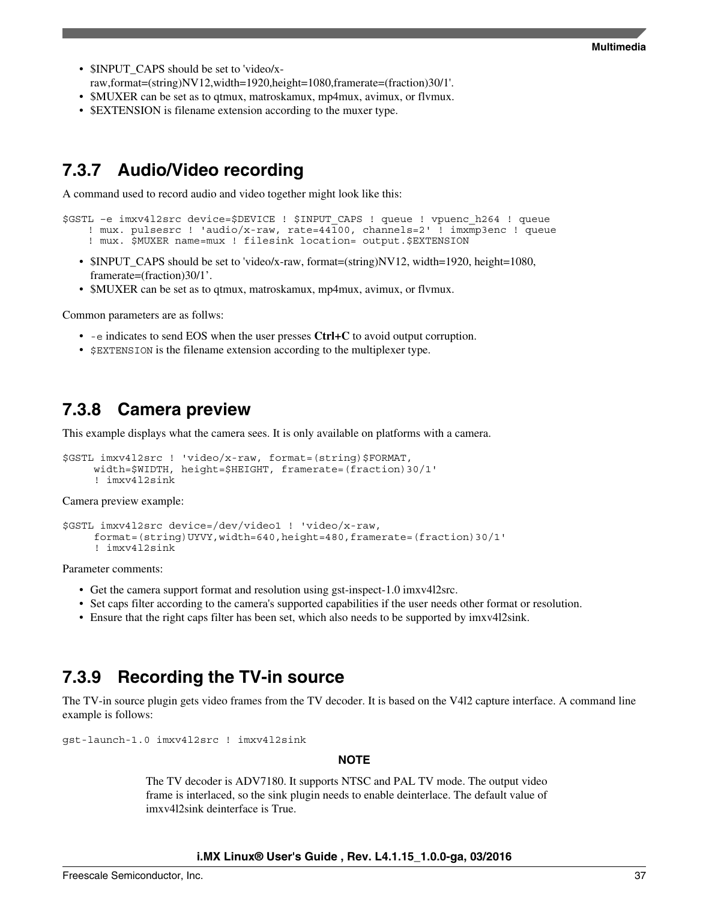- \$INPUT CAPS should be set to 'video/xraw,format=(string)NV12,width=1920,height=1080,framerate=(fraction)30/1'.
- \$MUXER can be set as to qtmux, matroskamux, mp4mux, avimux, or flymux.
- **\$EXTENSION** is filename extension according to the muxer type.

### **7.3.7 Audio/Video recording**

A command used to record audio and video together might look like this:

```
$GSTL –e imxv4l2src device=$DEVICE ! $INPUT_CAPS ! queue ! vpuenc_h264 ! queue 
     ! mux. pulsesrc ! 'audio/x-raw, rate=44100, channels=2' ! imxmp3enc ! queue 
   ! mux. $MUXER name=mux ! filesink location= output.$EXTENSION
```
- \$INPUT\_CAPS should be set to 'video/x-raw, format=(string)NV12, width=1920, height=1080, framerate=(fraction)30/1'.
- \$MUXER can be set as to qtmux, matroskamux, mp4mux, avimux, or flymux.

Common parameters are as follws:

- -e indicates to send EOS when the user presses **Ctrl+C** to avoid output corruption.
- **SEXTENSION** is the filename extension according to the multiplexer type.

### **7.3.8 Camera preview**

This example displays what the camera sees. It is only available on platforms with a camera.

```
$GSTL imxv4l2src ! 'video/x-raw, format=(string)$FORMAT, 
      width=$WIDTH, height=$HEIGHT, framerate=(fraction)30/1' 
      ! imxv4l2sink
```
Camera preview example:

```
$GSTL imxv4l2src device=/dev/video1 ! 'video/x-raw,
      format=(string)UYVY,width=640,height=480,framerate=(fraction)30/1'
      ! imxv4l2sink
```
Parameter comments:

- Get the camera support format and resolution using gst-inspect-1.0 imxv4l2src.
- Set caps filter according to the camera's supported capabilities if the user needs other format or resolution.
- Ensure that the right caps filter has been set, which also needs to be supported by imxv4l2sink.

### **7.3.9 Recording the TV-in source**

The TV-in source plugin gets video frames from the TV decoder. It is based on the V4l2 capture interface. A command line example is follows:

gst-launch-1.0 imxv4l2src ! imxv4l2sink

#### **NOTE**

The TV decoder is ADV7180. It supports NTSC and PAL TV mode. The output video frame is interlaced, so the sink plugin needs to enable deinterlace. The default value of imxv4l2sink deinterface is True.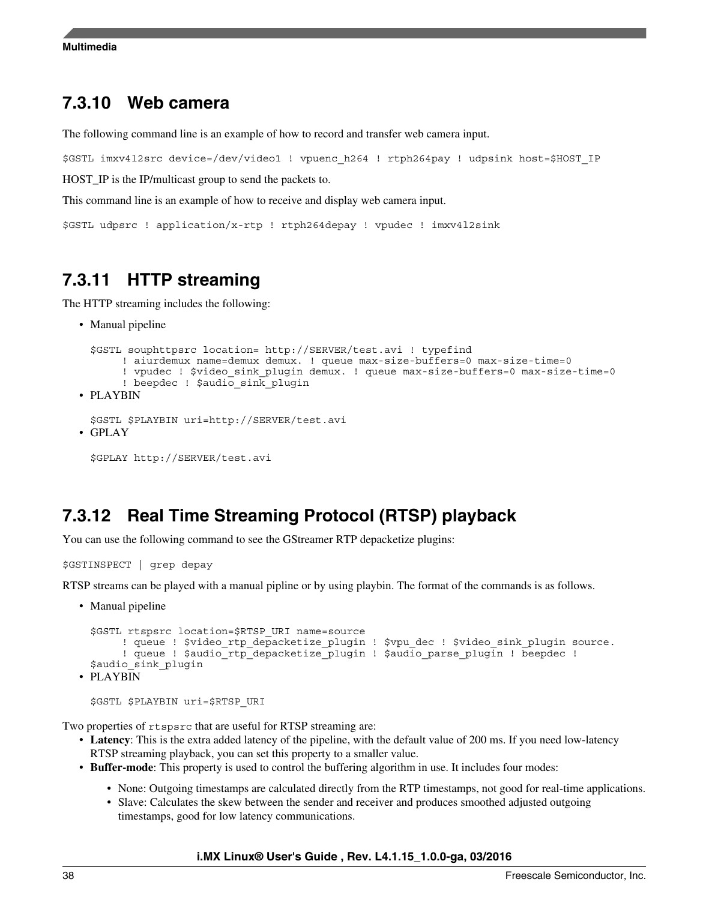### **7.3.10 Web camera**

The following command line is an example of how to record and transfer web camera input.

```
$GSTL imxv4l2src device=/dev/video1 ! vpuenc_h264 ! rtph264pay ! udpsink host=$HOST_IP
```
HOST\_IP is the IP/multicast group to send the packets to.

This command line is an example of how to receive and display web camera input.

\$GSTL udpsrc ! application/x-rtp ! rtph264depay ! vpudec ! imxv4l2sink

## **7.3.11 HTTP streaming**

The HTTP streaming includes the following:

• Manual pipeline

```
$GSTL souphttpsrc location= http://SERVER/test.avi ! typefind 
      ! aiurdemux name=demux demux. ! queue max-size-buffers=0 max-size-time=0
     ! vpudec ! $video sink plugin demux. ! queue max-size-buffers=0 max-size-time=0
      ! beepdec ! $audio_sink_plugin
```
• PLAYBIN

```
$GSTL $PLAYBIN uri=http://SERVER/test.avi
```
• GPLAY

```
$GPLAY http://SERVER/test.avi
```
### **7.3.12 Real Time Streaming Protocol (RTSP) playback**

You can use the following command to see the GStreamer RTP depacketize plugins:

```
$GSTINSPECT | grep depay
```
RTSP streams can be played with a manual pipline or by using playbin. The format of the commands is as follows.

• Manual pipeline

```
$GSTL rtspsrc location=$RTSP_URI name=source 
       ! queue ! $video_rtp_depacketize_plugin ! $vpu_dec ! $video_sink_plugin source.
       ! queue ! $audio rtp depacketize plugin ! $audio parse plugin ! beepdec !
 $audio sink plugin
• PLAYBIN
```

```
$GSTL $PLAYBIN uri=$RTSP_URI
```
Two properties of rtspsrc that are useful for RTSP streaming are:

- **Latency**: This is the extra added latency of the pipeline, with the default value of 200 ms. If you need low-latency RTSP streaming playback, you can set this property to a smaller value.
- **Buffer-mode**: This property is used to control the buffering algorithm in use. It includes four modes:
	- None: Outgoing timestamps are calculated directly from the RTP timestamps, not good for real-time applications.
	- Slave: Calculates the skew between the sender and receiver and produces smoothed adjusted outgoing timestamps, good for low latency communications.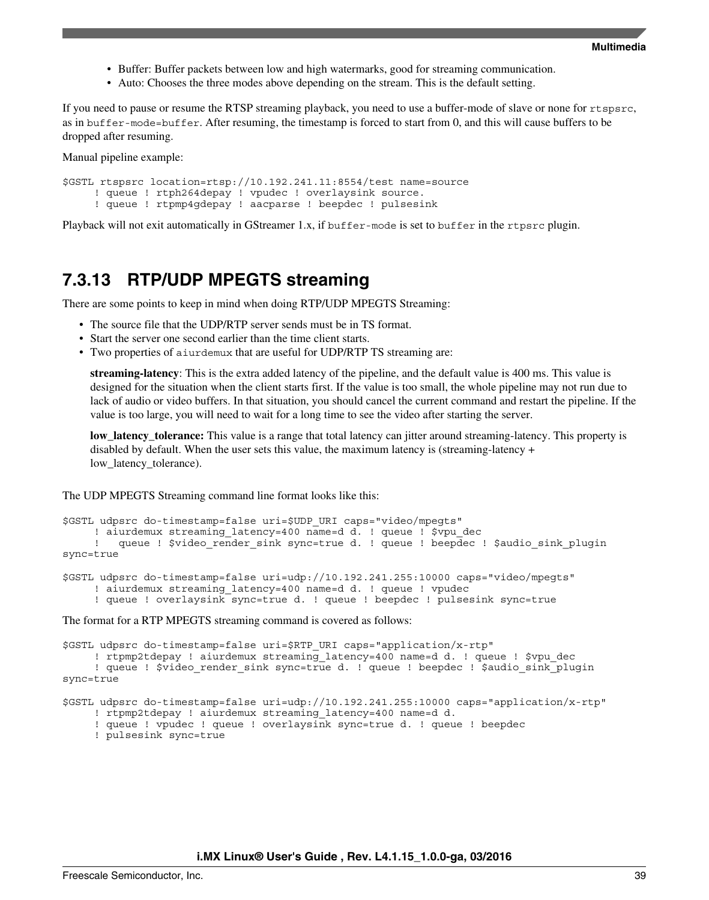- Buffer: Buffer packets between low and high watermarks, good for streaming communication.
- Auto: Chooses the three modes above depending on the stream. This is the default setting.

If you need to pause or resume the RTSP streaming playback, you need to use a buffer-mode of slave or none for rtspsrc, as in buffer-mode=buffer. After resuming, the timestamp is forced to start from 0, and this will cause buffers to be dropped after resuming.

Manual pipeline example:

```
$GSTL rtspsrc location=rtsp://10.192.241.11:8554/test name=source
      ! queue ! rtph264depay ! vpudec ! overlaysink source.
      ! queue ! rtpmp4gdepay ! aacparse ! beepdec ! pulsesink
```
Playback will not exit automatically in GStreamer 1.x, if buffer-mode is set to buffer in the rtpsrc plugin.

### **7.3.13 RTP/UDP MPEGTS streaming**

There are some points to keep in mind when doing RTP/UDP MPEGTS Streaming:

- The source file that the UDP/RTP server sends must be in TS format.
- Start the server one second earlier than the time client starts.
- Two properties of aiurdemux that are useful for UDP/RTP TS streaming are:

**streaming-latency**: This is the extra added latency of the pipeline, and the default value is 400 ms. This value is designed for the situation when the client starts first. If the value is too small, the whole pipeline may not run due to lack of audio or video buffers. In that situation, you should cancel the current command and restart the pipeline. If the value is too large, you will need to wait for a long time to see the video after starting the server.

**low\_latency\_tolerance:** This value is a range that total latency can jitter around streaming-latency. This property is disabled by default. When the user sets this value, the maximum latency is (streaming-latency  $+$ low\_latency\_tolerance).

The UDP MPEGTS Streaming command line format looks like this:

```
$GSTL udpsrc do-timestamp=false uri=$UDP_URI caps="video/mpegts"
     ! aiurdemux streaming latency=400 name=d d. ! queue ! $vpu dec
     ! queue ! $video render sink sync=true d. ! queue ! beepdec ! $audio sink plugin
sync=true 
$GSTL udpsrc do-timestamp=false uri=udp://10.192.241.255:10000 caps="video/mpegts" 
     ! aiurdemux streaming latency=400 name=d d. ! queue ! vpudec
```
! queue ! overlaysink sync=true d. ! queue ! beepdec ! pulsesink sync=true

The format for a RTP MPEGTS streaming command is covered as follows:

```
$GSTL udpsrc do-timestamp=false uri=$RTP_URI caps="application/x-rtp"
     ! rtpmp2tdepay ! aiurdemux streaming latency=400 name=d d. ! queue ! $vpu dec
     ! queue ! $video_render_sink sync=true d. ! queue ! beepdec ! $audio_sink_plugin
sync=true
```
\$GSTL udpsrc do-timestamp=false uri=udp://10.192.241.255:10000 caps="application/x-rtp"

- ! rtpmp2tdepay ! aiurdemux streaming\_latency=400 name=d d.
- ! queue ! vpudec ! queue ! overlaysink sync=true d. ! queue ! beepdec
- ! pulsesink sync=true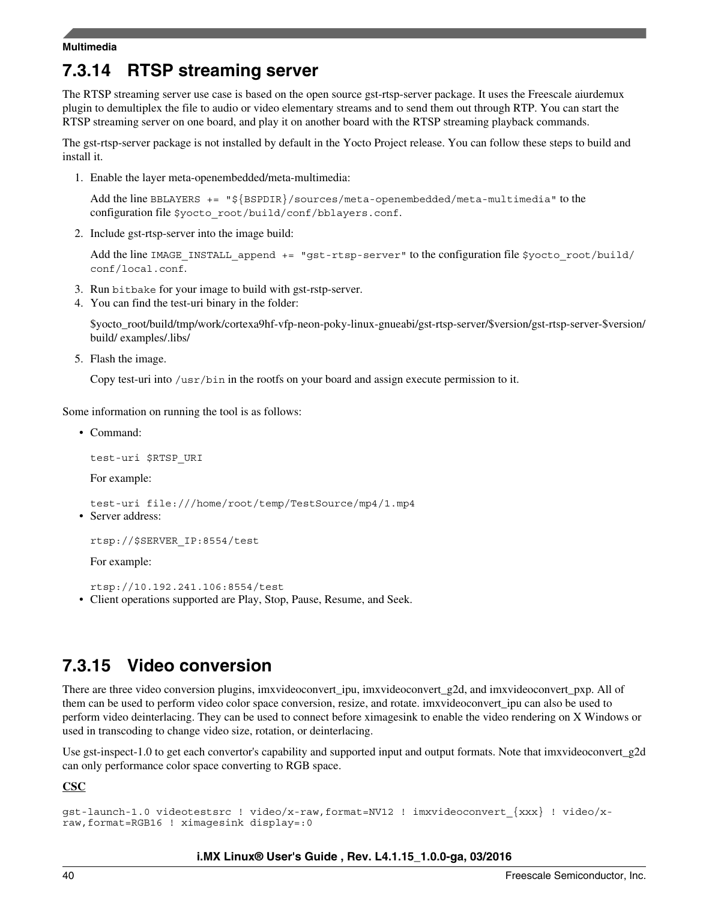## **7.3.14 RTSP streaming server**

The RTSP streaming server use case is based on the open source gst-rtsp-server package. It uses the Freescale aiurdemux plugin to demultiplex the file to audio or video elementary streams and to send them out through RTP. You can start the RTSP streaming server on one board, and play it on another board with the RTSP streaming playback commands.

The gst-rtsp-server package is not installed by default in the Yocto Project release. You can follow these steps to build and install it.

1. Enable the layer meta-openembedded/meta-multimedia:

Add the line BBLAYERS  $+=$  " $\frac{5}{8}$ SPDIR}/sources/meta-openembedded/meta-multimedia" to the configuration file \$yocto\_root/build/conf/bblayers.conf.

2. Include gst-rtsp-server into the image build:

Add the line IMAGE\_INSTALL\_append  $+=$  "gst-rtsp-server" to the configuration file \$yocto\_root/build/ conf/local.conf.

- 3. Run bitbake for your image to build with gst-rstp-server.
- 4. You can find the test-uri binary in the folder:

\$yocto\_root/build/tmp/work/cortexa9hf-vfp-neon-poky-linux-gnueabi/gst-rtsp-server/\$version/gst-rtsp-server-\$version/ build/ examples/.libs/

5. Flash the image.

Copy test-uri into /usr/bin in the rootfs on your board and assign execute permission to it.

Some information on running the tool is as follows:

• Command:

test-uri \$RTSP\_URI

For example:

test-uri file:///home/root/temp/TestSource/mp4/1.mp4

• Server address:

rtsp://\$SERVER\_IP:8554/test

For example:

rtsp://10.192.241.106:8554/test • Client operations supported are Play, Stop, Pause, Resume, and Seek.

### **7.3.15 Video conversion**

There are three video conversion plugins, imxvideoconvert\_ipu, imxvideoconvert\_g2d, and imxvideoconvert\_pxp. All of them can be used to perform video color space conversion, resize, and rotate. imxvideoconvert\_ipu can also be used to perform video deinterlacing. They can be used to connect before ximagesink to enable the video rendering on X Windows or used in transcoding to change video size, rotation, or deinterlacing.

Use gst-inspect-1.0 to get each convertor's capability and supported input and output formats. Note that imxvideoconvert g2d can only performance color space converting to RGB space.

**CSC**

```
gst-launch-1.0 videotestsrc ! video/x-raw,format=NV12 ! imxvideoconvert_{xxx} ! video/x-
raw,format=RGB16 ! ximagesink display=:0
```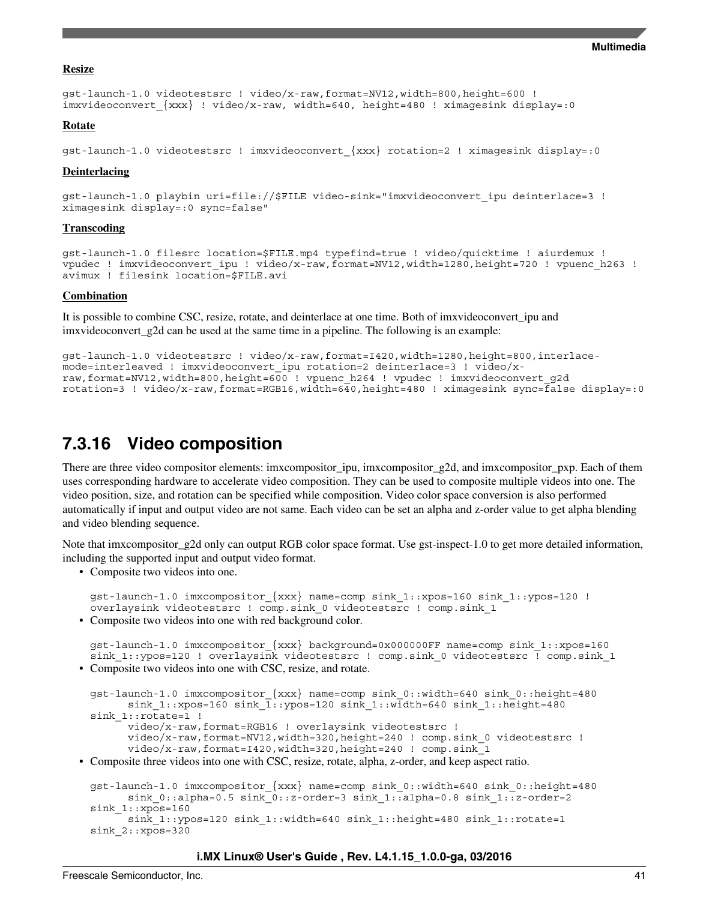#### **Resize**

```
gst-launch-1.0 videotestsrc ! video/x-raw,format=NV12,width=800,height=600 ! 
imxvideoconvert_{xxx} ! video/x-raw, width=640, height=480 ! ximagesink display=:0
```
#### **Rotate**

```
gst-launch-1.0 videotestsrc ! imxvideoconvert_{xxx} rotation=2 ! ximagesink display=:0
```
#### **Deinterlacing**

```
gst-launch-1.0 playbin uri=file://$FILE video-sink="imxvideoconvert_ipu deinterlace=3 ! 
ximagesink display=:0 sync=false"
```
#### **Transcoding**

```
gst-launch-1.0 filesrc location=$FILE.mp4 typefind=true ! video/quicktime ! aiurdemux ! 
vpudec ! imxvideoconvert ipu ! video/x-raw,format=NV12,width=1280,height=720 ! vpuenc h263 !
avimux ! filesink location=$FILE.avi
```
#### **Combination**

It is possible to combine CSC, resize, rotate, and deinterlace at one time. Both of imxvideoconvert\_ipu and imxvideoconvert\_g2d can be used at the same time in a pipeline. The following is an example:

```
gst-launch-1.0 videotestsrc ! video/x-raw,format=I420,width=1280,height=800,interlace-
mode=interleaved ! imxvideoconvert_ipu rotation=2 deinterlace=3 ! video/x-
raw,format=NV12,width=800,height=600 ! vpuenc_h264 ! vpudec ! imxvideoconvert_g2d 
rotation=3 ! video/x-raw,format=RGB16,width=640,height=480 ! ximagesink sync=false display=:0
```
### **7.3.16 Video composition**

There are three video compositor elements: imxcompositor\_ipu, imxcompositor\_g2d, and imxcompositor\_pxp. Each of them uses corresponding hardware to accelerate video composition. They can be used to composite multiple videos into one. The video position, size, and rotation can be specified while composition. Video color space conversion is also performed automatically if input and output video are not same. Each video can be set an alpha and z-order value to get alpha blending and video blending sequence.

Note that imxcompositor\_g2d only can output RGB color space format. Use gst-inspect-1.0 to get more detailed information, including the supported input and output video format.

• Composite two videos into one.

```
gst-launch-1.0 imxcompositor_{xxx} name=comp sink_1::xpos=160 sink_1::ypos=120 ! 
 overlaysink videotestsrc ! comp.sink_0 videotestsrc ! comp.sink_1
• Composite two videos into one with red background color.
```

```
gst-launch-1.0 imxcompositor_{xxx} background=0x000000FF name=comp sink_1::xpos=160 
sink 1::ypos=120 ! overlaysink videotestsrc ! comp.sink 0 videotestsrc ! comp.sink 1
```
• Composite two videos into one with CSC, resize, and rotate.

```
gst-launch-1.0 imxcompositor_{xxx} name=comp sink_0::width=640 sink_0::height=480
       sink_1::xpos=160 sink_1::ypos=120 sink_1::width=640 sink_1::height=480 
sink_1::rotate=1 !
       video/x-raw,format=RGB16 ! overlaysink videotestsrc !
       video/x-raw,format=NV12,width=320,height=240 ! comp.sink_0 videotestsrc !
       video/x-raw,format=I420,width=320,height=240 ! comp.sink_1
```
• Composite three videos into one with CSC, resize, rotate, alpha, z-order, and keep aspect ratio.

```
gst-launch-1.0 imxcompositor_{xxx} name=comp sink_0::width=640 sink_0::height=480
      sink 0::alpha=0.5 sink 0::z-order=3 sink 1::alpha=0.8 sink 1::z-order=2sink_1::xpos=160
      sink 1::ypos=120 sink 1::width=640 sink 1::height=480 sink 1::rotate=1
sink_2::xpos=320
```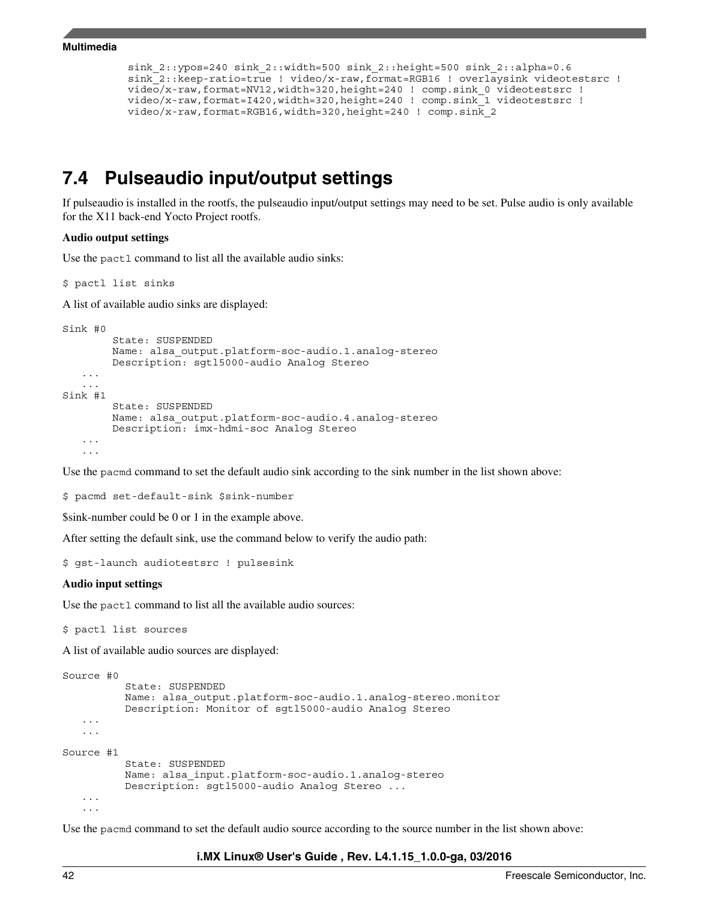```
sink 2::ypos=240 sink 2::width=500 sink 2::height=500 sink 2::alpha=0.6
 sink_2::keep-ratio=true ! video/x-raw,format=RGB16 ! overlaysink videotestsrc !
 video/x-raw,format=NV12,width=320,height=240 ! comp.sink_0 videotestsrc !
 video/x-raw,format=I420,width=320,height=240 ! comp.sink_1 videotestsrc !
 video/x-raw,format=RGB16,width=320,height=240 ! comp.sink_2
```
### **7.4 Pulseaudio input/output settings**

If pulseaudio is installed in the rootfs, the pulseaudio input/output settings may need to be set. Pulse audio is only available for the X11 back-end Yocto Project rootfs.

#### **Audio output settings**

Use the pactl command to list all the available audio sinks:

\$ pactl list sinks

A list of available audio sinks are displayed:

```
Sink #0
         State: SUSPENDED
         Name: alsa_output.platform-soc-audio.1.analog-stereo
         Description: sgtl5000-audio Analog Stereo
 ...
 ...
Sink #1
         State: SUSPENDED
         Name: alsa_output.platform-soc-audio.4.analog-stereo
         Description: imx-hdmi-soc Analog Stereo
 ...
    ...
```
Use the pacmd command to set the default audio sink according to the sink number in the list shown above:

\$ pacmd set-default-sink \$sink-number

\$sink-number could be 0 or 1 in the example above.

After setting the default sink, use the command below to verify the audio path:

```
$ gst-launch audiotestsrc ! pulsesink
```
#### **Audio input settings**

Use the pactl command to list all the available audio sources:

```
$ pactl list sources
```
A list of available audio sources are displayed:

```
Source #0
           State: SUSPENDED
           Name: alsa_output.platform-soc-audio.1.analog-stereo.monitor
           Description: Monitor of sgtl5000-audio Analog Stereo
    ...
    ...
Source #1
           State: SUSPENDED
           Name: alsa_input.platform-soc-audio.1.analog-stereo
           Description: sgtl5000-audio Analog Stereo ...
    ...
 ...
```
Use the pacmd command to set the default audio source according to the source number in the list shown above: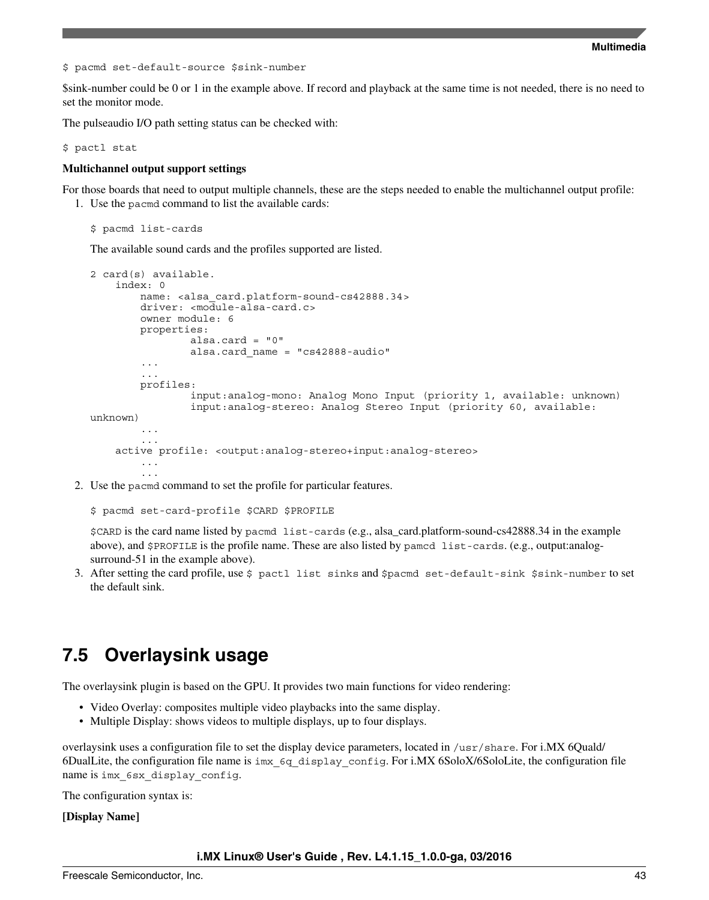<span id="page-42-0"></span>\$ pacmd set-default-source \$sink-number

\$sink-number could be 0 or 1 in the example above. If record and playback at the same time is not needed, there is no need to set the monitor mode.

The pulseaudio I/O path setting status can be checked with:

\$ pactl stat

#### **Multichannel output support settings**

For those boards that need to output multiple channels, these are the steps needed to enable the multichannel output profile: 1. Use the pacmd command to list the available cards:

\$ pacmd list-cards

The available sound cards and the profiles supported are listed.

```
2 card(s) available.
     index: 0
        name: <alsa card.platform-sound-cs42888.34>
         driver: <module-alsa-card.c>
         owner module: 6
         properties:
                 alsa.card = "0"
                 alsa.card_name = "cs42888-audio"
         ...
         ...
         profiles:
                  input:analog-mono: Analog Mono Input (priority 1, available: unknown)
                  input:analog-stereo: Analog Stereo Input (priority 60, available: 
unknown)
         ...
 ...
     active profile: <output:analog-stereo+input:analog-stereo> 
         ...
         ...
```
2. Use the pacmd command to set the profile for particular features.

\$ pacmd set-card-profile \$CARD \$PROFILE

\$CARD is the card name listed by pacmd list-cards (e.g., alsa\_card.platform-sound-cs42888.34 in the example above), and \$PROFILE is the profile name. These are also listed by pamcd list-cards. (e.g., output:analogsurround-51 in the example above).

3. After setting the card profile, use \$ pactl list sinks and \$pacmd set-default-sink \$sink-number to set the default sink.

## **7.5 Overlaysink usage**

The overlaysink plugin is based on the GPU. It provides two main functions for video rendering:

- Video Overlay: composites multiple video playbacks into the same display.
- Multiple Display: shows videos to multiple displays, up to four displays.

overlaysink uses a configuration file to set the display device parameters, located in /usr/share. For i.MX 6Quald/ 6DualLite, the configuration file name is imx\_6q\_display\_config. For i.MX 6SoloX/6SoloLite, the configuration file name is imx 6sx display config.

The configuration syntax is:

**[Display Name]**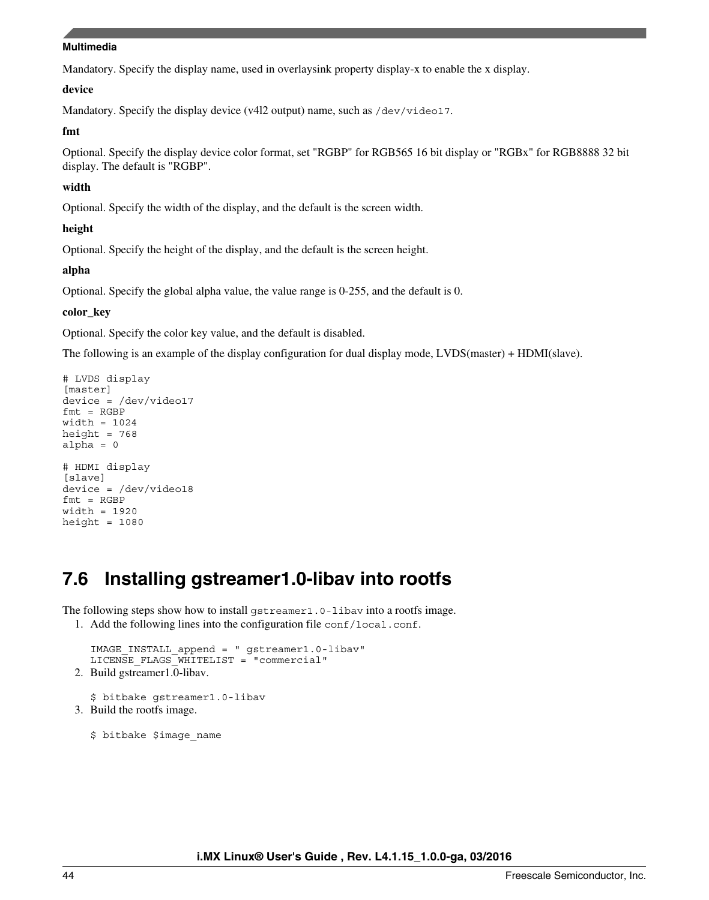Mandatory. Specify the display name, used in overlaysink property display-x to enable the x display.

#### **device**

Mandatory. Specify the display device (v4l2 output) name, such as /dev/video17.

#### **fmt**

Optional. Specify the display device color format, set "RGBP" for RGB565 16 bit display or "RGBx" for RGB8888 32 bit display. The default is "RGBP".

#### **width**

Optional. Specify the width of the display, and the default is the screen width.

#### **height**

Optional. Specify the height of the display, and the default is the screen height.

#### **alpha**

Optional. Specify the global alpha value, the value range is 0-255, and the default is 0.

#### **color\_key**

Optional. Specify the color key value, and the default is disabled.

The following is an example of the display configuration for dual display mode, LVDS(master) + HDMI(slave).

```
# LVDS display 
[master] 
device = /dev/video17 
fmt = RGBPwidth = 1024 
height = 768alpha = 0# HDMI display 
[slave] 
device = /dev/video18 
fmt = RGBPwidth = 1920 
height = 1080
```
## **7.6 Installing gstreamer1.0-libav into rootfs**

The following steps show how to install gstreamer1.0-libav into a rootfs image.

1. Add the following lines into the configuration file conf/local.conf.

```
IMAGE_INSTALL_append = " gstreamer1.0-libav" 
  LICENSE_FLAGS_WHITELIST = "commercial"
2. Build gstreamer1.0-libav.
```

```
$ bitbake gstreamer1.0-libav
3. Build the rootfs image.
```
\$ bitbake \$image\_name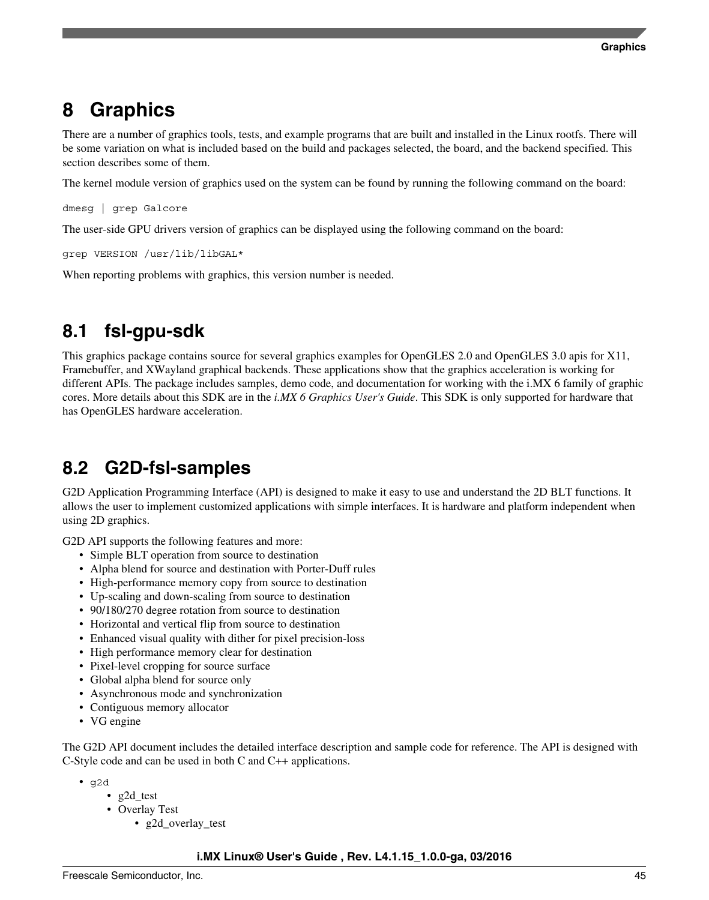## <span id="page-44-0"></span>**8 Graphics**

There are a number of graphics tools, tests, and example programs that are built and installed in the Linux rootfs. There will be some variation on what is included based on the build and packages selected, the board, and the backend specified. This section describes some of them.

The kernel module version of graphics used on the system can be found by running the following command on the board:

dmesg | grep Galcore

The user-side GPU drivers version of graphics can be displayed using the following command on the board:

grep VERSION /usr/lib/libGAL\*

When reporting problems with graphics, this version number is needed.

## **8.1 fsl-gpu-sdk**

This graphics package contains source for several graphics examples for OpenGLES 2.0 and OpenGLES 3.0 apis for X11, Framebuffer, and XWayland graphical backends. These applications show that the graphics acceleration is working for different APIs. The package includes samples, demo code, and documentation for working with the i.MX 6 family of graphic cores. More details about this SDK are in the *i.MX 6 Graphics User's Guide*. This SDK is only supported for hardware that has OpenGLES hardware acceleration.

## **8.2 G2D-fsl-samples**

G2D Application Programming Interface (API) is designed to make it easy to use and understand the 2D BLT functions. It allows the user to implement customized applications with simple interfaces. It is hardware and platform independent when using 2D graphics.

G2D API supports the following features and more:

- Simple BLT operation from source to destination
- Alpha blend for source and destination with Porter-Duff rules
- High-performance memory copy from source to destination
- Up-scaling and down-scaling from source to destination
- 90/180/270 degree rotation from source to destination
- Horizontal and vertical flip from source to destination
- Enhanced visual quality with dither for pixel precision-loss
- High performance memory clear for destination
- Pixel-level cropping for source surface
- Global alpha blend for source only
- Asynchronous mode and synchronization
- Contiguous memory allocator
- VG engine

The G2D API document includes the detailed interface description and sample code for reference. The API is designed with C-Style code and can be used in both C and C++ applications.

- g2d
	- g2d\_test
	- Overlay Test
		- g2d overlay test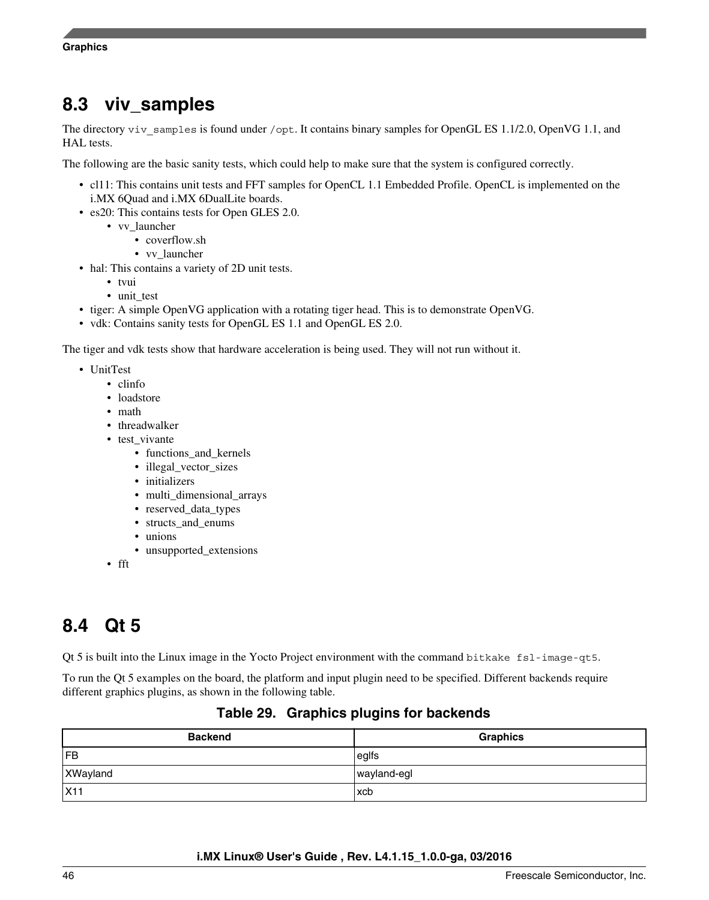## **8.3 viv\_samples**

The directory viv samples is found under /opt. It contains binary samples for OpenGL ES 1.1/2.0, OpenVG 1.1, and HAL tests.

The following are the basic sanity tests, which could help to make sure that the system is configured correctly.

- cl11: This contains unit tests and FFT samples for OpenCL 1.1 Embedded Profile. OpenCL is implemented on the i.MX 6Quad and i.MX 6DualLite boards.
- es20: This contains tests for Open GLES 2.0.
	- vv\_launcher
		- coverflow.sh
		- vv\_launcher
- hal: This contains a variety of 2D unit tests.
	- tvui
	- unit test
- tiger: A simple OpenVG application with a rotating tiger head. This is to demonstrate OpenVG.
- vdk: Contains sanity tests for OpenGL ES 1.1 and OpenGL ES 2.0.

The tiger and vdk tests show that hardware acceleration is being used. They will not run without it.

- UnitTest
	- clinfo
	- loadstore
	- math
	- threadwalker
	- test\_vivante
		- functions\_and\_kernels
		- illegal\_vector\_sizes
		- initializers
		- multi\_dimensional\_arrays
		- reserved\_data\_types
		- structs\_and\_enums
		- unions
		- unsupported\_extensions

• fft

## **8.4 Qt 5**

Qt 5 is built into the Linux image in the Yocto Project environment with the command bitkake fsl-image-qt5.

To run the Qt 5 examples on the board, the platform and input plugin need to be specified. Different backends require different graphics plugins, as shown in the following table.

### **Table 29. Graphics plugins for backends**

| <b>Backend</b>  | <b>Graphics</b> |
|-----------------|-----------------|
| l FB            | $ $ eglfs       |
| XWayland        | wayland-egl     |
| X <sub>11</sub> | xcb             |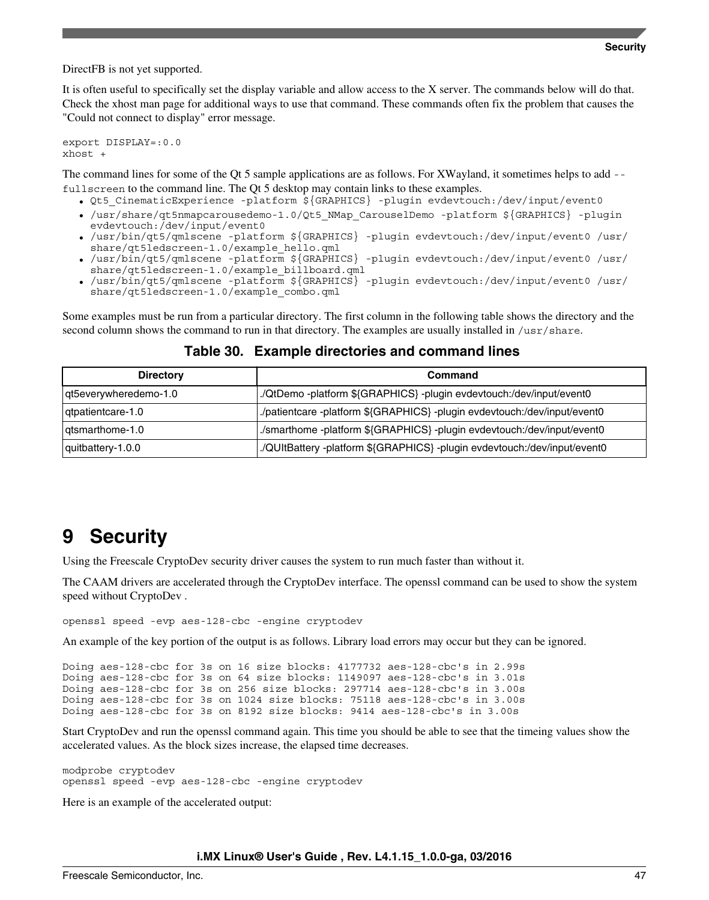<span id="page-46-0"></span>DirectFB is not yet supported.

It is often useful to specifically set the display variable and allow access to the X server. The commands below will do that. Check the xhost man page for additional ways to use that command. These commands often fix the problem that causes the "Could not connect to display" error message.

export DISPLAY=:0.0 xhost +

The command lines for some of the Qt 5 sample applications are as follows. For XWayland, it sometimes helps to add - fullscreen to the command line. The Qt 5 desktop may contain links to these examples.

- Qt5 CinematicExperience -platform \${GRAPHICS} -plugin evdevtouch:/dev/input/event0
- /usr/share/qt5nmapcarousedemo-1.0/Qt5\_NMap\_CarouselDemo -platform \${GRAPHICS} -plugin evdevtouch:/dev/input/event0
- /usr/bin/qt5/qmlscene -platform \${GRAPHICS} -plugin evdevtouch:/dev/input/event0 /usr/ share/qt5ledscreen-1.0/example\_hello.qml
- /usr/bin/qt5/qmlscene -platform \${GRAPHICS} -plugin evdevtouch:/dev/input/event0 /usr/ share/qt5ledscreen-1.0/example\_billboard.qml
- /usr/bin/qt5/qmlscene -platform \${GRAPHICS} -plugin evdevtouch:/dev/input/event0 /usr/ share/qt5ledscreen-1.0/example\_combo.qml

Some examples must be run from a particular directory. The first column in the following table shows the directory and the second column shows the command to run in that directory. The examples are usually installed in /usr/share.

| <b>Directory</b>      | Command                                                                   |
|-----------------------|---------------------------------------------------------------------------|
| qt5everywheredemo-1.0 | ./QtDemo -platform \${GRAPHICS} -plugin evdevtouch:/dev/input/event0      |
| dtpatientcare-1.0     | ./patientcare -platform \${GRAPHICS} -plugin evdevtouch:/dev/input/event0 |
| atsmarthome-1.0       | ./smarthome -platform \${GRAPHICS} -plugin evdevtouch:/dev/input/event0   |
| quitbattery-1.0.0     | ./QUItBattery -platform \${GRAPHICS} -plugin evdevtouch:/dev/input/event0 |

#### **Table 30. Example directories and command lines**

## **9 Security**

Using the Freescale CryptoDev security driver causes the system to run much faster than without it.

The CAAM drivers are accelerated through the CryptoDev interface. The openssl command can be used to show the system speed without CryptoDev .

openssl speed -evp aes-128-cbc -engine cryptodev

An example of the key portion of the output is as follows. Library load errors may occur but they can be ignored.

```
Doing aes-128-cbc for 3s on 16 size blocks: 4177732 aes-128-cbc's in 2.99s
Doing aes-128-cbc for 3s on 64 size blocks: 1149097 aes-128-cbc's in 3.01s
Doing aes-128-cbc for 3s on 256 size blocks: 297714 aes-128-cbc's in 3.00s
Doing aes-128-cbc for 3s on 1024 size blocks: 75118 aes-128-cbc's in 3.00s
Doing aes-128-cbc for 3s on 8192 size blocks: 9414 aes-128-cbc's in 3.00s
```
Start CryptoDev and run the openssl command again. This time you should be able to see that the timeing values show the accelerated values. As the block sizes increase, the elapsed time decreases.

modprobe cryptodev openssl speed -evp aes-128-cbc -engine cryptodev

Here is an example of the accelerated output: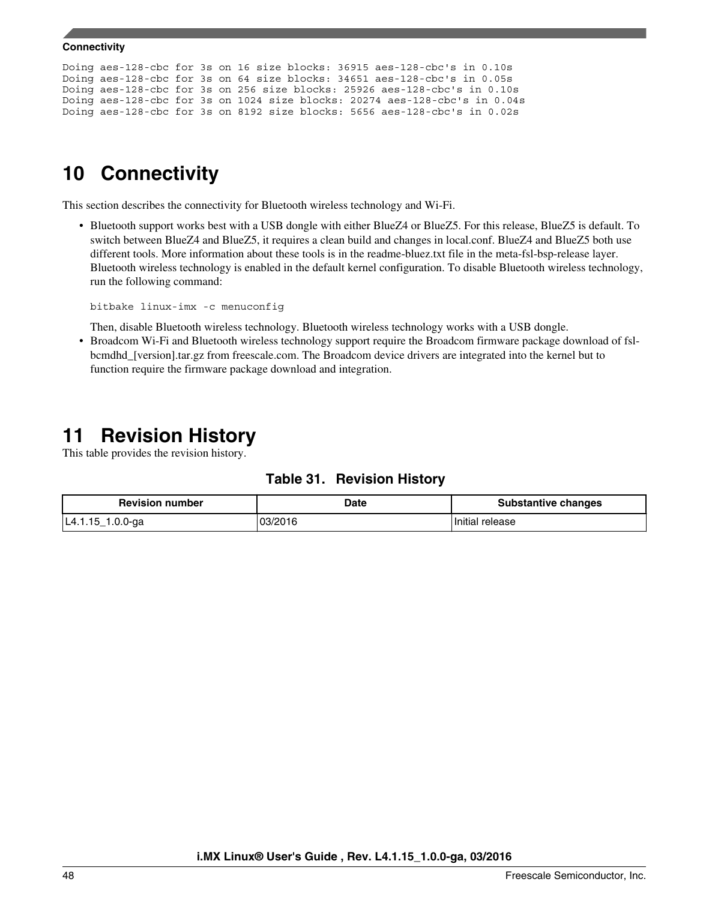```
Doing aes-128-cbc for 3s on 16 size blocks: 36915 aes-128-cbc's in 0.10s
Doing aes-128-cbc for 3s on 64 size blocks: 34651 aes-128-cbc's in 0.05s
Doing aes-128-cbc for 3s on 256 size blocks: 25926 aes-128-cbc's in 0.10s
Doing aes-128-cbc for 3s on 1024 size blocks: 20274 aes-128-cbc's in 0.04s
Doing aes-128-cbc for 3s on 8192 size blocks: 5656 aes-128-cbc's in 0.02s
```
## **10 Connectivity**

This section describes the connectivity for Bluetooth wireless technology and Wi-Fi.

• Bluetooth support works best with a USB dongle with either BlueZ4 or BlueZ5. For this release, BlueZ5 is default. To switch between BlueZ4 and BlueZ5, it requires a clean build and changes in local.conf. BlueZ4 and BlueZ5 both use different tools. More information about these tools is in the readme-bluez.txt file in the meta-fsl-bsp-release layer. Bluetooth wireless technology is enabled in the default kernel configuration. To disable Bluetooth wireless technology, run the following command:

```
bitbake linux-imx -c menuconfig
```
Then, disable Bluetooth wireless technology. Bluetooth wireless technology works with a USB dongle.

• Broadcom Wi-Fi and Bluetooth wireless technology support require the Broadcom firmware package download of fslbcmdhd\_[version].tar.gz from freescale.com. The Broadcom device drivers are integrated into the kernel but to function require the firmware package download and integration.

## **11 Revision History**

This table provides the revision history.

| Table 31. |  |  | <b>Revision History</b> |
|-----------|--|--|-------------------------|
|-----------|--|--|-------------------------|

| <b>Revision number</b> | Date    | <b>Substantive changes</b> |
|------------------------|---------|----------------------------|
| 1.0.0-ga<br>L4.1.15    | 03/2016 | Initial release            |